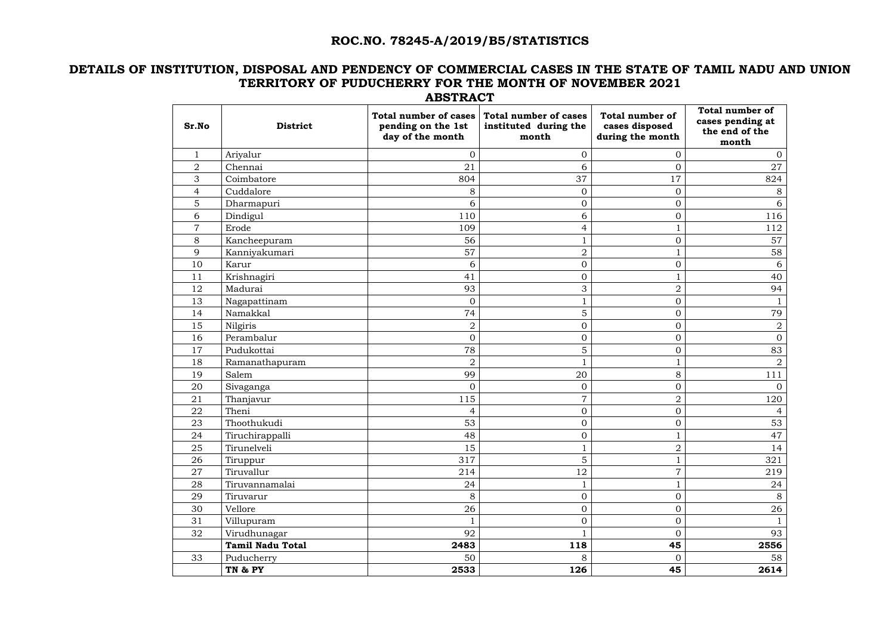# **ROC.NO. 78245-A/2019/B5/STATISTICS**

## **DETAILS OF INSTITUTION, DISPOSAL AND PENDENCY OF COMMERCIAL CASES IN THE STATE OF TAMIL NADU AND UNION TERRITORY OF PUDUCHERRY FOR THE MONTH OF NOVEMBER 2021 ABSTRACT**

| Sr.No          | <b>District</b>         | <b>Total number of cases</b><br>pending on the 1st<br>day of the month | <b>Total number of cases</b><br>instituted during the<br>month | <b>Total number of</b><br>cases disposed<br>during the month | <b>Total number of</b><br>cases pending at<br>the end of the<br>month |
|----------------|-------------------------|------------------------------------------------------------------------|----------------------------------------------------------------|--------------------------------------------------------------|-----------------------------------------------------------------------|
|                | Ariyalur                | $\overline{0}$                                                         | 0                                                              | 0                                                            | $\overline{0}$                                                        |
| $\overline{2}$ | Chennai                 | 21                                                                     | 6                                                              | $\overline{0}$                                               | 27                                                                    |
| 3              | Coimbatore              | 804                                                                    | 37                                                             | 17                                                           | 824                                                                   |
| 4              | Cuddalore               | 8                                                                      | $\boldsymbol{0}$                                               | $\Omega$                                                     | 8                                                                     |
| 5              | Dharmapuri              | 6                                                                      | $\overline{0}$                                                 | 0                                                            | 6                                                                     |
| 6              | Dindigul                | 110                                                                    | 6                                                              | 0                                                            | 116                                                                   |
| 7              | Erode                   | 109                                                                    | $\overline{4}$                                                 |                                                              | 112                                                                   |
| 8              | Kancheepuram            | 56                                                                     | $\mathbf{1}$                                                   | 0                                                            | 57                                                                    |
| 9              | Kanniyakumari           | 57                                                                     | $\overline{2}$                                                 |                                                              | 58                                                                    |
| 10             | Karur                   | 6                                                                      | $\overline{0}$                                                 | $\boldsymbol{0}$                                             | 6                                                                     |
| 11             | Krishnagiri             | 41                                                                     | $\overline{0}$                                                 |                                                              | 40                                                                    |
| 12             | Madurai                 | 93                                                                     | 3                                                              | $\overline{2}$                                               | 94                                                                    |
| 13             | Nagapattinam            | $\mathbf{0}$                                                           | $\mathbf{1}$                                                   | $\overline{0}$                                               |                                                                       |
| 14             | Namakkal                | 74                                                                     | 5                                                              | $\overline{0}$                                               | 79                                                                    |
| 15             | Nilgiris                | $\sqrt{2}$                                                             | $\overline{0}$                                                 | $\Omega$                                                     | $\overline{2}$                                                        |
| 16             | Perambalur              | $\overline{0}$                                                         | $\overline{0}$                                                 | $\overline{0}$                                               | $\overline{0}$                                                        |
| 17             | Pudukottai              | 78                                                                     | 5                                                              | $\boldsymbol{0}$                                             | 83                                                                    |
| 18             | Ramanathapuram          | $\overline{2}$                                                         |                                                                |                                                              | $\overline{2}$                                                        |
| 19             | Salem                   | 99                                                                     | 20                                                             | 8                                                            | 111                                                                   |
| 20             | Sivaganga               | $\overline{0}$                                                         | $\overline{O}$                                                 | $\overline{0}$                                               | $\Omega$                                                              |
| 21             | Thanjavur               | 115                                                                    | $\overline{7}$                                                 | $\overline{2}$                                               | 120                                                                   |
| 22             | Theni                   | $\overline{4}$                                                         | $\overline{0}$                                                 | 0                                                            | $\overline{4}$                                                        |
| 23             | Thoothukudi             | 53                                                                     | $\boldsymbol{0}$                                               | 0                                                            | 53                                                                    |
| 24             | Tiruchirappalli         | 48                                                                     | $\overline{0}$                                                 |                                                              | 47                                                                    |
| 25             | Tirunelveli             | 15                                                                     | $\mathbf{1}$                                                   | $\overline{2}$                                               | 14                                                                    |
| 26             | Tiruppur                | 317                                                                    | 5                                                              | 1                                                            | 321                                                                   |
| 27             | Tiruvallur              | 214                                                                    | 12                                                             | $\overline{7}$                                               | 219                                                                   |
| 28             | Tiruvannamalai          | 24                                                                     | $\mathbf{1}$                                                   | $\mathbf{1}$                                                 | 24                                                                    |
| 29             | Tiruvarur               | 8                                                                      | $\overline{0}$                                                 | $\boldsymbol{0}$                                             | 8                                                                     |
| 30             | Vellore                 | 26                                                                     | $\overline{0}$                                                 | $\boldsymbol{0}$                                             | 26                                                                    |
| 31             | Villupuram              | $\mathbf{1}$                                                           | $\overline{0}$                                                 | $\boldsymbol{0}$                                             | $\mathbf{1}$                                                          |
| 32             | Virudhunagar            | 92                                                                     |                                                                | $\overline{0}$                                               | 93                                                                    |
|                | <b>Tamil Nadu Total</b> | 2483                                                                   | 118                                                            | 45                                                           | 2556                                                                  |
| 33             | Puducherry              | 50                                                                     | 8                                                              | $\overline{0}$                                               | 58                                                                    |
|                | TN & PY                 | 2533                                                                   | 126                                                            | 45                                                           | 2614                                                                  |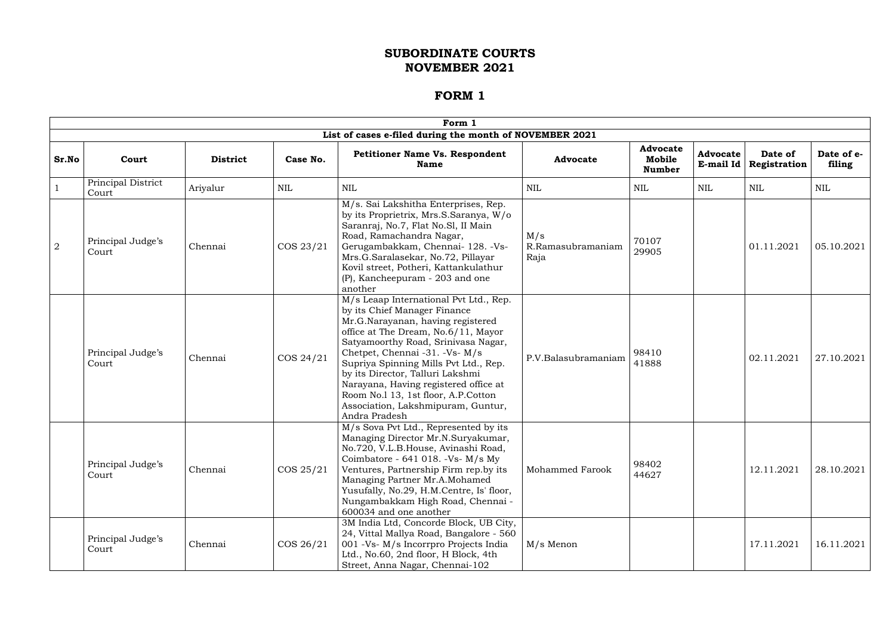|                |                             |                 |              | Form 1                                                                                                                                                                                                                                                                                                                                                                                                                                          |                                  |                                            |                                |                         |                      |
|----------------|-----------------------------|-----------------|--------------|-------------------------------------------------------------------------------------------------------------------------------------------------------------------------------------------------------------------------------------------------------------------------------------------------------------------------------------------------------------------------------------------------------------------------------------------------|----------------------------------|--------------------------------------------|--------------------------------|-------------------------|----------------------|
|                |                             |                 |              | List of cases e-filed during the month of NOVEMBER 2021                                                                                                                                                                                                                                                                                                                                                                                         |                                  |                                            |                                |                         |                      |
| Sr.No          | Court                       | <b>District</b> | Case No.     | <b>Petitioner Name Vs. Respondent</b><br><b>Name</b>                                                                                                                                                                                                                                                                                                                                                                                            | <b>Advocate</b>                  | <b>Advocate</b><br>Mobile<br><b>Number</b> | <b>Advocate</b><br>E-mail $Id$ | Date of<br>Registration | Date of e-<br>filing |
|                | Principal District<br>Court | Ariyalur        | <b>NIL</b>   | NIL                                                                                                                                                                                                                                                                                                                                                                                                                                             | <b>NIL</b>                       | NIL                                        | NIL                            | <b>NIL</b>              | NIL                  |
| $\overline{2}$ | Principal Judge's<br>Court  | Chennai         | COS 23/21    | M/s. Sai Lakshitha Enterprises, Rep.<br>by its Proprietrix, Mrs.S.Saranya, W/o<br>Saranraj, No.7, Flat No.Sl, II Main<br>Road, Ramachandra Nagar,<br>Gerugambakkam, Chennai- 128. - Vs-<br>Mrs.G.Saralasekar, No.72, Pillayar<br>Kovil street, Potheri, Kattankulathur<br>(P), Kancheepuram - 203 and one<br>another                                                                                                                            | M/s<br>R.Ramasubramaniam<br>Raja | 70107<br>29905                             |                                | 01.11.2021              | 05.10.2021           |
|                | Principal Judge's<br>Court  | Chennai         | COS 24/21    | M/s Leaap International Pvt Ltd., Rep.<br>by its Chief Manager Finance<br>Mr.G.Narayanan, having registered<br>office at The Dream, No.6/11, Mayor<br>Satyamoorthy Road, Srinivasa Nagar,<br>Chetpet, Chennai -31. -Vs- M/s<br>Supriya Spinning Mills Pvt Ltd., Rep.<br>by its Director, Talluri Lakshmi<br>Narayana, Having registered office at<br>Room No.1 13, 1st floor, A.P.Cotton<br>Association, Lakshmipuram, Guntur,<br>Andra Pradesh | P.V.Balasubramaniam              | 98410<br>41888                             |                                | 02.11.2021              | 27.10.2021           |
|                | Principal Judge's<br>Court  | Chennai         | COS 25/21    | M/s Sova Pvt Ltd., Represented by its<br>Managing Director Mr.N.Suryakumar,<br>No.720, V.L.B.House, Avinashi Road,<br>Coimbatore - 641 018. - Vs- M/s My<br>Ventures, Partnership Firm rep.by its<br>Managing Partner Mr.A.Mohamed<br>Yusufally, No.29, H.M.Centre, Is' floor,<br>Nungambakkam High Road, Chennai -<br>600034 and one another                                                                                                   | <b>Mohammed Farook</b>           | 98402<br>44627                             |                                | 12.11.2021              | 28.10.2021           |
|                | Principal Judge's<br>Court  | Chennai         | $\cos 26/21$ | 3M India Ltd, Concorde Block, UB City,<br>24, Vittal Mallya Road, Bangalore - 560<br>001 - Vs - M/s Incorrpro Projects India<br>Ltd., No.60, 2nd floor, H Block, 4th<br>Street, Anna Nagar, Chennai-102                                                                                                                                                                                                                                         | M/s Menon                        |                                            |                                | 17.11.2021              | 16.11.2021           |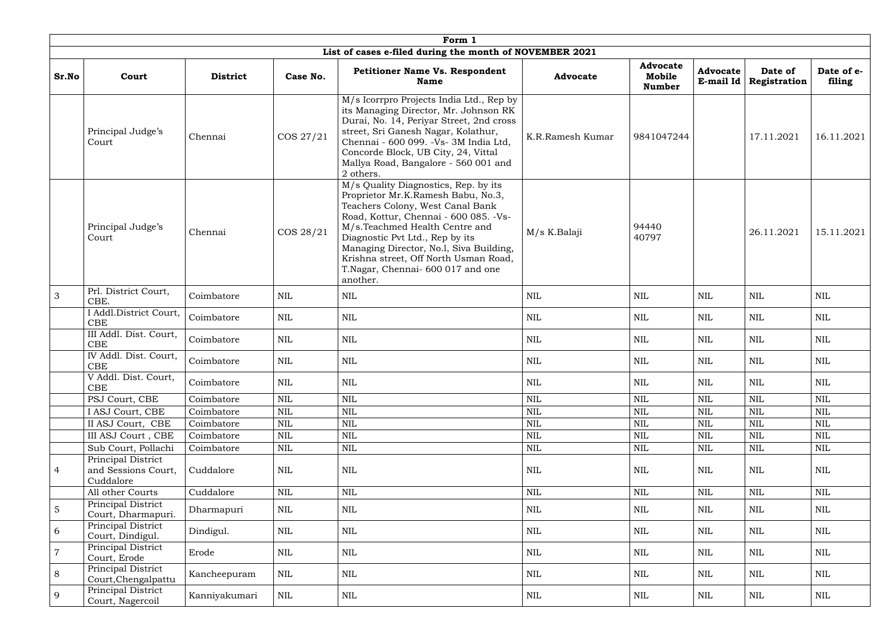|                | Form 1                                                 |                 |              |                                                                                                                                                                                                                                                                                                                                                                    |                  |                                            |                                |                         |                      |  |  |  |  |
|----------------|--------------------------------------------------------|-----------------|--------------|--------------------------------------------------------------------------------------------------------------------------------------------------------------------------------------------------------------------------------------------------------------------------------------------------------------------------------------------------------------------|------------------|--------------------------------------------|--------------------------------|-------------------------|----------------------|--|--|--|--|
|                |                                                        |                 |              | List of cases e-filed during the month of NOVEMBER 2021                                                                                                                                                                                                                                                                                                            |                  |                                            |                                |                         |                      |  |  |  |  |
| Sr.No          | Court                                                  | <b>District</b> | Case No.     | <b>Petitioner Name Vs. Respondent</b><br><b>Name</b>                                                                                                                                                                                                                                                                                                               | <b>Advocate</b>  | <b>Advocate</b><br>Mobile<br><b>Number</b> | <b>Advocate</b><br>E-mail $Id$ | Date of<br>Registration | Date of e-<br>filing |  |  |  |  |
|                | Principal Judge's<br>Court                             | Chennai         | COS 27/21    | M/s Icorrpro Projects India Ltd., Rep by<br>its Managing Director, Mr. Johnson RK<br>Durai, No. 14, Periyar Street, 2nd cross<br>street, Sri Ganesh Nagar, Kolathur,<br>Chennai - 600 099. - Vs - 3M India Ltd,<br>Concorde Block, UB City, 24, Vittal<br>Mallya Road, Bangalore - 560 001 and<br>2 others.                                                        | K.R.Ramesh Kumar | 9841047244                                 |                                | 17.11.2021              | 16.11.2021           |  |  |  |  |
|                | Principal Judge's<br>Court                             | Chennai         | COS 28/21    | M/s Quality Diagnostics, Rep. by its<br>Proprietor Mr.K.Ramesh Babu, No.3,<br>Teachers Colony, West Canal Bank<br>Road, Kottur, Chennai - 600 085. - Vs-<br>M/s.Teachmed Health Centre and<br>Diagnostic Pvt Ltd., Rep by its<br>Managing Director, No.1, Siva Building,<br>Krishna street, Off North Usman Road,<br>T.Nagar, Chennai- 600 017 and one<br>another. | M/s K.Balaji     | 94440<br>40797                             |                                | 26.11.2021              | 15.11.2021           |  |  |  |  |
| $\mathfrak{Z}$ | Prl. District Court,<br>CBE.                           | Coimbatore      | <b>NIL</b>   | <b>NIL</b>                                                                                                                                                                                                                                                                                                                                                         | NIL              | NIL                                        | NIL                            | NIL                     | NIL                  |  |  |  |  |
|                | I Addl.District Court,<br>CBE                          | Coimbatore      | <b>NIL</b>   | <b>NIL</b>                                                                                                                                                                                                                                                                                                                                                         | <b>NIL</b>       | NIL                                        | <b>NIL</b>                     | NIL                     | NIL                  |  |  |  |  |
|                | III Addl. Dist. Court,<br>CBE                          | Coimbatore      | <b>NIL</b>   | <b>NIL</b>                                                                                                                                                                                                                                                                                                                                                         | <b>NIL</b>       | <b>NIL</b>                                 | NIL                            | <b>NIL</b>              | <b>NIL</b>           |  |  |  |  |
|                | IV Addl. Dist. Court,<br>CBE                           | Coimbatore      | <b>NIL</b>   | $\text{NIL}$                                                                                                                                                                                                                                                                                                                                                       | <b>NIL</b>       | NIL                                        | NIL                            | <b>NIL</b>              | <b>NIL</b>           |  |  |  |  |
|                | V Addl. Dist. Court,<br>CBE                            | Coimbatore      | <b>NIL</b>   | $\text{NIL}$                                                                                                                                                                                                                                                                                                                                                       | <b>NIL</b>       | <b>NIL</b>                                 | NIL                            | $\text{NIL}$            | $\mbox{NIL}$         |  |  |  |  |
|                | PSJ Court, CBE                                         | Coimbatore      | $\mbox{NIL}$ | $\text{NIL}$                                                                                                                                                                                                                                                                                                                                                       | <b>NIL</b>       | $\mbox{NIL}$                               | NIL                            | $\text{NIL}$            | <b>NIL</b>           |  |  |  |  |
|                | I ASJ Court, CBE                                       | Coimbatore      | NIL          | $\mbox{NIL}$                                                                                                                                                                                                                                                                                                                                                       | <b>NIL</b>       | $\mbox{NIL}$                               | NIL                            | <b>NIL</b>              | $\mbox{NIL}$         |  |  |  |  |
|                | II ASJ Court, CBE                                      | Coimbatore      | $\mbox{NIL}$ | $\mbox{NIL}$                                                                                                                                                                                                                                                                                                                                                       | <b>NIL</b>       | <b>NIL</b>                                 | $\mbox{NIL}$                   | <b>NIL</b>              | $\mbox{NIL}$         |  |  |  |  |
|                | III ASJ Court, CBE                                     | Coimbatore      | <b>NIL</b>   | $\text{NIL}$                                                                                                                                                                                                                                                                                                                                                       | <b>NIL</b>       | <b>NIL</b>                                 | NIL                            | <b>NIL</b>              | <b>NIL</b>           |  |  |  |  |
|                | Sub Court, Pollachi                                    | Coimbatore      | <b>NIL</b>   | <b>NIL</b>                                                                                                                                                                                                                                                                                                                                                         | <b>NIL</b>       | NIL                                        | NIL                            | $\mbox{NIL}$            | NIL                  |  |  |  |  |
| $\overline{4}$ | Principal District<br>and Sessions Court,<br>Cuddalore | Cuddalore       | $\mbox{NIL}$ | $\mbox{NIL}$                                                                                                                                                                                                                                                                                                                                                       | <b>NIL</b>       | <b>NIL</b>                                 | NIL                            | $\mbox{NIL}$            | NIL                  |  |  |  |  |
|                | All other Courts                                       | Cuddalore       | NIL          | $\text{NIL}$                                                                                                                                                                                                                                                                                                                                                       | <b>NIL</b>       | NIL                                        | NIL                            | $\mbox{NIL}$            | <b>NIL</b>           |  |  |  |  |
| $\overline{5}$ | Principal District<br>Court, Dharmapuri.               | Dharmapuri      | NIL          | $\mbox{NIL}$                                                                                                                                                                                                                                                                                                                                                       | $\mbox{NIL}$     | NIL                                        | NIL                            | <b>NIL</b>              | $\mbox{NIL}$         |  |  |  |  |
| 6              | Principal District<br>Court, Dindigul.                 | Dindigul.       | $\mbox{NIL}$ | $\mbox{NIL}$                                                                                                                                                                                                                                                                                                                                                       | $\mbox{NIL}$     | NIL                                        | NIL                            | $\mbox{NIL}$            | $\mbox{NIL}$         |  |  |  |  |
| $\overline{7}$ | Principal District<br>Court, Erode                     | Erode           | NIL          | <b>NIL</b>                                                                                                                                                                                                                                                                                                                                                         | <b>NIL</b>       | NIL                                        | NIL                            | NIL                     | <b>NIL</b>           |  |  |  |  |
| $8\,$          | Principal District<br>Court, Chengalpattu              | Kancheepuram    | $\mbox{NIL}$ | <b>NIL</b>                                                                                                                                                                                                                                                                                                                                                         | <b>NIL</b>       | NIL                                        | NIL                            | <b>NIL</b>              | <b>NIL</b>           |  |  |  |  |
| 9              | Principal District<br>Court, Nagercoil                 | Kanniyakumari   | NIL          | $\mbox{NIL}$                                                                                                                                                                                                                                                                                                                                                       | $\mbox{NIL}$     | $\rm NIL$                                  | NIL                            | <b>NIL</b>              | NIL                  |  |  |  |  |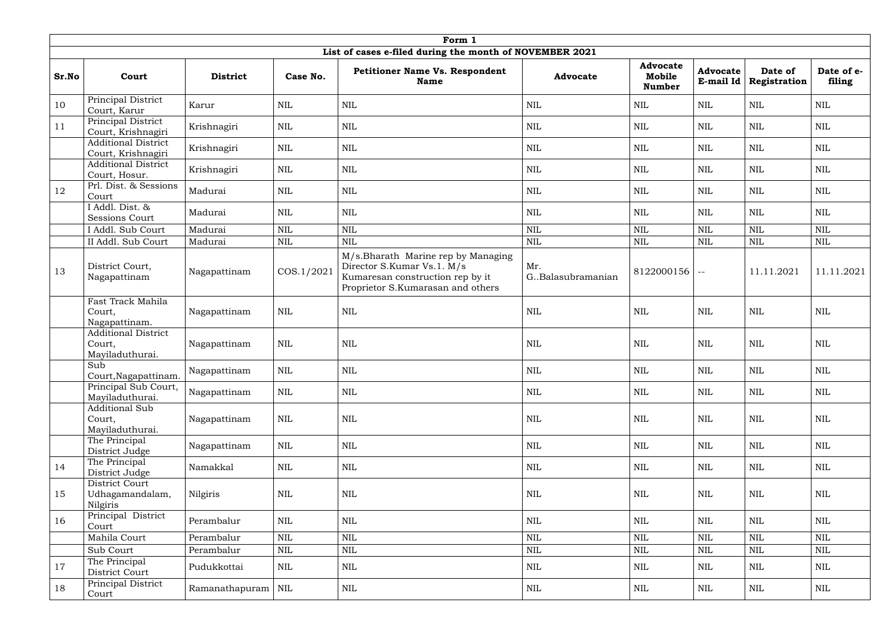|       | Form 1                                                  |                      |              |                                                                                                                                           |                            |                                            |                              |                         |                      |  |  |  |  |
|-------|---------------------------------------------------------|----------------------|--------------|-------------------------------------------------------------------------------------------------------------------------------------------|----------------------------|--------------------------------------------|------------------------------|-------------------------|----------------------|--|--|--|--|
|       |                                                         |                      |              | List of cases e-filed during the month of NOVEMBER 2021                                                                                   |                            |                                            |                              |                         |                      |  |  |  |  |
| Sr.No | Court                                                   | <b>District</b>      | Case No.     | <b>Petitioner Name Vs. Respondent</b><br><b>Name</b>                                                                                      | <b>Advocate</b>            | <b>Advocate</b><br>Mobile<br><b>Number</b> | <b>Advocate</b><br>E-mail Id | Date of<br>Registration | Date of e-<br>filing |  |  |  |  |
| 10    | Principal District<br>Court, Karur                      | Karur                | <b>NIL</b>   | <b>NIL</b>                                                                                                                                | <b>NIL</b>                 | NIL                                        | NIL                          | <b>NIL</b>              | <b>NIL</b>           |  |  |  |  |
| 11    | Principal District<br>Court, Krishnagiri                | Krishnagiri          | $\mbox{NIL}$ | $\mbox{NIL}$                                                                                                                              | <b>NIL</b>                 | <b>NIL</b>                                 | $\mbox{NIL}$                 | <b>NIL</b>              | $\mbox{NIL}$         |  |  |  |  |
|       | <b>Additional District</b><br>Court, Krishnagiri        | Krishnagiri          | <b>NIL</b>   | $\text{NIL}$                                                                                                                              | <b>NIL</b>                 | <b>NIL</b>                                 | NIL                          | $\mbox{NIL}$            | $\mbox{NIL}$         |  |  |  |  |
|       | <b>Additional District</b><br>Court, Hosur.             | Krishnagiri          | $\mbox{NIL}$ | <b>NIL</b>                                                                                                                                | <b>NIL</b>                 | <b>NIL</b>                                 | $\mbox{NIL}$                 | $\mbox{NIL}$            | <b>NIL</b>           |  |  |  |  |
| 12    | Prl. Dist. & Sessions<br>Court                          | Madurai              | <b>NIL</b>   | <b>NIL</b>                                                                                                                                | <b>NIL</b>                 | NIL                                        | NIL                          | <b>NIL</b>              | <b>NIL</b>           |  |  |  |  |
|       | I Addl. Dist. &<br><b>Sessions Court</b>                | Madurai              | <b>NIL</b>   | <b>NIL</b>                                                                                                                                | <b>NIL</b>                 | NIL                                        | NIL                          | $\mbox{NIL}$            | <b>NIL</b>           |  |  |  |  |
|       | I Addl. Sub Court                                       | Madurai              | $\mbox{NIL}$ | <b>NIL</b>                                                                                                                                | <b>NIL</b>                 | <b>NIL</b>                                 | $\mbox{NIL}$                 | <b>NIL</b>              | <b>NIL</b>           |  |  |  |  |
|       | II Addl. Sub Court                                      | Madurai              | $\text{NIL}$ | <b>NIL</b>                                                                                                                                | <b>NIL</b>                 | <b>NIL</b>                                 | <b>NIL</b>                   | <b>NIL</b>              | $\mbox{NIL}$         |  |  |  |  |
| 13    | District Court,<br>Nagapattinam                         | Nagapattinam         | COS.1/2021   | M/s.Bharath Marine rep by Managing<br>Director S.Kumar Vs.1. M/s<br>Kumaresan construction rep by it<br>Proprietor S.Kumarasan and others | Mr.<br>G., Balasubramanian | $8122000156$ --                            |                              | 11.11.2021              | 11.11.2021           |  |  |  |  |
|       | Fast Track Mahila<br>Court,<br>Nagapattinam.            | Nagapattinam         | <b>NIL</b>   | <b>NIL</b>                                                                                                                                | NIL                        | NIL                                        | <b>NIL</b>                   | $\mbox{NIL}$            | $\mbox{NIL}$         |  |  |  |  |
|       | <b>Additional District</b><br>Court,<br>Mayiladuthurai. | Nagapattinam         | NIL          | $\mbox{NIL}$                                                                                                                              | <b>NIL</b>                 | <b>NIL</b>                                 | $\mbox{NIL}$                 | $\mbox{NIL}$            | $\mbox{NIL}$         |  |  |  |  |
|       | Sub<br>Court, Nagapattinam.                             | Nagapattinam         | $\mbox{NIL}$ | $\mbox{NIL}$                                                                                                                              | $\mbox{NIL}$               | $\mbox{NIL}$                               | $\mbox{NIL}$                 | $\mbox{NIL}$            | $\mbox{NIL}$         |  |  |  |  |
|       | Principal Sub Court,<br>Mayiladuthurai.                 | Nagapattinam         | <b>NIL</b>   | <b>NIL</b>                                                                                                                                | <b>NIL</b>                 | NIL                                        | <b>NIL</b>                   | <b>NIL</b>              | NIL                  |  |  |  |  |
|       | <b>Additional Sub</b><br>Court,<br>Mayiladuthurai.      | Nagapattinam         | NIL          | <b>NIL</b>                                                                                                                                | <b>NIL</b>                 | <b>NIL</b>                                 | <b>NIL</b>                   | <b>NIL</b>              | <b>NIL</b>           |  |  |  |  |
|       | The Principal<br>District Judge                         | Nagapattinam         | <b>NIL</b>   | $\mbox{NIL}$                                                                                                                              | $\mbox{NIL}$               | NIL                                        | $\mbox{NIL}$                 | NIL                     | NIL                  |  |  |  |  |
| 14    | The Principal<br>District Judge                         | Namakkal             | $\mbox{NIL}$ | <b>NIL</b>                                                                                                                                | $\mbox{NIL}$               | NIL                                        | $\mbox{NIL}$                 | NIL                     | NIL                  |  |  |  |  |
| 15    | District Court<br>Udhagamandalam,<br>Nilgiris           | Nilgiris             | NIL          | <b>NIL</b>                                                                                                                                | <b>NIL</b>                 | NIL                                        | $\mbox{NIL}$                 | NIL                     | NIL                  |  |  |  |  |
| 16    | Principal District<br>Court                             | Perambalur           | NIL          | <b>NIL</b>                                                                                                                                | $\mbox{NIL}$               | NIL                                        | $\mbox{NIL}$                 | NIL                     | NIL                  |  |  |  |  |
|       | Mahila Court                                            | Perambalur           | <b>NIL</b>   | $\mbox{NIL}$                                                                                                                              | <b>NIL</b>                 | <b>NIL</b>                                 | $\mbox{NIL}$                 | $\mbox{NIL}$            | $\mbox{NIL}$         |  |  |  |  |
|       | Sub Court                                               | Perambalur           | <b>NIL</b>   | $\mbox{NIL}$                                                                                                                              | $\mbox{NIL}$               | NIL                                        | NIL                          | $\mbox{NIL}$            | NIL                  |  |  |  |  |
| 17    | The Principal<br>District Court                         | Pudukkottai          | NIL          | $\mbox{NIL}$                                                                                                                              | $\mbox{NIL}$               | NIL                                        | <b>NIL</b>                   | NIL                     | NIL                  |  |  |  |  |
| 18    | Principal District<br>Court                             | Ramanathapuram   NIL |              | <b>NIL</b>                                                                                                                                | $\mbox{NIL}$               | $\rm NIL$                                  | NIL                          | NIL                     | NIL                  |  |  |  |  |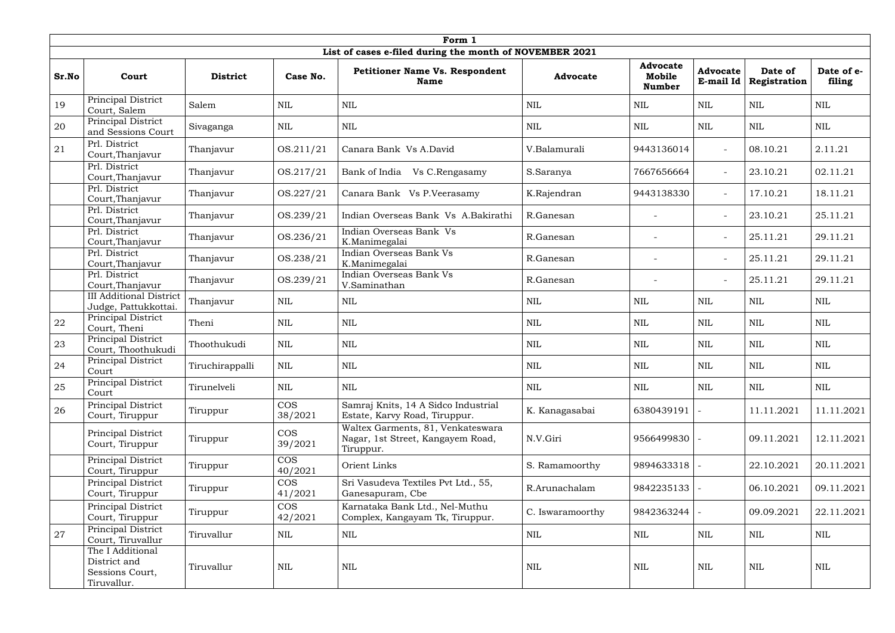|       | Form 1                                                             |                 |                       |                                                                                     |                  |                                            |                              |                         |                      |  |  |  |
|-------|--------------------------------------------------------------------|-----------------|-----------------------|-------------------------------------------------------------------------------------|------------------|--------------------------------------------|------------------------------|-------------------------|----------------------|--|--|--|
|       |                                                                    |                 |                       | List of cases e-filed during the month of NOVEMBER 2021                             |                  |                                            |                              |                         |                      |  |  |  |
| Sr.No | Court                                                              | <b>District</b> | Case No.              | <b>Petitioner Name Vs. Respondent</b><br><b>Name</b>                                | <b>Advocate</b>  | <b>Advocate</b><br>Mobile<br><b>Number</b> | <b>Advocate</b><br>E-mail Id | Date of<br>Registration | Date of e-<br>filing |  |  |  |
| 19    | Principal District<br>Court, Salem                                 | Salem           | NIL                   | <b>NIL</b>                                                                          | NIL              | NIL                                        | <b>NIL</b>                   | <b>NIL</b>              | <b>NIL</b>           |  |  |  |
| 20    | Principal District<br>and Sessions Court                           | Sivaganga       | <b>NIL</b>            | $\text{NIL}$                                                                        | <b>NIL</b>       | <b>NIL</b>                                 | <b>NIL</b>                   | <b>NIL</b>              | <b>NIL</b>           |  |  |  |
| 21    | Prl. District<br>Court, Thanjavur                                  | Thanjavur       | OS.211/21             | Canara Bank Vs A.David                                                              | V.Balamurali     | 9443136014                                 | $\sim$                       | 08.10.21                | 2.11.21              |  |  |  |
|       | Prl. District<br>Court, Thanjavur                                  | Thanjavur       | OS.217/21             | Bank of India Vs C.Rengasamy                                                        | S.Saranya        | 7667656664                                 | $\sim$                       | 23.10.21                | 02.11.21             |  |  |  |
|       | Prl. District<br>Court, Thanjavur                                  | Thanjavur       | OS.227/21             | Canara Bank Vs P.Veerasamy                                                          | K.Rajendran      | 9443138330                                 | $\sim$                       | 17.10.21                | 18.11.21             |  |  |  |
|       | Prl. District<br>Court, Thanjavur                                  | Thanjavur       | OS.239/21             | Indian Overseas Bank Vs A.Bakirathi                                                 | R.Ganesan        |                                            | $\sim$                       | 23.10.21                | 25.11.21             |  |  |  |
|       | Prl. District<br>Court, Thanjavur                                  | Thanjavur       | OS.236/21             | Indian Overseas Bank Vs<br>K.Manimegalai                                            | R.Ganesan        | $\overline{\phantom{a}}$                   | $\sim$                       | 25.11.21                | 29.11.21             |  |  |  |
|       | Prl. District<br>Court, Thanjavur                                  | Thanjavur       | OS.238/21             | Indian Overseas Bank Vs<br>K.Manimegalai                                            | R.Ganesan        | $\overline{\phantom{0}}$                   | $\sim$                       | 25.11.21                | 29.11.21             |  |  |  |
|       | Prl. District<br>Court, Thanjavur                                  | Thanjavur       | OS.239/21             | Indian Overseas Bank Vs<br>V.Saminathan                                             | R.Ganesan        | $\overline{\phantom{0}}$                   | $\sim$                       | 25.11.21                | 29.11.21             |  |  |  |
|       | <b>III Additional District</b><br>Judge, Pattukkottai.             | Thanjavur       | <b>NIL</b>            | <b>NIL</b>                                                                          | NIL              | NIL                                        | <b>NIL</b>                   | <b>NIL</b>              | <b>NIL</b>           |  |  |  |
| 22    | Principal District<br>Court, Theni                                 | Theni           | $\mbox{NIL}$          | $\text{NIL}$                                                                        | <b>NIL</b>       | <b>NIL</b>                                 | <b>NIL</b>                   | $\mbox{NIL}$            | <b>NIL</b>           |  |  |  |
| 23    | Principal District<br>Court, Thoothukudi                           | Thoothukudi     | NIL                   | <b>NIL</b>                                                                          | NIL              | NIL                                        | <b>NIL</b>                   | <b>NIL</b>              | <b>NIL</b>           |  |  |  |
| 24    | Principal District<br>Court                                        | Tiruchirappalli | $\mbox{NIL}$          | <b>NIL</b>                                                                          | <b>NIL</b>       | NIL                                        | $\mbox{NIL}$                 | <b>NIL</b>              | <b>NIL</b>           |  |  |  |
| 25    | Principal District<br>Court                                        | Tirunelveli     | NIL                   | <b>NIL</b>                                                                          | NIL              | NIL                                        | NIL                          | NIL                     | NIL                  |  |  |  |
| 26    | Principal District<br>Court, Tiruppur                              | Tiruppur        | <b>COS</b><br>38/2021 | Samraj Knits, 14 A Sidco Industrial<br>Estate, Karvy Road, Tiruppur.                | K. Kanagasabai   | 6380439191                                 |                              | 11.11.2021              | 11.11.2021           |  |  |  |
|       | Principal District<br>Court, Tiruppur                              | Tiruppur        | <b>COS</b><br>39/2021 | Waltex Garments, 81, Venkateswara<br>Nagar, 1st Street, Kangayem Road,<br>Tiruppur. | N.V.Giri         | 9566499830                                 |                              | 09.11.2021              | 12.11.2021           |  |  |  |
|       | Principal District<br>Court, Tiruppur                              | Tiruppur        | <b>COS</b><br>40/2021 | Orient Links                                                                        | S. Ramamoorthy   | 9894633318                                 |                              | 22.10.2021              | 20.11.2021           |  |  |  |
|       | Principal District<br>Court, Tiruppur                              | Tiruppur        | <b>COS</b><br>41/2021 | Sri Vasudeva Textiles Pvt Ltd., 55,<br>Ganesapuram, Cbe                             | R.Arunachalam    | 9842235133   -                             |                              | 06.10.2021              | 09.11.2021           |  |  |  |
|       | Principal District<br>Court, Tiruppur                              | Tiruppur        | <b>COS</b><br>42/2021 | Karnataka Bank Ltd., Nel-Muthu<br>Complex, Kangayam Tk, Tiruppur.                   | C. Iswaramoorthy | 9842363244                                 |                              | 09.09.2021              | 22.11.2021           |  |  |  |
| 27    | Principal District<br>Court, Tiruvallur                            | Tiruvallur      | <b>NIL</b>            | $\mbox{NIL}$                                                                        | <b>NIL</b>       | NIL                                        | $\mbox{NIL}$                 | NIL                     | NIL                  |  |  |  |
|       | The I Additional<br>District and<br>Sessions Court,<br>Tiruvallur. | Tiruvallur      | $\mbox{NIL}$          | $\mbox{NIL}$                                                                        | NIL              | NIL                                        | NIL                          | <b>NIL</b>              | $\mbox{NIL}$         |  |  |  |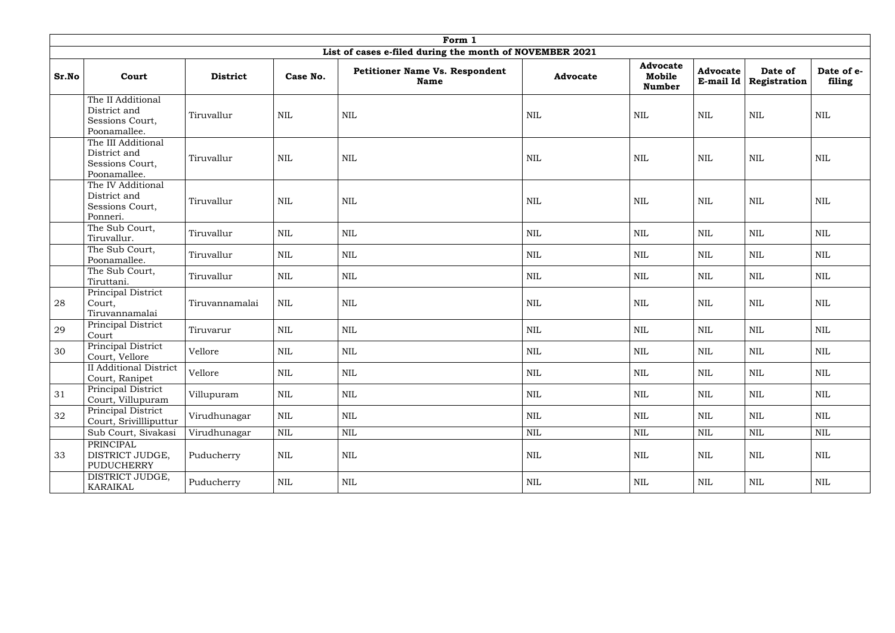|       | Form 1                                                                |                 |              |                                                         |                 |                                            |                                |                         |                      |  |  |  |
|-------|-----------------------------------------------------------------------|-----------------|--------------|---------------------------------------------------------|-----------------|--------------------------------------------|--------------------------------|-------------------------|----------------------|--|--|--|
|       |                                                                       |                 |              | List of cases e-filed during the month of NOVEMBER 2021 |                 |                                            |                                |                         |                      |  |  |  |
| Sr.No | Court                                                                 | <b>District</b> | Case No.     | <b>Petitioner Name Vs. Respondent</b><br><b>Name</b>    | <b>Advocate</b> | <b>Advocate</b><br>Mobile<br><b>Number</b> | <b>Advocate</b><br>E-mail $Id$ | Date of<br>Registration | Date of e-<br>filing |  |  |  |
|       | The II Additional<br>District and<br>Sessions Court,<br>Poonamallee.  | Tiruvallur      | <b>NIL</b>   | <b>NIL</b>                                              | <b>NIL</b>      | <b>NIL</b>                                 | $\text{NIL}$                   | $\mbox{NIL}$            | $\text{NIL}$         |  |  |  |
|       | The III Additional<br>District and<br>Sessions Court,<br>Poonamallee. | Tiruvallur      | $\mbox{NIL}$ | NIL                                                     | NIL             | NIL                                        | NIL                            | <b>NIL</b>              | <b>NIL</b>           |  |  |  |
|       | The IV Additional<br>District and<br>Sessions Court,<br>Ponneri.      | Tiruvallur      | <b>NIL</b>   | <b>NIL</b>                                              | <b>NIL</b>      | $\mbox{NIL}$                               | $\text{NIL}$                   | $\mbox{NIL}$            | $\text{NIL}$         |  |  |  |
|       | The Sub Court,<br>Tiruvallur.                                         | Tiruvallur      | <b>NIL</b>   | <b>NIL</b>                                              | $\mbox{NIL}$    | $\mbox{NIL}$                               | $\mbox{NIL}$                   | <b>NIL</b>              | $\mbox{NIL}$         |  |  |  |
|       | The Sub Court,<br>Poonamallee.                                        | Tiruvallur      | NIL          | <b>NIL</b>                                              | $\mbox{NIL}$    | NIL                                        | <b>NIL</b>                     | <b>NIL</b>              | NIL                  |  |  |  |
|       | The Sub Court,<br>Tiruttani.                                          | Tiruvallur      | NIL          | <b>NIL</b>                                              | $\mbox{NIL}$    | NIL                                        | <b>NIL</b>                     | <b>NIL</b>              | <b>NIL</b>           |  |  |  |
| 28    | Principal District<br>Court,<br>Tiruvannamalai                        | Tiruvannamalai  | <b>NIL</b>   | <b>NIL</b>                                              | $\mbox{NIL}$    | <b>NIL</b>                                 | $\mbox{NIL}$                   | $\mbox{NIL}$            | $\mbox{NIL}$         |  |  |  |
| 29    | Principal District<br>Court                                           | Tiruvarur       | <b>NIL</b>   | <b>NIL</b>                                              | <b>NIL</b>      | NIL                                        | $\mbox{NIL}$                   | <b>NIL</b>              | <b>NIL</b>           |  |  |  |
| 30    | Principal District<br>Court, Vellore                                  | Vellore         | <b>NIL</b>   | <b>NIL</b>                                              | <b>NIL</b>      | NIL                                        | $\mbox{NIL}$                   | <b>NIL</b>              | $\mbox{NIL}$         |  |  |  |
|       | <b>II</b> Additional District<br>Court, Ranipet                       | Vellore         | $\mbox{NIL}$ | $\mbox{NIL}$                                            | $\mbox{NIL}$    | NIL                                        | $\mbox{NIL}$                   | $\mbox{NIL}$            | $\mbox{NIL}$         |  |  |  |
| 31    | Principal District<br>Court, Villupuram                               | Villupuram      | NIL          | <b>NIL</b>                                              | <b>NIL</b>      | NIL                                        | <b>NIL</b>                     | NIL                     | NIL                  |  |  |  |
| 32    | Principal District<br>Court, Srivillliputtur                          | Virudhunagar    | NIL          | <b>NIL</b>                                              | <b>NIL</b>      | NIL                                        | NIL                            | NIL                     | NIL                  |  |  |  |
|       | Sub Court, Sivakasi                                                   | Virudhunagar    | $\mbox{NIL}$ | $\mbox{NIL}$                                            | $\mbox{NIL}$    | NIL                                        | $\mbox{NIL}$                   | $\mbox{NIL}$            | $\mbox{NIL}$         |  |  |  |
| 33    | PRINCIPAL<br>DISTRICT JUDGE,<br>PUDUCHERRY                            | Puducherry      | <b>NIL</b>   | <b>NIL</b>                                              | <b>NIL</b>      | NIL                                        | NIL                            | NIL                     | NIL                  |  |  |  |
|       | DISTRICT JUDGE,<br>KARAIKAL                                           | Puducherry      | NIL          | <b>NIL</b>                                              | $\mbox{NIL}$    | $\rm NIL$                                  | NIL                            | NIL                     | NIL                  |  |  |  |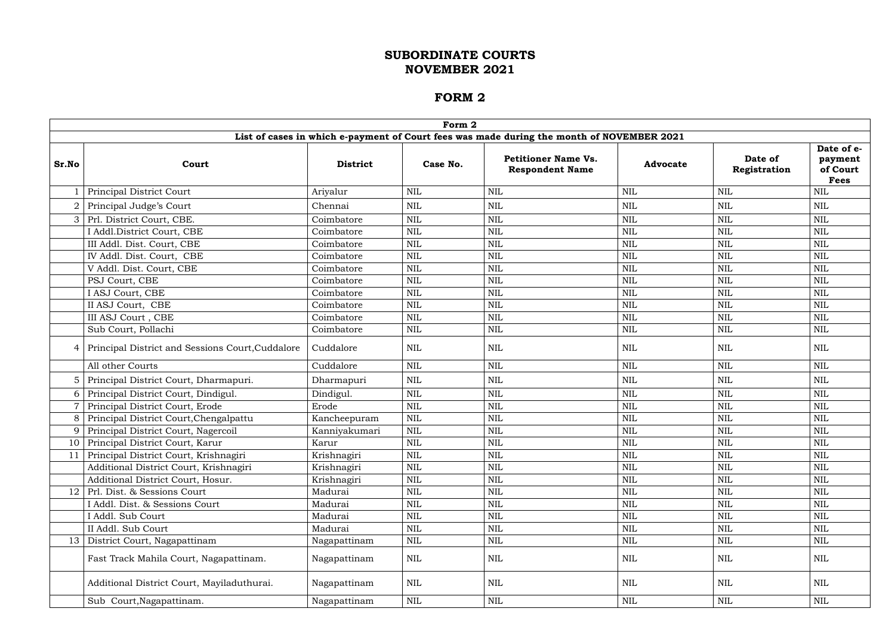|                 |                                                  |                 | Form 2       |                                                                                           |                 |                         |                                                  |
|-----------------|--------------------------------------------------|-----------------|--------------|-------------------------------------------------------------------------------------------|-----------------|-------------------------|--------------------------------------------------|
|                 |                                                  |                 |              | List of cases in which e-payment of Court fees was made during the month of NOVEMBER 2021 |                 |                         |                                                  |
| Sr.No           | Court                                            | <b>District</b> | Case No.     | <b>Petitioner Name Vs.</b><br><b>Respondent Name</b>                                      | <b>Advocate</b> | Date of<br>Registration | Date of e-<br>payment<br>of Court<br><b>Fees</b> |
|                 | Principal District Court                         | Ariyalur        | <b>NIL</b>   | <b>NIL</b>                                                                                | <b>NIL</b>      | <b>NIL</b>              | <b>NIL</b>                                       |
|                 | Principal Judge's Court                          | Chennai         | <b>NIL</b>   | NIL                                                                                       | $\textsc{nil}$  | <b>NIL</b>              | <b>NIL</b>                                       |
| 3 <sup>1</sup>  | Prl. District Court, CBE.                        | Coimbatore      | <b>NIL</b>   | <b>NIL</b>                                                                                | <b>NIL</b>      | <b>NIL</b>              | <b>NIL</b>                                       |
|                 | I Addl.District Court, CBE                       | Coimbatore      | <b>NIL</b>   | NIL                                                                                       | <b>NIL</b>      | $\mbox{NIL}$            | <b>NIL</b>                                       |
|                 | III Addl. Dist. Court, CBE                       | Coimbatore      | <b>NIL</b>   | $\text{NIL}$                                                                              | <b>NIL</b>      | <b>NIL</b>              | NIL                                              |
|                 | IV Addl. Dist. Court, CBE                        | Coimbatore      | <b>NIL</b>   | $\text{NIL}$                                                                              | <b>NIL</b>      | <b>NIL</b>              | NIL                                              |
|                 | V Addl. Dist. Court, CBE                         | Coimbatore      | <b>NIL</b>   | NIL                                                                                       | <b>NIL</b>      | <b>NIL</b>              | <b>NIL</b>                                       |
|                 | PSJ Court, CBE                                   | Coimbatore      | <b>NIL</b>   | NIL                                                                                       | <b>NIL</b>      | $\mbox{NIL}$            | <b>NIL</b>                                       |
|                 | I ASJ Court, CBE                                 | Coimbatore      | <b>NIL</b>   | NIL                                                                                       | <b>NIL</b>      | <b>NIL</b>              | <b>NIL</b>                                       |
|                 | II ASJ Court, CBE                                | Coimbatore      | <b>NIL</b>   | NIL                                                                                       | <b>NIL</b>      | <b>NIL</b>              | NIL                                              |
|                 | III ASJ Court, CBE                               | Coimbatore      | <b>NIL</b>   | $\text{NIL}$                                                                              | <b>NIL</b>      | <b>NIL</b>              | <b>NIL</b>                                       |
|                 | Sub Court, Pollachi                              | Coimbatore      | <b>NIL</b>   | $\mbox{NIL}$                                                                              | <b>NIL</b>      | $\mbox{NIL}$            | NIL                                              |
| 4               | Principal District and Sessions Court, Cuddalore | Cuddalore       | <b>NIL</b>   | <b>NIL</b>                                                                                | <b>NIL</b>      | <b>NIL</b>              | <b>NIL</b>                                       |
|                 | All other Courts                                 | Cuddalore       | <b>NIL</b>   | $\text{NIL}$                                                                              | <b>NIL</b>      | $\mbox{NIL}$            | NIL                                              |
| 5               | Principal District Court, Dharmapuri.            | Dharmapuri      | <b>NIL</b>   | NIL                                                                                       | $\textsc{nil}$  | <b>NIL</b>              | <b>NIL</b>                                       |
| 6               | Principal District Court, Dindigul.              | Dindigul.       | <b>NIL</b>   | NIL                                                                                       | <b>NIL</b>      | $\mbox{NIL}$            | <b>NIL</b>                                       |
|                 | Principal District Court, Erode                  | Erode           | <b>NIL</b>   | <b>NIL</b>                                                                                | <b>NIL</b>      | <b>NIL</b>              | NIL                                              |
| 8               | Principal District Court, Chengalpattu           | Kancheepuram    | <b>NIL</b>   | $\text{NIL}$                                                                              | <b>NIL</b>      | <b>NIL</b>              | <b>NIL</b>                                       |
| 9               | Principal District Court, Nagercoil              | Kanniyakumari   | <b>NIL</b>   | NIL                                                                                       | <b>NIL</b>      | <b>NIL</b>              | <b>NIL</b>                                       |
| 10 <sub>1</sub> | Principal District Court, Karur                  | Karur           | <b>NIL</b>   | NIL                                                                                       | <b>NIL</b>      | $\mbox{NIL}$            | <b>NIL</b>                                       |
|                 | Principal District Court, Krishnagiri            | Krishnagiri     | <b>NIL</b>   | $\mbox{NIL}$                                                                              | $\mbox{NIL}$    | $\mbox{NIL}$            | $\mbox{NIL}$                                     |
|                 | Additional District Court, Krishnagiri           | Krishnagiri     | <b>NIL</b>   | NIL                                                                                       | <b>NIL</b>      | <b>NIL</b>              | <b>NIL</b>                                       |
|                 | Additional District Court, Hosur.                | Krishnagiri     | <b>NIL</b>   | NIL                                                                                       | $\mbox{NIL}$    | $\mbox{NIL}$            | $\mbox{NIL}$                                     |
|                 | 12 Prl. Dist. & Sessions Court                   | Madurai         | <b>NIL</b>   | $\text{NIL}$                                                                              | <b>NIL</b>      | $\mbox{NIL}$            | $\mbox{NIL}$                                     |
|                 | I Addl. Dist. & Sessions Court                   | Madurai         | <b>NIL</b>   | $\mbox{NIL}$                                                                              | <b>NIL</b>      | $\mbox{NIL}$            | $\mbox{NIL}$                                     |
|                 | I Addl. Sub Court                                | Madurai         | <b>NIL</b>   | $\mbox{NIL}$                                                                              | <b>NIL</b>      | $\mbox{NIL}$            | $\mbox{NIL}$                                     |
|                 | II Addl. Sub Court                               | Madurai         | <b>NIL</b>   | $\mbox{NIL}$                                                                              | $\mbox{NIL}$    | $\mbox{NIL}$            | $\mbox{NIL}$                                     |
|                 | 13   District Court, Nagapattinam                | Nagapattinam    | <b>NIL</b>   | NIL                                                                                       | <b>NIL</b>      | <b>NIL</b>              | $\mbox{NIL}$                                     |
|                 | Fast Track Mahila Court, Nagapattinam.           | Nagapattinam    | <b>NIL</b>   | NIL                                                                                       | <b>NIL</b>      | <b>NIL</b>              | <b>NIL</b>                                       |
|                 | Additional District Court, Mayiladuthurai.       | Nagapattinam    | <b>NIL</b>   | NIL                                                                                       | <b>NIL</b>      | <b>NIL</b>              | NIL                                              |
|                 | Sub Court, Nagapattinam.                         | Nagapattinam    | $\mbox{NIL}$ | $\mbox{NIL}$                                                                              | $\mbox{NIL}$    | $\mbox{NIL}$            | $\mbox{NIL}$                                     |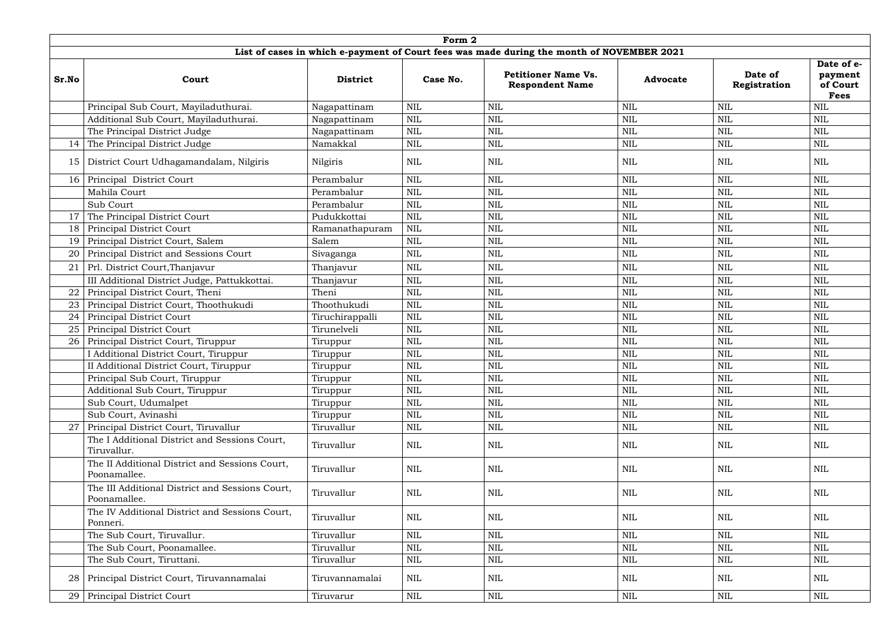|                 |                                                                 |                 | Form 2       |                                                                                           |                 |                         |                                                  |
|-----------------|-----------------------------------------------------------------|-----------------|--------------|-------------------------------------------------------------------------------------------|-----------------|-------------------------|--------------------------------------------------|
|                 |                                                                 |                 |              | List of cases in which e-payment of Court fees was made during the month of NOVEMBER 2021 |                 |                         |                                                  |
| Sr.No           | Court                                                           | <b>District</b> | Case No.     | <b>Petitioner Name Vs.</b><br><b>Respondent Name</b>                                      | <b>Advocate</b> | Date of<br>Registration | Date of e-<br>payment<br>of Court<br><b>Fees</b> |
|                 | Principal Sub Court, Mayiladuthurai.                            | Nagapattinam    | <b>NIL</b>   | <b>NIL</b>                                                                                | <b>NIL</b>      | <b>NIL</b>              | <b>NIL</b>                                       |
|                 | Additional Sub Court, Mayiladuthurai.                           | Nagapattinam    | $\text{NIL}$ | NIL                                                                                       | <b>NIL</b>      | $\mbox{NIL}$            | <b>NIL</b>                                       |
|                 | The Principal District Judge                                    | Nagapattinam    | <b>NIL</b>   | <b>NIL</b>                                                                                | <b>NIL</b>      | <b>NIL</b>              | $\mbox{NIL}$                                     |
| 14              | The Principal District Judge                                    | Namakkal        | $\text{NIL}$ | <b>NIL</b>                                                                                | NIL             | <b>NIL</b>              | NIL                                              |
| 15              | District Court Udhagamandalam, Nilgiris                         | Nilgiris        | $\mbox{NIL}$ | NIL                                                                                       | NIL             | <b>NIL</b>              | NIL                                              |
| 16              | Principal District Court                                        | Perambalur      | $\text{NIL}$ | <b>NIL</b>                                                                                | <b>NIL</b>      | <b>NIL</b>              | <b>NIL</b>                                       |
|                 | Mahila Court                                                    | Perambalur      | <b>NIL</b>   | <b>NIL</b>                                                                                | <b>NIL</b>      | <b>NIL</b>              | <b>NIL</b>                                       |
|                 | Sub Court                                                       | Perambalur      | <b>NIL</b>   | <b>NIL</b>                                                                                | <b>NIL</b>      | $\text{NIL}$            | <b>NIL</b>                                       |
| 17              | The Principal District Court                                    | Pudukkottai     | $\text{NIL}$ | NIL                                                                                       | <b>NIL</b>      | $\mbox{NIL}$            | <b>NIL</b>                                       |
| 18              | <b>Principal District Court</b>                                 | Ramanathapuram  | <b>NIL</b>   | <b>NIL</b>                                                                                | <b>NIL</b>      | <b>NIL</b>              | <b>NIL</b>                                       |
| 19              | Principal District Court, Salem                                 | Salem           | <b>NIL</b>   | NIL                                                                                       | <b>NIL</b>      | $\mbox{NIL}$            | <b>NIL</b>                                       |
| 20              | Principal District and Sessions Court                           | Sivaganga       | $\text{NIL}$ | <b>NIL</b>                                                                                | <b>NIL</b>      | $\text{NIL}$            | $\mbox{NIL}$                                     |
|                 | Prl. District Court, Thanjavur                                  | Thanjavur       | $\mbox{NIL}$ | <b>NIL</b>                                                                                | <b>NIL</b>      | $\mbox{NIL}$            | <b>NIL</b>                                       |
|                 | III Additional District Judge, Pattukkottai.                    | Thanjavur       | $\text{NIL}$ | <b>NIL</b>                                                                                | <b>NIL</b>      | $\mbox{NIL}$            | $\mbox{NIL}$                                     |
| 22              | Principal District Court, Theni                                 | Theni           | <b>NIL</b>   | <b>NIL</b>                                                                                | <b>NIL</b>      | <b>NIL</b>              | <b>NIL</b>                                       |
| 23              | Principal District Court, Thoothukudi                           | Thoothukudi     | $\mbox{NIL}$ | NIL                                                                                       | <b>NIL</b>      | $\mbox{NIL}$            | <b>NIL</b>                                       |
| 24              | Principal District Court                                        | Tiruchirappalli | <b>NIL</b>   | <b>NIL</b>                                                                                | NIL             | <b>NIL</b>              | <b>NIL</b>                                       |
| 25              | Principal District Court                                        | Tirunelveli     | <b>NIL</b>   | NIL                                                                                       | <b>NIL</b>      | $\mbox{NIL}$            | <b>NIL</b>                                       |
| 26              | Principal District Court, Tiruppur                              | Tiruppur        | $\mbox{NIL}$ | NIL                                                                                       | <b>NIL</b>      | $\mbox{NIL}$            | <b>NIL</b>                                       |
|                 | Additional District Court, Tiruppur                             | Tiruppur        | <b>NIL</b>   | NIL                                                                                       | NIL             | <b>NIL</b>              | <b>NIL</b>                                       |
|                 | II Additional District Court, Tiruppur                          | Tiruppur        | $\mbox{NIL}$ | <b>NIL</b>                                                                                | <b>NIL</b>      | <b>NIL</b>              | <b>NIL</b>                                       |
|                 | Principal Sub Court, Tiruppur                                   | Tiruppur        | $\text{NIL}$ | <b>NIL</b>                                                                                | <b>NIL</b>      | $\mbox{NIL}$            | <b>NIL</b>                                       |
|                 | Additional Sub Court, Tiruppur                                  | Tiruppur        | $\text{NIL}$ | <b>NIL</b>                                                                                | <b>NIL</b>      | <b>NIL</b>              | <b>NIL</b>                                       |
|                 | Sub Court, Udumalpet                                            | Tiruppur        | $\text{NIL}$ | NIL                                                                                       | <b>NIL</b>      | $\text{NIL}$            | <b>NIL</b>                                       |
|                 | Sub Court, Avinashi                                             | Tiruppur        | $\text{NIL}$ | NIL                                                                                       | <b>NIL</b>      | $\text{NIL}$            | <b>NIL</b>                                       |
|                 | Principal District Court, Tiruvallur                            | Tiruvallur      | $\mbox{NIL}$ | <b>NIL</b>                                                                                | NIL             | $\mbox{NIL}$            | <b>NIL</b>                                       |
|                 | The I Additional District and Sessions Court,<br>Tiruvallur.    | Tiruvallur      | <b>NIL</b>   | <b>NIL</b>                                                                                | <b>NIL</b>      | <b>NIL</b>              | <b>NIL</b>                                       |
|                 | The II Additional District and Sessions Court,<br>Poonamallee.  | Tiruvallur      | <b>NIL</b>   | NIL                                                                                       | NIL             | <b>NIL</b>              | <b>NIL</b>                                       |
|                 | The III Additional District and Sessions Court,<br>Poonamallee. | Tiruvallur      | $\mbox{NIL}$ | <b>NIL</b>                                                                                | <b>NIL</b>      | <b>NIL</b>              | <b>NIL</b>                                       |
|                 | The IV Additional District and Sessions Court,<br>Ponneri.      | Tiruvallur      | <b>NIL</b>   | <b>NIL</b>                                                                                | <b>NIL</b>      | <b>NIL</b>              | <b>NIL</b>                                       |
|                 | The Sub Court, Tiruvallur.                                      | Tiruvallur      | $\mbox{NIL}$ | <b>NIL</b>                                                                                | <b>NIL</b>      | $\mbox{NIL}$            | $\mbox{NIL}$                                     |
|                 | The Sub Court, Poonamallee.                                     | Tiruvallur      | $\text{NIL}$ | NIL                                                                                       | <b>NIL</b>      | $\mbox{NIL}$            | <b>NIL</b>                                       |
|                 | The Sub Court, Tiruttani.                                       | Tiruvallur      | $\mbox{NIL}$ | NIL                                                                                       | <b>NIL</b>      | $\mbox{NIL}$            | $\mbox{NIL}$                                     |
| 28              | Principal District Court, Tiruvannamalai                        | Tiruvannamalai  | <b>NIL</b>   | <b>NIL</b>                                                                                | NIL             | <b>NIL</b>              | <b>NIL</b>                                       |
| 29 <sup>1</sup> | <b>Principal District Court</b>                                 | Tiruvarur       | NIL          | <b>NIL</b>                                                                                | $\mbox{NIL}$    | $\mbox{NIL}$            | NIL                                              |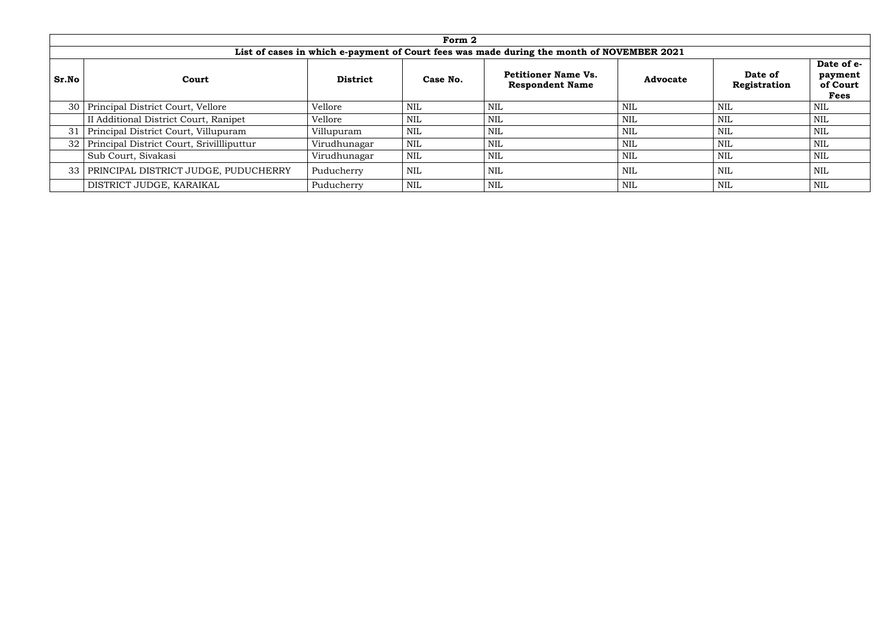|                 |                                           |                             | Form 2     |                                                                                           |                 |                         |                                                  |
|-----------------|-------------------------------------------|-----------------------------|------------|-------------------------------------------------------------------------------------------|-----------------|-------------------------|--------------------------------------------------|
|                 |                                           |                             |            | List of cases in which e-payment of Court fees was made during the month of NOVEMBER 2021 |                 |                         |                                                  |
| Sr.No           | Court                                     | <b>District</b><br>Case No. |            | <b>Petitioner Name Vs.</b><br><b>Respondent Name</b>                                      | <b>Advocate</b> | Date of<br>Registration | Date of e-<br>payment<br>of Court<br><b>Fees</b> |
| 30 <sup>1</sup> | Principal District Court, Vellore         | Vellore                     | <b>NIL</b> | NIL                                                                                       | NIL             | <b>NIL</b>              | NIL                                              |
|                 | II Additional District Court, Ranipet     | Vellore                     | <b>NIL</b> | NIL                                                                                       | NIL             | <b>NIL</b>              | NIL                                              |
| 31              | Principal District Court, Villupuram      | Villupuram                  | <b>NIL</b> | <b>NIL</b>                                                                                | NIL             | <b>NIL</b>              | <b>NIL</b>                                       |
| 32 I            | Principal District Court, Srivillliputtur | Virudhunagar                | <b>NIL</b> | <b>NIL</b>                                                                                | NIL             | <b>NIL</b>              | <b>NIL</b>                                       |
|                 | Sub Court, Sivakasi                       | Virudhunagar                | <b>NIL</b> | <b>NIL</b>                                                                                | NIL             | <b>NIL</b>              | <b>NIL</b>                                       |
| 33 <sup>1</sup> | PRINCIPAL DISTRICT JUDGE, PUDUCHERRY      | Puducherry                  | <b>NIL</b> | NIL                                                                                       | NIL             | <b>NIL</b>              | NIL                                              |
|                 | DISTRICT JUDGE, KARAIKAL                  | Puducherry                  | <b>NIL</b> | NIL                                                                                       | NIL             | <b>NIL</b>              | NIL                                              |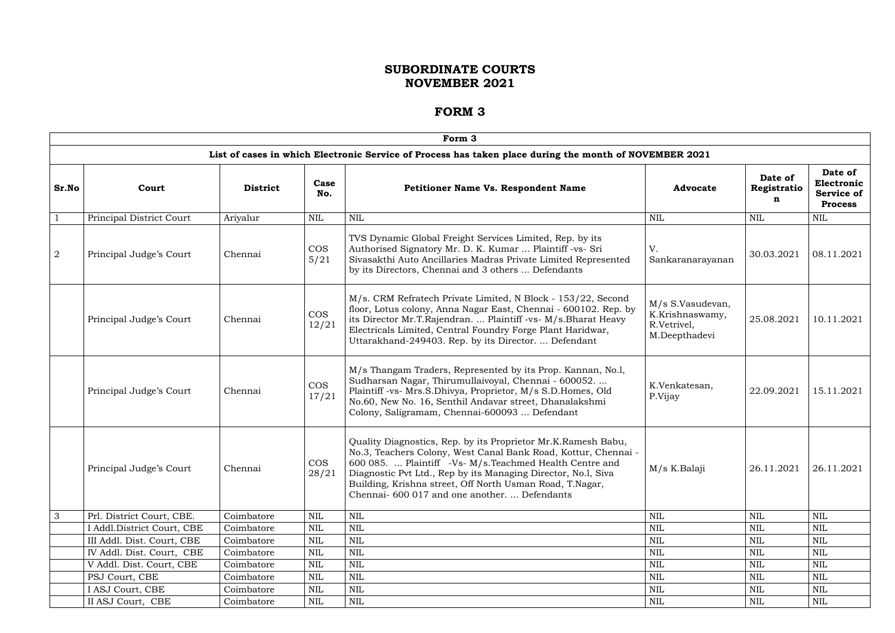|                |                            |                 |                     | Form 3                                                                                                                                                                                                                                                                                                                                                                    |                                                                     |                             |                                                              |  |  |  |  |  |  |  |  |  |  |
|----------------|----------------------------|-----------------|---------------------|---------------------------------------------------------------------------------------------------------------------------------------------------------------------------------------------------------------------------------------------------------------------------------------------------------------------------------------------------------------------------|---------------------------------------------------------------------|-----------------------------|--------------------------------------------------------------|--|--|--|--|--|--|--|--|--|--|
|                |                            |                 |                     | List of cases in which Electronic Service of Process has taken place during the month of NOVEMBER 2021                                                                                                                                                                                                                                                                    |                                                                     |                             |                                                              |  |  |  |  |  |  |  |  |  |  |
| Sr.No          | Court                      | <b>District</b> | Case<br>No.         | <b>Petitioner Name Vs. Respondent Name</b>                                                                                                                                                                                                                                                                                                                                | <b>Advocate</b>                                                     | Date of<br>Registratio<br>n | Date of<br>Electronic<br><b>Service of</b><br><b>Process</b> |  |  |  |  |  |  |  |  |  |  |
| $\overline{1}$ | Principal District Court   | Ariyalur        | <b>NIL</b>          | <b>NIL</b>                                                                                                                                                                                                                                                                                                                                                                | <b>NIL</b>                                                          | <b>NIL</b>                  | <b>NIL</b>                                                   |  |  |  |  |  |  |  |  |  |  |
| $\overline{2}$ | Principal Judge's Court    | Chennai         | <b>COS</b><br>5/21  | TVS Dynamic Global Freight Services Limited, Rep. by its<br>Authorised Signatory Mr. D. K. Kumar  Plaintiff -vs- Sri<br>Sivasakthi Auto Ancillaries Madras Private Limited Represented<br>by its Directors, Chennai and 3 others  Defendants                                                                                                                              | V.<br>Sankaranarayanan                                              | 30.03.2021                  | 08.11.2021                                                   |  |  |  |  |  |  |  |  |  |  |
|                | Principal Judge's Court    | Chennai         | <b>COS</b><br>12/21 | M/s. CRM Refratech Private Limited, N Block - 153/22, Second<br>floor, Lotus colony, Anna Nagar East, Chennai - 600102. Rep. by<br>its Director Mr.T.Rajendran.  Plaintiff -vs- M/s.Bharat Heavy<br>Electricals Limited, Central Foundry Forge Plant Haridwar,<br>Uttarakhand-249403. Rep. by its Director.  Defendant                                                    | M/s S.Vasudevan,<br>K.Krishnaswamy,<br>R.Vetrivel,<br>M.Deepthadevi | 25.08.2021                  | 10.11.2021                                                   |  |  |  |  |  |  |  |  |  |  |
|                | Principal Judge's Court    | Chennai         | <b>COS</b><br>17/21 | M/s Thangam Traders, Represented by its Prop. Kannan, No.l,<br>Sudharsan Nagar, Thirumullaivoyal, Chennai - 600052.<br>Plaintiff -vs- Mrs.S.Dhivya, Proprietor, M/s S.D.Homes, Old<br>No.60, New No. 16, Senthil Andavar street, Dhanalakshmi<br>Colony, Saligramam, Chennai-600093  Defendant                                                                            | K.Venkatesan,<br>P.Vijay                                            | 22.09.2021                  | 15.11.2021                                                   |  |  |  |  |  |  |  |  |  |  |
|                | Principal Judge's Court    | Chennai         | <b>COS</b><br>28/21 | Quality Diagnostics, Rep. by its Proprietor Mr.K.Ramesh Babu,<br>No.3, Teachers Colony, West Canal Bank Road, Kottur, Chennai -<br>600 085.  Plaintiff -Vs- M/s. Teachmed Health Centre and<br>Diagnostic Pvt Ltd., Rep by its Managing Director, No.1, Siva<br>Building, Krishna street, Off North Usman Road, T.Nagar,<br>Chennai- 600 017 and one another.  Defendants | M/s K.Balaji                                                        | 26.11.2021                  | 26.11.2021                                                   |  |  |  |  |  |  |  |  |  |  |
| $\mathbf{3}$   | Prl. District Court, CBE.  | Coimbatore      | NIL                 | <b>NIL</b>                                                                                                                                                                                                                                                                                                                                                                | $\mbox{NIL}$                                                        | NIL                         | <b>NIL</b>                                                   |  |  |  |  |  |  |  |  |  |  |
|                | I Addl.District Court, CBE | Coimbatore      | NIL                 | <b>NIL</b>                                                                                                                                                                                                                                                                                                                                                                | <b>NIL</b>                                                          | NIL                         | <b>NIL</b>                                                   |  |  |  |  |  |  |  |  |  |  |
|                | III Addl. Dist. Court, CBE | Coimbatore      | <b>NIL</b>          | $\mbox{NIL}$                                                                                                                                                                                                                                                                                                                                                              | $\mbox{NIL}$                                                        | NIL                         | <b>NIL</b>                                                   |  |  |  |  |  |  |  |  |  |  |
|                | IV Addl. Dist. Court, CBE  | Coimbatore      | NIL                 | <b>NIL</b>                                                                                                                                                                                                                                                                                                                                                                | $\mbox{NIL}$                                                        | <b>NIL</b>                  | <b>NIL</b>                                                   |  |  |  |  |  |  |  |  |  |  |
|                | V Addl. Dist. Court, CBE   | Coimbatore      | <b>NIL</b>          | <b>NIL</b>                                                                                                                                                                                                                                                                                                                                                                | $\mbox{NIL}$                                                        | NIL                         | <b>NIL</b>                                                   |  |  |  |  |  |  |  |  |  |  |
|                | PSJ Court, CBE             | Coimbatore      | NIL                 | <b>NIL</b>                                                                                                                                                                                                                                                                                                                                                                | NIL                                                                 | NIL                         | NIL                                                          |  |  |  |  |  |  |  |  |  |  |
|                | I ASJ Court, CBE           | Coimbatore      | NIL                 | <b>NIL</b>                                                                                                                                                                                                                                                                                                                                                                | $\mbox{NIL}$                                                        | NIL                         | NIL                                                          |  |  |  |  |  |  |  |  |  |  |
|                | II ASJ Court, CBE          | Coimbatore      | $\mbox{NIL}$        | $\mbox{NIL}$                                                                                                                                                                                                                                                                                                                                                              | <b>NIL</b>                                                          | NIL                         | $\mbox{NIL}$                                                 |  |  |  |  |  |  |  |  |  |  |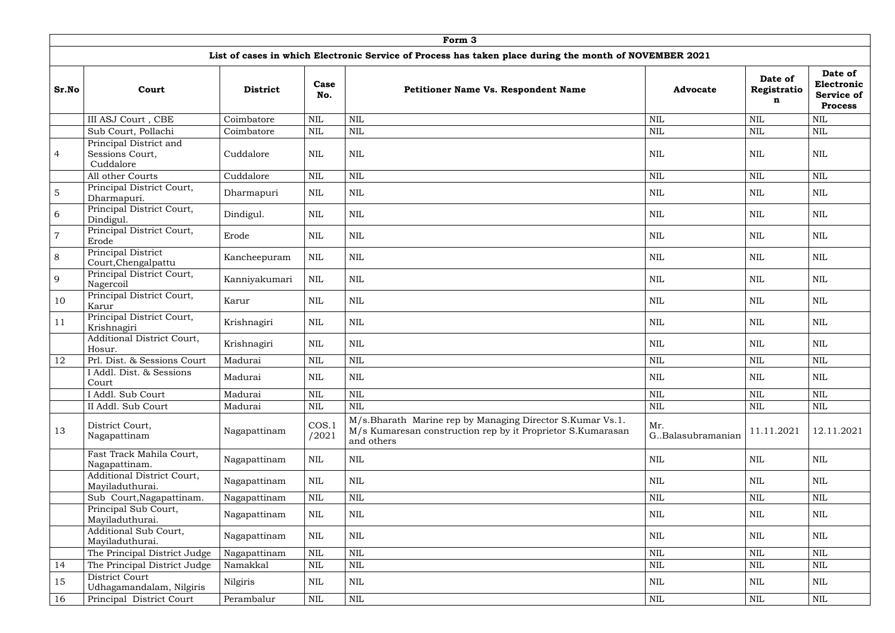|                |                                                        |                 |                | Form 3                                                                                                                                 |                            |                             |                                                              |
|----------------|--------------------------------------------------------|-----------------|----------------|----------------------------------------------------------------------------------------------------------------------------------------|----------------------------|-----------------------------|--------------------------------------------------------------|
|                |                                                        |                 |                | List of cases in which Electronic Service of Process has taken place during the month of NOVEMBER 2021                                 |                            |                             |                                                              |
| Sr.No          | Court                                                  | <b>District</b> | Case<br>No.    | Petitioner Name Vs. Respondent Name                                                                                                    | <b>Advocate</b>            | Date of<br>Registratio<br>n | Date of<br>Electronic<br><b>Service of</b><br><b>Process</b> |
|                | III ASJ Court, CBE                                     | Coimbatore      | $\mbox{NIL}$   | <b>NIL</b>                                                                                                                             | <b>NIL</b>                 | $\mbox{NIL}$                | <b>NIL</b>                                                   |
|                | Sub Court, Pollachi                                    | Coimbatore      | <b>NIL</b>     | <b>NIL</b>                                                                                                                             | <b>NIL</b>                 | $\mbox{NIL}$                | <b>NIL</b>                                                   |
| $\overline{4}$ | Principal District and<br>Sessions Court,<br>Cuddalore | Cuddalore       | <b>NIL</b>     | <b>NIL</b>                                                                                                                             | <b>NIL</b>                 | $\mbox{NIL}$                | <b>NIL</b>                                                   |
|                | All other Courts                                       | Cuddalore       | NIL            | <b>NIL</b>                                                                                                                             | <b>NIL</b>                 | $\mbox{NIL}$                | <b>NIL</b>                                                   |
| $\overline{5}$ | Principal District Court,<br>Dharmapuri.               | Dharmapuri      | <b>NIL</b>     | <b>NIL</b>                                                                                                                             | <b>NIL</b>                 | $\mbox{NIL}$                | <b>NIL</b>                                                   |
| 6              | Principal District Court,<br>Dindigul.                 | Dindigul.       | NIL            | <b>NIL</b>                                                                                                                             | NIL                        | <b>NIL</b>                  | NIL                                                          |
| $\overline{7}$ | Principal District Court,<br>Erode                     | Erode           | <b>NIL</b>     | <b>NIL</b>                                                                                                                             | <b>NIL</b>                 | $\mbox{NIL}$                | <b>NIL</b>                                                   |
| 8              | Principal District<br>Court, Chengalpattu              | Kancheepuram    | <b>NIL</b>     | <b>NIL</b>                                                                                                                             | <b>NIL</b>                 | <b>NIL</b>                  | <b>NIL</b>                                                   |
| 9              | Principal District Court,<br>Nagercoil                 | Kanniyakumari   | $\mbox{NIL}$   | <b>NIL</b>                                                                                                                             | $\text{NIL}$               | $\mbox{NIL}$                | <b>NIL</b>                                                   |
| 10             | Principal District Court,<br>Karur                     | Karur           | <b>NIL</b>     | <b>NIL</b>                                                                                                                             | <b>NIL</b>                 | <b>NIL</b>                  | <b>NIL</b>                                                   |
| 11             | Principal District Court,<br>Krishnagiri               | Krishnagiri     | NIL            | <b>NIL</b>                                                                                                                             | <b>NIL</b>                 | <b>NIL</b>                  | <b>NIL</b>                                                   |
|                | Additional District Court,<br>Hosur.                   | Krishnagiri     | NIL            | <b>NIL</b>                                                                                                                             | <b>NIL</b>                 | $\mbox{NIL}$                | <b>NIL</b>                                                   |
| 12             | Prl. Dist. & Sessions Court                            | Madurai         | $\mbox{NIL}$   | <b>NIL</b>                                                                                                                             | <b>NIL</b>                 | <b>NIL</b>                  | <b>NIL</b>                                                   |
|                | I Addl. Dist. & Sessions<br>Court                      | Madurai         | $\mbox{NIL}$   | <b>NIL</b>                                                                                                                             | $\text{NIL}$               | $\mbox{NIL}$                | $\mbox{NIL}$                                                 |
|                | I Addl. Sub Court                                      | Madurai         | $\mbox{NIL}$   | <b>NIL</b>                                                                                                                             | <b>NIL</b>                 | $\mbox{NIL}$                | <b>NIL</b>                                                   |
|                | II Addl. Sub Court                                     | Madurai         | $\mbox{NIL}$   | <b>NIL</b>                                                                                                                             | $\mbox{NIL}$               | <b>NIL</b>                  | $\mbox{NIL}$                                                 |
| 13             | District Court,<br>Nagapattinam                        | Nagapattinam    | COS.1<br>/2021 | M/s.Bharath Marine rep by Managing Director S.Kumar Vs.1.<br>M/s Kumaresan construction rep by it Proprietor S.Kumarasan<br>and others | Mr.<br>G., Balasubramanian | 11.11.2021                  | 12.11.2021                                                   |
|                | Fast Track Mahila Court,<br>Nagapattinam.              | Nagapattinam    | NIL            | NIL                                                                                                                                    | $\text{NIL}$               | $\mbox{NIL}$                | $\mbox{NIL}$                                                 |
|                | Additional District Court,<br>Mayiladuthurai.          | Nagapattinam    | NIL            | $\mbox{NIL}$                                                                                                                           | <b>NIL</b>                 | NIL                         | <b>NIL</b>                                                   |
|                | Sub Court, Nagapattinam.                               | Nagapattinam    | NIL            | <b>NIL</b>                                                                                                                             | NIL                        | $\mbox{NIL}$                | <b>NIL</b>                                                   |
|                | Principal Sub Court,<br>Mayiladuthurai.                | Nagapattinam    | NIL            | <b>NIL</b>                                                                                                                             | <b>NIL</b>                 | NIL                         | <b>NIL</b>                                                   |
|                | Additional Sub Court,<br>Mayiladuthurai.               | Nagapattinam    | NIL            | $\text{NIL}$                                                                                                                           | <b>NIL</b>                 | NIL                         | <b>NIL</b>                                                   |
|                | The Principal District Judge                           | Nagapattinam    | $\mbox{NIL}$   | <b>NIL</b>                                                                                                                             | $\text{NIL}$               | $\mbox{NIL}$                | <b>NIL</b>                                                   |
| 14             | The Principal District Judge                           | Namakkal        | $\mbox{NIL}$   | <b>NIL</b>                                                                                                                             | NIL                        | NIL                         | <b>NIL</b>                                                   |
| 15             | District Court<br>Udhagamandalam, Nilgiris             | Nilgiris        | NIL            | <b>NIL</b>                                                                                                                             | NIL                        | NIL                         | <b>NIL</b>                                                   |
| 16             | Principal District Court                               | Perambalur      | $\mbox{NIL}$   | $\mbox{NIL}$                                                                                                                           | $\mbox{NIL}$               | $\mbox{NIL}$                | $\mbox{NIL}$                                                 |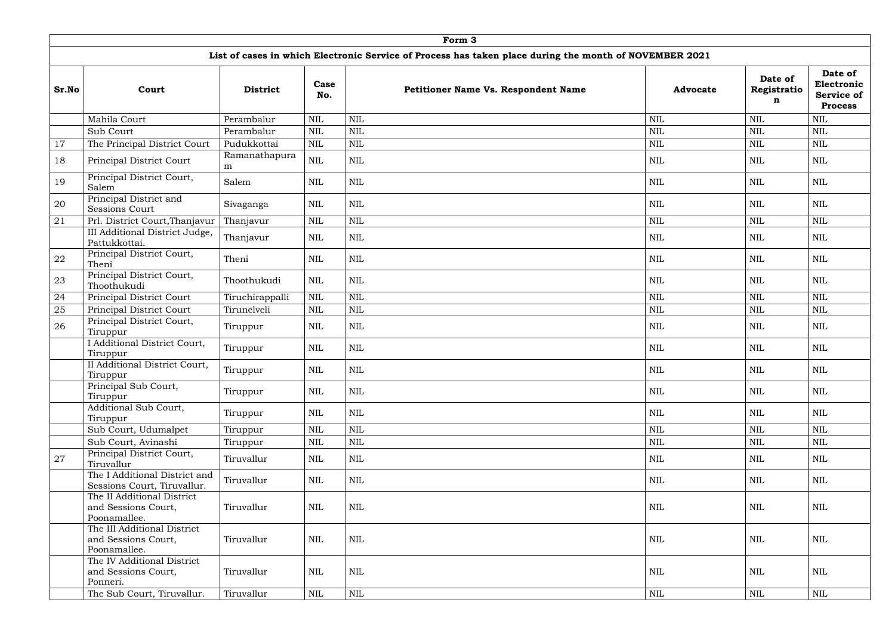|       | Form 3                                                             |                    |              |              |                                                                                                        |                 |                             |                                                              |  |  |  |  |
|-------|--------------------------------------------------------------------|--------------------|--------------|--------------|--------------------------------------------------------------------------------------------------------|-----------------|-----------------------------|--------------------------------------------------------------|--|--|--|--|
|       |                                                                    |                    |              |              | List of cases in which Electronic Service of Process has taken place during the month of NOVEMBER 2021 |                 |                             |                                                              |  |  |  |  |
| Sr.No | Court                                                              | <b>District</b>    | Case<br>No.  |              | Petitioner Name Vs. Respondent Name                                                                    | <b>Advocate</b> | Date of<br>Registratio<br>n | Date of<br>Electronic<br><b>Service of</b><br><b>Process</b> |  |  |  |  |
|       | Mahila Court                                                       | Perambalur         | <b>NIL</b>   | $\mbox{NIL}$ |                                                                                                        | <b>NIL</b>      | <b>NIL</b>                  | <b>NIL</b>                                                   |  |  |  |  |
|       | Sub Court                                                          | Perambalur         | <b>NIL</b>   | <b>NIL</b>   |                                                                                                        | <b>NIL</b>      | $\text{NIL}$                | <b>NIL</b>                                                   |  |  |  |  |
| 17    | The Principal District Court                                       | Pudukkottai        | $\mbox{NIL}$ | $\mbox{NIL}$ |                                                                                                        | $\text{NIL}$    | $\text{NIL}$                | $\mbox{NIL}$                                                 |  |  |  |  |
| 18    | Principal District Court                                           | Ramanathapura<br>m | <b>NIL</b>   | <b>NIL</b>   |                                                                                                        | NIL             | NIL                         | NIL                                                          |  |  |  |  |
| 19    | Principal District Court,<br>Salem                                 | Salem              | $\mbox{NIL}$ | $\mbox{NIL}$ |                                                                                                        | <b>NIL</b>      | NIL                         | $\mbox{NIL}$                                                 |  |  |  |  |
| 20    | Principal District and<br><b>Sessions Court</b>                    | Sivaganga          | NIL          | <b>NIL</b>   |                                                                                                        | <b>NIL</b>      | <b>NIL</b>                  | <b>NIL</b>                                                   |  |  |  |  |
| 21    | Prl. District Court, Thanjavur                                     | Thanjavur          | $\mbox{NIL}$ | $\mbox{NIL}$ |                                                                                                        | $\text{NIL}$    | $\mbox{NIL}$                | $\mbox{NIL}$                                                 |  |  |  |  |
|       | III Additional District Judge,<br>Pattukkottai.                    | Thanjavur          | <b>NIL</b>   | <b>NIL</b>   |                                                                                                        | NIL             | NIL                         | <b>NIL</b>                                                   |  |  |  |  |
| 22    | Principal District Court,<br>Theni                                 | Theni              | <b>NIL</b>   | $\mbox{NIL}$ |                                                                                                        | <b>NIL</b>      | <b>NIL</b>                  | <b>NIL</b>                                                   |  |  |  |  |
| 23    | Principal District Court,<br>Thoothukudi                           | Thoothukudi        | <b>NIL</b>   | $\mbox{NIL}$ |                                                                                                        | $\text{NIL}$    | <b>NIL</b>                  | <b>NIL</b>                                                   |  |  |  |  |
| 24    | Principal District Court                                           | Tiruchirappalli    | $\mbox{NIL}$ | <b>NIL</b>   |                                                                                                        | <b>NIL</b>      | $\mbox{NIL}$                | <b>NIL</b>                                                   |  |  |  |  |
| 25    | Principal District Court                                           | Tirunelveli        | <b>NIL</b>   | $\mbox{NIL}$ |                                                                                                        | <b>NIL</b>      | $\text{NIL}$                | <b>NIL</b>                                                   |  |  |  |  |
| 26    | Principal District Court,<br>Tiruppur                              | Tiruppur           | $\mbox{NIL}$ | $\mbox{NIL}$ |                                                                                                        | $\text{NIL}$    | <b>NIL</b>                  | $\mbox{NIL}$                                                 |  |  |  |  |
|       | I Additional District Court,<br>Tiruppur                           | Tiruppur           | <b>NIL</b>   | <b>NIL</b>   |                                                                                                        | <b>NIL</b>      | $\text{NIL}$                | <b>NIL</b>                                                   |  |  |  |  |
|       | II Additional District Court,<br>Tiruppur                          | Tiruppur           | <b>NIL</b>   | $\mbox{NIL}$ |                                                                                                        | $\mbox{NIL}$    | $\mbox{NIL}$                | $\mbox{NIL}$                                                 |  |  |  |  |
|       | Principal Sub Court,<br>Tiruppur                                   | Tiruppur           | NIL          | <b>NIL</b>   |                                                                                                        | <b>NIL</b>      | NIL                         | NIL                                                          |  |  |  |  |
|       | Additional Sub Court,<br>Tiruppur                                  | Tiruppur           | <b>NIL</b>   | <b>NIL</b>   |                                                                                                        | <b>NIL</b>      | NIL                         | <b>NIL</b>                                                   |  |  |  |  |
|       | Sub Court, Udumalpet                                               | Tiruppur           | <b>NIL</b>   | $\mbox{NIL}$ |                                                                                                        | $\text{NIL}$    | $\mbox{NIL}$                | <b>NIL</b>                                                   |  |  |  |  |
|       | Sub Court, Avinashi                                                | Tiruppur           | $\mbox{NIL}$ | $\mbox{NIL}$ |                                                                                                        | $\text{NIL}$    | <b>NIL</b>                  | $\mbox{NIL}$                                                 |  |  |  |  |
| 27    | Principal District Court,<br>Tiruvallur                            | Tiruvallur         | <b>NIL</b>   | NIL          |                                                                                                        | <b>NIL</b>      | NIL                         | <b>NIL</b>                                                   |  |  |  |  |
|       | The I Additional District and<br>Sessions Court, Tiruvallur.       | Tiruvallur         | NIL          | NIL          |                                                                                                        | NIL             | NIL                         | NIL                                                          |  |  |  |  |
|       | The II Additional District<br>and Sessions Court,<br>Poonamallee.  | Tiruvallur         | NIL          | $\mbox{NIL}$ |                                                                                                        | $\mbox{NIL}$    | <b>NIL</b>                  | NIL                                                          |  |  |  |  |
|       | The III Additional District<br>and Sessions Court,<br>Poonamallee. | Tiruvallur         | NIL          | <b>NIL</b>   |                                                                                                        | NIL             | NIL                         | NIL                                                          |  |  |  |  |
|       | The IV Additional District<br>and Sessions Court,<br>Ponneri.      | Tiruvallur         | NIL          | <b>NIL</b>   |                                                                                                        | <b>NIL</b>      | NIL                         | NIL                                                          |  |  |  |  |
|       | The Sub Court, Tiruvallur.                                         | Tiruvallur         | $\mbox{NIL}$ | $\mbox{NIL}$ |                                                                                                        | $\mbox{NIL}$    | NIL                         | $\mbox{NIL}$                                                 |  |  |  |  |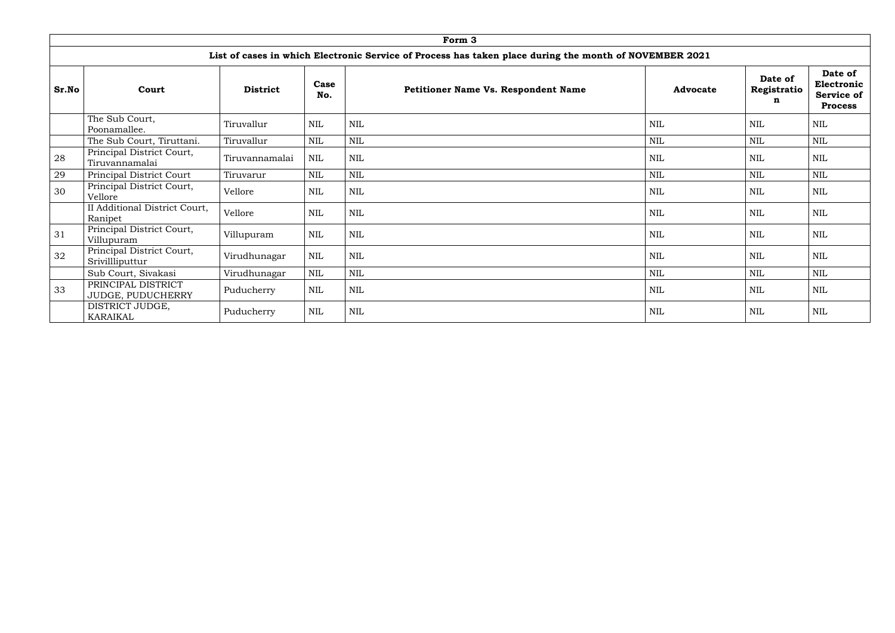|       |                                                 |                 |              | Form 3                                                                                                 |                 |                             |                                                              |
|-------|-------------------------------------------------|-----------------|--------------|--------------------------------------------------------------------------------------------------------|-----------------|-----------------------------|--------------------------------------------------------------|
|       |                                                 |                 |              | List of cases in which Electronic Service of Process has taken place during the month of NOVEMBER 2021 |                 |                             |                                                              |
| Sr.No | Court                                           | <b>District</b> | Case<br>No.  | <b>Petitioner Name Vs. Respondent Name</b>                                                             | <b>Advocate</b> | Date of<br>Registratio<br>n | Date of<br>Electronic<br><b>Service of</b><br><b>Process</b> |
|       | The Sub Court,<br>Poonamallee.                  | Tiruvallur      | <b>NIL</b>   | <b>NIL</b>                                                                                             | <b>NIL</b>      | <b>NIL</b>                  | <b>NIL</b>                                                   |
|       | The Sub Court, Tiruttani.                       | Tiruvallur      | <b>NIL</b>   | <b>NIL</b>                                                                                             | <b>NIL</b>      | <b>NIL</b>                  | <b>NIL</b>                                                   |
| 28    | Principal District Court,<br>Tiruvannamalai     | Tiruvannamalai  | $\mbox{NIL}$ | <b>NIL</b>                                                                                             | $\text{NIL}$    | $\mbox{NIL}$                | $\mbox{NIL}$                                                 |
| 29    | Principal District Court                        | Tiruvarur       | NIL          | <b>NIL</b>                                                                                             | <b>NIL</b>      | <b>NIL</b>                  | <b>NIL</b>                                                   |
| 30    | Principal District Court,<br>Vellore            | Vellore         | NIL          | <b>NIL</b>                                                                                             | <b>NIL</b>      | <b>NIL</b>                  | <b>NIL</b>                                                   |
|       | <b>II Additional District Court,</b><br>Ranipet | Vellore         | <b>NIL</b>   | <b>NIL</b>                                                                                             | <b>NIL</b>      | $\mbox{NIL}$                | $\mbox{NIL}$                                                 |
| 31    | Principal District Court,<br>Villupuram         | Villupuram      | <b>NIL</b>   | <b>NIL</b>                                                                                             | <b>NIL</b>      | <b>NIL</b>                  | <b>NIL</b>                                                   |
| 32    | Principal District Court,<br>Srivillliputtur    | Virudhunagar    | $\mbox{NIL}$ | <b>NIL</b>                                                                                             | <b>NIL</b>      | $\mbox{NIL}$                | <b>NIL</b>                                                   |
|       | Sub Court, Sivakasi                             | Virudhunagar    | <b>NIL</b>   | <b>NIL</b>                                                                                             | <b>NIL</b>      | <b>NIL</b>                  | <b>NIL</b>                                                   |
| 33    | PRINCIPAL DISTRICT<br>JUDGE, PUDUCHERRY         | Puducherry      | <b>NIL</b>   | <b>NIL</b>                                                                                             | <b>NIL</b>      | <b>NIL</b>                  | <b>NIL</b>                                                   |
|       | DISTRICT JUDGE,<br><b>KARAIKAL</b>              | Puducherry      | NIL          | <b>NIL</b>                                                                                             | <b>NIL</b>      | <b>NIL</b>                  | <b>NIL</b>                                                   |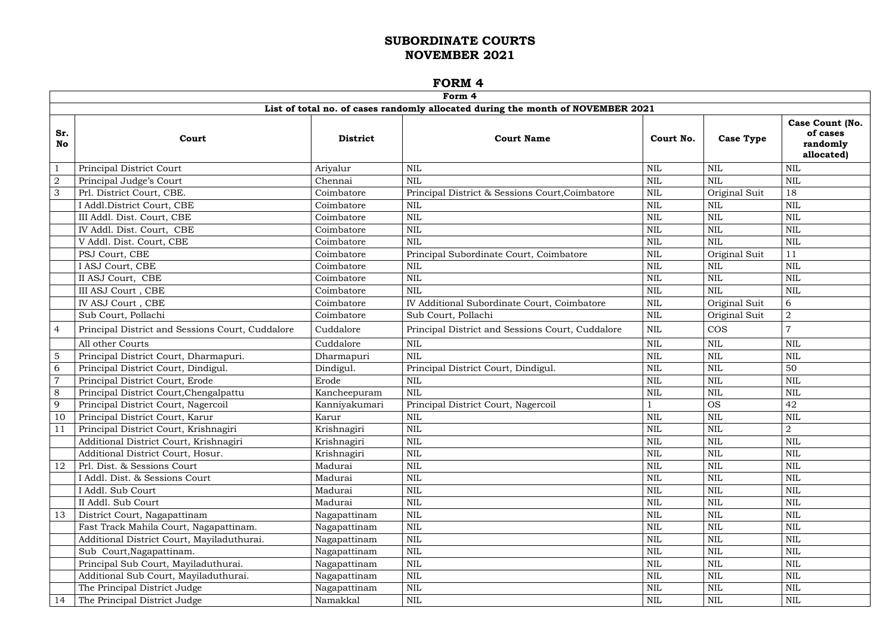|                |                                                  |                 | Form 4                                                                          |            |                  |                                                              |
|----------------|--------------------------------------------------|-----------------|---------------------------------------------------------------------------------|------------|------------------|--------------------------------------------------------------|
|                |                                                  |                 | List of total no. of cases randomly allocated during the month of NOVEMBER 2021 |            |                  |                                                              |
| Sr.<br>No      | Court                                            | <b>District</b> | <b>Court Name</b>                                                               | Court No.  | <b>Case Type</b> | <b>Case Count (No.</b><br>of cases<br>randomly<br>allocated) |
|                | Principal District Court                         | Ariyalur        | <b>NIL</b>                                                                      | <b>NIL</b> | <b>NIL</b>       | <b>NIL</b>                                                   |
| $\overline{2}$ | Principal Judge's Court                          | Chennai         | <b>NIL</b>                                                                      | NIL        | <b>NIL</b>       | <b>NIL</b>                                                   |
| $\mathcal{S}$  | Prl. District Court, CBE.                        | Coimbatore      | Principal District & Sessions Court, Coimbatore                                 | NIL        | Original Suit    | 18                                                           |
|                | I Addl.District Court, CBE                       | Coimbatore      | <b>NIL</b>                                                                      | NIL        | <b>NIL</b>       | <b>NIL</b>                                                   |
|                | III Addl. Dist. Court, CBE                       | Coimbatore      | <b>NIL</b>                                                                      | <b>NIL</b> | <b>NIL</b>       | <b>NIL</b>                                                   |
|                | IV Addl. Dist. Court, CBE                        | Coimbatore      | <b>NIL</b>                                                                      | NIL        | <b>NIL</b>       | <b>NIL</b>                                                   |
|                | V Addl. Dist. Court, CBE                         | Coimbatore      | <b>NIL</b>                                                                      | <b>NIL</b> | <b>NIL</b>       | <b>NIL</b>                                                   |
|                | PSJ Court, CBE                                   | Coimbatore      | Principal Subordinate Court, Coimbatore                                         | <b>NIL</b> | Original Suit    | 11                                                           |
|                | I ASJ Court, CBE                                 | Coimbatore      | <b>NIL</b>                                                                      | NIL        | NIL              | <b>NIL</b>                                                   |
|                | II ASJ Court, CBE                                | Coimbatore      | <b>NIL</b>                                                                      | NIL        | <b>NIL</b>       | <b>NIL</b>                                                   |
|                | III ASJ Court, CBE                               | Coimbatore      | <b>NIL</b>                                                                      | <b>NIL</b> | <b>NIL</b>       | <b>NIL</b>                                                   |
|                | <b>IV ASJ Court, CBE</b>                         | Coimbatore      | IV Additional Subordinate Court, Coimbatore                                     | <b>NIL</b> | Original Suit    | 6                                                            |
|                | Sub Court, Pollachi                              | Coimbatore      | Sub Court, Pollachi                                                             | <b>NIL</b> | Original Suit    | $\overline{2}$                                               |
| $\overline{4}$ | Principal District and Sessions Court, Cuddalore | Cuddalore       | Principal District and Sessions Court, Cuddalore                                | <b>NIL</b> | <b>COS</b>       |                                                              |
|                | All other Courts                                 | Cuddalore       | <b>NIL</b>                                                                      | <b>NIL</b> | <b>NIL</b>       | <b>NIL</b>                                                   |
| $\overline{5}$ | Principal District Court, Dharmapuri.            | Dharmapuri      | <b>NIL</b>                                                                      | <b>NIL</b> | <b>NIL</b>       | <b>NIL</b>                                                   |
| 6              | Principal District Court, Dindigul.              | Dindigul.       | Principal District Court, Dindigul.                                             | NIL        | NIL              | 50                                                           |
| $\overline{7}$ | Principal District Court, Erode                  | Erode           | NIL                                                                             | <b>NIL</b> | <b>NIL</b>       | <b>NIL</b>                                                   |
| 8              | Principal District Court, Chengalpattu           | Kancheepuram    | <b>NIL</b>                                                                      | NIL        | NIL              | <b>NIL</b>                                                   |
| 9              | Principal District Court, Nagercoil              | Kanniyakumari   | Principal District Court, Nagercoil                                             |            | <b>OS</b>        | 42                                                           |
| 10             | Principal District Court, Karur                  | Karur           | <b>NIL</b>                                                                      | NIL        | <b>NIL</b>       | <b>NIL</b>                                                   |
|                | Principal District Court, Krishnagiri            | Krishnagiri     | <b>NIL</b>                                                                      | <b>NIL</b> | NIL              | $\Omega$                                                     |
|                | Additional District Court, Krishnagiri           | Krishnagiri     | $\mbox{NIL}$                                                                    | <b>NIL</b> | <b>NIL</b>       | NIL                                                          |
|                | Additional District Court, Hosur.                | Krishnagiri     | <b>NIL</b>                                                                      | NIL        | <b>NIL</b>       | <b>NIL</b>                                                   |
| 12             | Prl. Dist. & Sessions Court                      | Madurai         | <b>NIL</b>                                                                      | <b>NIL</b> | <b>NIL</b>       | <b>NIL</b>                                                   |
|                | I Addl. Dist. & Sessions Court                   | Madurai         | <b>NIL</b>                                                                      | NIL        | NIL              | <b>NIL</b>                                                   |
|                | I Addl. Sub Court                                | Madurai         | <b>NIL</b>                                                                      | NIL        | <b>NIL</b>       | <b>NIL</b>                                                   |
|                | II Addl. Sub Court                               | Madurai         | <b>NIL</b>                                                                      | <b>NIL</b> | <b>NIL</b>       | <b>NIL</b>                                                   |
| 13             | District Court, Nagapattinam                     | Nagapattinam    | $\mbox{NIL}$                                                                    | NIL        | NIL              | <b>NIL</b>                                                   |
|                | Fast Track Mahila Court, Nagapattinam.           | Nagapattinam    | $\mbox{NIL}$                                                                    | NIL        | <b>NIL</b>       | <b>NIL</b>                                                   |
|                | Additional District Court, Mayiladuthurai.       | Nagapattinam    | $\mbox{NIL}$                                                                    | NIL        | NIL              | <b>NIL</b>                                                   |
|                | Sub Court, Nagapattinam.                         | Nagapattinam    | $\mbox{NIL}$                                                                    | NIL        | <b>NIL</b>       | <b>NIL</b>                                                   |
|                | Principal Sub Court, Mayiladuthurai.             | Nagapattinam    | $\mbox{NIL}$                                                                    | NIL        | NIL              | $\mbox{NIL}$                                                 |
|                | Additional Sub Court, Mayiladuthurai.            | Nagapattinam    | $\mbox{NIL}$                                                                    | NIL        | <b>NIL</b>       | <b>NIL</b>                                                   |
|                | The Principal District Judge                     | Nagapattinam    | $\mbox{NIL}$                                                                    | NIL        | <b>NIL</b>       | $\mbox{NIL}$                                                 |
| 14             | The Principal District Judge                     | Namakkal        | NIL                                                                             | NIL        | NIL              | <b>NIL</b>                                                   |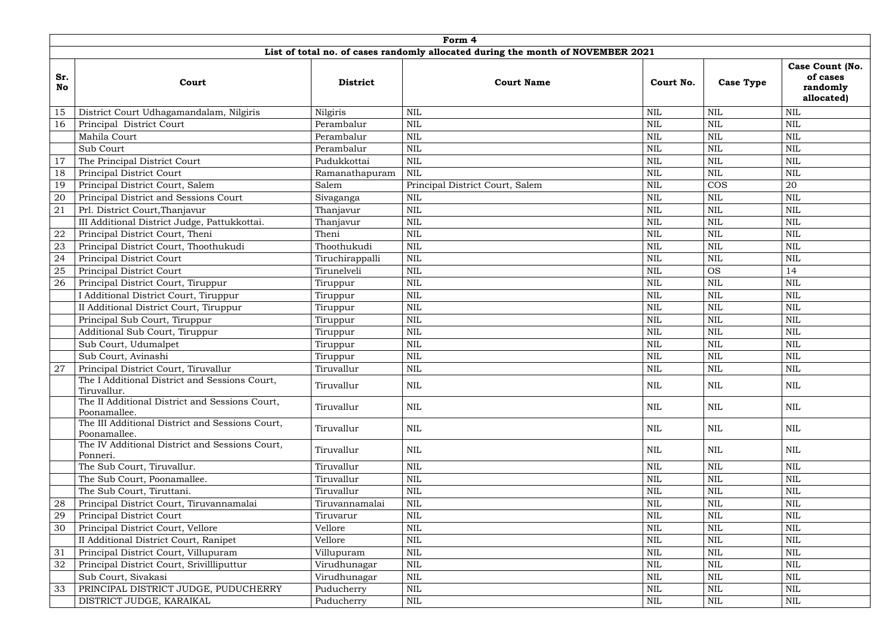|                  | Form 4                                                          |                 |                                                                                 |            |                  |                                                       |  |  |  |  |  |  |
|------------------|-----------------------------------------------------------------|-----------------|---------------------------------------------------------------------------------|------------|------------------|-------------------------------------------------------|--|--|--|--|--|--|
|                  |                                                                 |                 | List of total no. of cases randomly allocated during the month of NOVEMBER 2021 |            |                  |                                                       |  |  |  |  |  |  |
| Sr.<br><b>No</b> | Court                                                           | <b>District</b> | <b>Court Name</b>                                                               | Court No.  | <b>Case Type</b> | Case Count (No.<br>of cases<br>randomly<br>allocated) |  |  |  |  |  |  |
| 15               | District Court Udhagamandalam, Nilgiris                         | Nilgiris        | <b>NIL</b>                                                                      | <b>NIL</b> | <b>NIL</b>       | <b>NIL</b>                                            |  |  |  |  |  |  |
| 16               | Principal District Court                                        | Perambalur      | <b>NIL</b>                                                                      | <b>NIL</b> | NIL              | <b>NIL</b>                                            |  |  |  |  |  |  |
|                  | Mahila Court                                                    | Perambalur      | <b>NIL</b>                                                                      | NIL        | NIL              | NIL                                                   |  |  |  |  |  |  |
|                  | Sub Court                                                       | Perambalur      | <b>NIL</b>                                                                      | <b>NIL</b> | NIL              | <b>NIL</b>                                            |  |  |  |  |  |  |
| 17               | The Principal District Court                                    | Pudukkottai     | $\text{NIL}$                                                                    | NIL        | NIL              | <b>NIL</b>                                            |  |  |  |  |  |  |
| 18               | Principal District Court                                        | Ramanathapuram  | <b>NIL</b>                                                                      | <b>NIL</b> | NIL              | <b>NIL</b>                                            |  |  |  |  |  |  |
| 19               | Principal District Court, Salem                                 | Salem           | Principal District Court, Salem                                                 | <b>NIL</b> | <b>COS</b>       | 20                                                    |  |  |  |  |  |  |
| 20               | Principal District and Sessions Court                           | Sivaganga       | <b>NIL</b>                                                                      | <b>NIL</b> | NIL              | <b>NIL</b>                                            |  |  |  |  |  |  |
| 21               | Prl. District Court, Thanjavur                                  | Thanjavur       | <b>NIL</b>                                                                      | NIL        | NIL              | <b>NIL</b>                                            |  |  |  |  |  |  |
|                  | III Additional District Judge, Pattukkottai.                    | Thanjavur       | <b>NIL</b>                                                                      | <b>NIL</b> | <b>NIL</b>       | <b>NIL</b>                                            |  |  |  |  |  |  |
| 22               | Principal District Court, Theni                                 | Theni           | <b>NIL</b>                                                                      | <b>NIL</b> | <b>NIL</b>       | <b>NIL</b>                                            |  |  |  |  |  |  |
| 23               | Principal District Court, Thoothukudi                           | Thoothukudi     | <b>NIL</b>                                                                      | NIL        | NIL              | <b>NIL</b>                                            |  |  |  |  |  |  |
| 24               | Principal District Court                                        | Tiruchirappalli | <b>NIL</b>                                                                      | NIL        | NIL              | NIL                                                   |  |  |  |  |  |  |
| 25               | Principal District Court                                        | Tirunelveli     | <b>NIL</b>                                                                      | <b>NIL</b> | <b>OS</b>        | 14                                                    |  |  |  |  |  |  |
| 26               | Principal District Court, Tiruppur                              | Tiruppur        | <b>NIL</b>                                                                      | NIL        | NIL              | <b>NIL</b>                                            |  |  |  |  |  |  |
|                  | I Additional District Court, Tiruppur                           | Tiruppur        | <b>NIL</b>                                                                      | <b>NIL</b> | NIL              | <b>NIL</b>                                            |  |  |  |  |  |  |
|                  | II Additional District Court, Tiruppur                          | Tiruppur        | <b>NIL</b>                                                                      | <b>NIL</b> | <b>NIL</b>       | <b>NIL</b>                                            |  |  |  |  |  |  |
|                  | Principal Sub Court, Tiruppur                                   | Tiruppur        | <b>NIL</b>                                                                      | NIL        | NIL              | NIL                                                   |  |  |  |  |  |  |
|                  | Additional Sub Court, Tiruppur                                  | Tiruppur        | <b>NIL</b>                                                                      | <b>NIL</b> | <b>NIL</b>       | <b>NIL</b>                                            |  |  |  |  |  |  |
|                  | Sub Court, Udumalpet                                            | Tiruppur        | <b>NIL</b>                                                                      | NIL        | NIL              | NIL                                                   |  |  |  |  |  |  |
|                  | Sub Court, Avinashi                                             | Tiruppur        | <b>NIL</b>                                                                      | <b>NIL</b> | <b>NIL</b>       | <b>NIL</b>                                            |  |  |  |  |  |  |
| 27               | Principal District Court, Tiruvallur                            | Tiruvallur      | <b>NIL</b>                                                                      | <b>NIL</b> | <b>NIL</b>       | NIL                                                   |  |  |  |  |  |  |
|                  | The I Additional District and Sessions Court,<br>Tiruvallur.    | Tiruvallur      | <b>NIL</b>                                                                      | NIL        | NIL              | NIL                                                   |  |  |  |  |  |  |
|                  | The II Additional District and Sessions Court,<br>Poonamallee.  | Tiruvallur      | NIL                                                                             | NIL        | <b>NIL</b>       | NIL                                                   |  |  |  |  |  |  |
|                  | The III Additional District and Sessions Court,<br>Poonamallee. | Tiruvallur      | <b>NIL</b>                                                                      | NIL        | NIL              | NIL                                                   |  |  |  |  |  |  |
|                  | The IV Additional District and Sessions Court,<br>Ponneri.      | Tiruvallur      | <b>NIL</b>                                                                      | NIL        | NIL              | NIL                                                   |  |  |  |  |  |  |
|                  | The Sub Court, Tiruvallur.                                      | Tiruvallur      | <b>NIL</b>                                                                      | NIL        | NIL              | NIL                                                   |  |  |  |  |  |  |
|                  | The Sub Court, Poonamallee.                                     | Tiruvallur      | <b>NIL</b>                                                                      | NIL        | NIL              | NIL                                                   |  |  |  |  |  |  |
|                  | The Sub Court, Tiruttani.                                       | Tiruvallur      | $\text{NIL}$                                                                    | NIL        | NIL              | <b>NIL</b>                                            |  |  |  |  |  |  |
| 28               | Principal District Court, Tiruvannamalai                        | Tiruvannamalai  | <b>NIL</b>                                                                      | NIL        | <b>NIL</b>       | NIL                                                   |  |  |  |  |  |  |
| 29               | Principal District Court                                        | Tiruvarur       | <b>NIL</b>                                                                      | NIL        | NIL              | NIL                                                   |  |  |  |  |  |  |
| 30               | Principal District Court, Vellore                               | Vellore         | <b>NIL</b>                                                                      | NIL        | <b>NIL</b>       | <b>NIL</b>                                            |  |  |  |  |  |  |
|                  | II Additional District Court, Ranipet                           | Vellore         | $\mbox{NIL}$                                                                    | NIL        | NIL              | NIL                                                   |  |  |  |  |  |  |
| 31               | Principal District Court, Villupuram                            | Villupuram      | $\mbox{NIL}$                                                                    | NIL        | NIL              | NIL                                                   |  |  |  |  |  |  |
| 32               | Principal District Court, Srivillliputtur                       | Virudhunagar    | <b>NIL</b>                                                                      | NIL        | NIL              | NIL                                                   |  |  |  |  |  |  |
|                  | Sub Court, Sivakasi                                             | Virudhunagar    | <b>NIL</b>                                                                      | NIL        | NIL              | <b>NIL</b>                                            |  |  |  |  |  |  |
| 33               | PRINCIPAL DISTRICT JUDGE, PUDUCHERRY                            | Puducherry      | $\mbox{NIL}$                                                                    | NIL        | NIL              | NIL                                                   |  |  |  |  |  |  |
|                  | DISTRICT JUDGE, KARAIKAL                                        | Puducherry      | $\mbox{NIL}$                                                                    | NIL        | NIL              | NIL                                                   |  |  |  |  |  |  |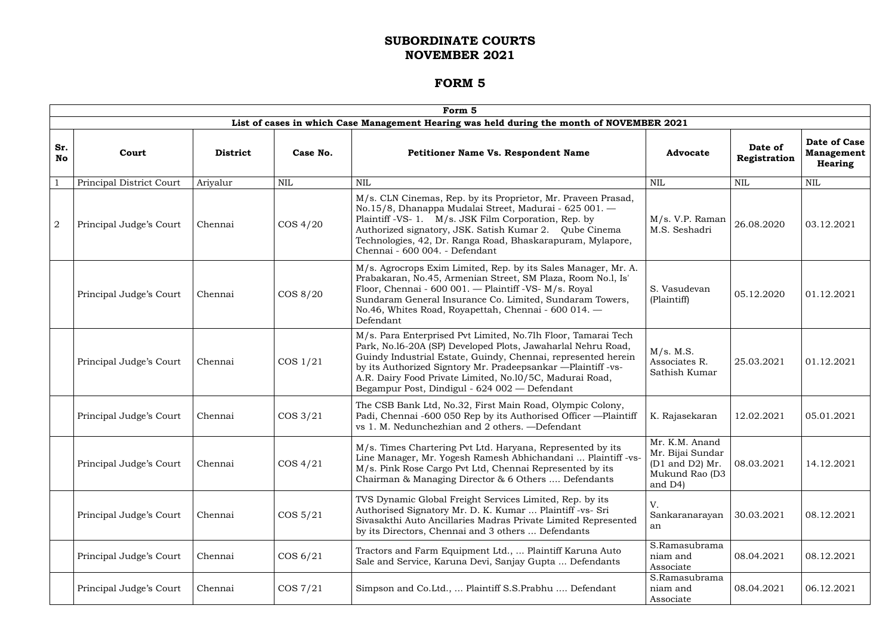|                  |                          |                 |             | Form 5                                                                                                                                                                                                                                                                                                                                                                      |                                                                                                  |                         |                                                     |
|------------------|--------------------------|-----------------|-------------|-----------------------------------------------------------------------------------------------------------------------------------------------------------------------------------------------------------------------------------------------------------------------------------------------------------------------------------------------------------------------------|--------------------------------------------------------------------------------------------------|-------------------------|-----------------------------------------------------|
|                  |                          |                 |             | List of cases in which Case Management Hearing was held during the month of NOVEMBER 2021                                                                                                                                                                                                                                                                                   |                                                                                                  |                         |                                                     |
| Sr.<br><b>No</b> | Court                    | <b>District</b> | Case No.    | <b>Petitioner Name Vs. Respondent Name</b>                                                                                                                                                                                                                                                                                                                                  | Advocate                                                                                         | Date of<br>Registration | <b>Date of Case</b><br><b>Management</b><br>Hearing |
|                  | Principal District Court | Ariyalur        | <b>NIL</b>  | <b>NIL</b>                                                                                                                                                                                                                                                                                                                                                                  | <b>NIL</b>                                                                                       | <b>NIL</b>              | <b>NIL</b>                                          |
| $\overline{2}$   | Principal Judge's Court  | Chennai         | $\cos 4/20$ | M/s. CLN Cinemas, Rep. by its Proprietor, Mr. Praveen Prasad,<br>No.15/8, Dhanappa Mudalai Street, Madurai - 625 001. -<br>Plaintiff -VS- 1. M/s. JSK Film Corporation, Rep. by<br>Authorized signatory, JSK. Satish Kumar 2. Qube Cinema<br>Technologies, 42, Dr. Ranga Road, Bhaskarapuram, Mylapore,<br>Chennai - 600 004. - Defendant                                   | M/s. V.P. Raman<br>M.S. Seshadri                                                                 | 26.08.2020              | 03.12.2021                                          |
|                  | Principal Judge's Court  | Chennai         | COS 8/20    | M/s. Agrocrops Exim Limited, Rep. by its Sales Manager, Mr. A.<br>Prabakaran, No.45, Armenian Street, SM Plaza, Room No.1, Is'<br>Floor, Chennai - 600 001. - Plaintiff -VS- M/s. Royal<br>Sundaram General Insurance Co. Limited, Sundaram Towers,<br>No.46, Whites Road, Royapettah, Chennai - 600 014. -<br>Defendant                                                    | S. Vasudevan<br>(Plaintiff)                                                                      | 05.12.2020              | 01.12.2021                                          |
|                  | Principal Judge's Court  | Chennai         | COS 1/21    | M/s. Para Enterprised Pvt Limited, No.71h Floor, Tamarai Tech<br>Park, No.16-20A (SP) Developed Plots, Jawaharlal Nehru Road,<br>Guindy Industrial Estate, Guindy, Chennai, represented herein<br>by its Authorized Signtory Mr. Pradeepsankar -Plaintiff -vs-<br>A.R. Dairy Food Private Limited, No.10/5C, Madurai Road,<br>Begampur Post, Dindigul - 624 002 — Defendant | M/s. M.S.<br>Associates R.<br>Sathish Kumar                                                      | 25.03.2021              | 01.12.2021                                          |
|                  | Principal Judge's Court  | Chennai         | $\cos 3/21$ | The CSB Bank Ltd, No.32, First Main Road, Olympic Colony,<br>Padi, Chennai -600 050 Rep by its Authorised Officer -- Plaintiff<br>vs 1. M. Nedunchezhian and 2 others. - Defendant                                                                                                                                                                                          | K. Rajasekaran                                                                                   | 12.02.2021              | 05.01.2021                                          |
|                  | Principal Judge's Court  | Chennai         | $\cos 4/21$ | M/s. Times Chartering Pvt Ltd. Haryana, Represented by its<br>Line Manager, Mr. Yogesh Ramesh Abhichandani  Plaintiff -vs-<br>M/s. Pink Rose Cargo Pvt Ltd, Chennai Represented by its<br>Chairman & Managing Director & 6 Others  Defendants                                                                                                                               | Mr. K.M. Anand<br>Mr. Bijai Sundar<br>$(D1 \text{ and } D2)$ Mr.<br>Mukund Rao (D3<br>and $D4$ ) | 08.03.2021              | 14.12.2021                                          |
|                  | Principal Judge's Court  | Chennai         | $\cos 5/21$ | TVS Dynamic Global Freight Services Limited, Rep. by its<br>Authorised Signatory Mr. D. K. Kumar  Plaintiff -vs- Sri<br>Sivasakthi Auto Ancillaries Madras Private Limited Represented<br>by its Directors, Chennai and 3 others  Defendants                                                                                                                                | V.<br>Sankaranarayan<br>an                                                                       | 30.03.2021              | 08.12.2021                                          |
|                  | Principal Judge's Court  | Chennai         | COS 6/21    | Tractors and Farm Equipment Ltd.,  Plaintiff Karuna Auto<br>Sale and Service, Karuna Devi, Sanjay Gupta  Defendants                                                                                                                                                                                                                                                         | S.Ramasubrama<br>niam and<br>Associate                                                           | 08.04.2021              | 08.12.2021                                          |
|                  | Principal Judge's Court  | Chennai         | $\cos 7/21$ | Simpson and Co.Ltd.,  Plaintiff S.S.Prabhu  Defendant                                                                                                                                                                                                                                                                                                                       | S.Ramasubrama<br>niam and<br>Associate                                                           | 08.04.2021              | 06.12.2021                                          |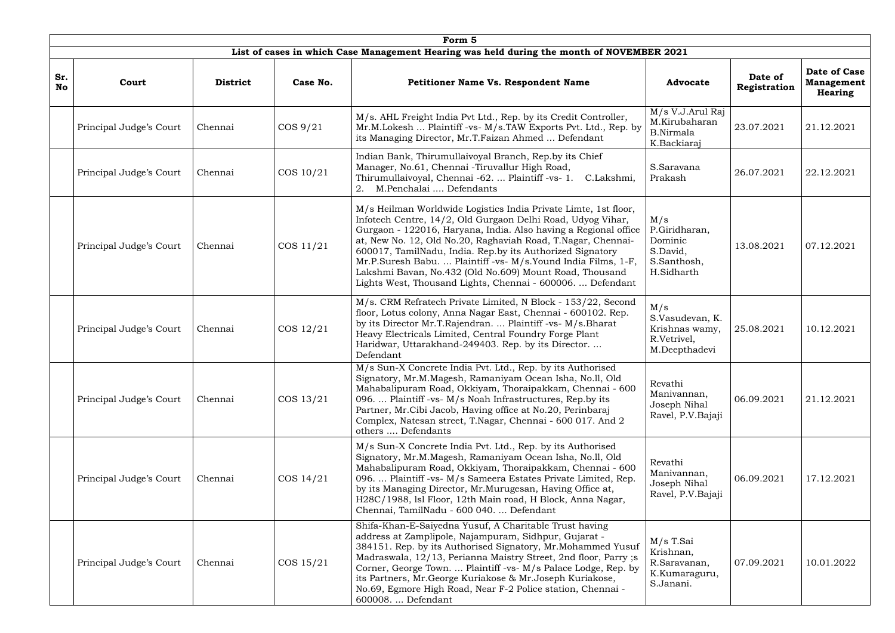|                  | Form 5                  |                 |             |                                                                                                                                                                                                                                                                                                                                                                                                                                                                                                                          |                                                                          |                         |                                              |  |  |
|------------------|-------------------------|-----------------|-------------|--------------------------------------------------------------------------------------------------------------------------------------------------------------------------------------------------------------------------------------------------------------------------------------------------------------------------------------------------------------------------------------------------------------------------------------------------------------------------------------------------------------------------|--------------------------------------------------------------------------|-------------------------|----------------------------------------------|--|--|
|                  |                         |                 |             | List of cases in which Case Management Hearing was held during the month of NOVEMBER 2021                                                                                                                                                                                                                                                                                                                                                                                                                                |                                                                          |                         |                                              |  |  |
| Sr.<br><b>No</b> | Court                   | <b>District</b> | Case No.    | <b>Petitioner Name Vs. Respondent Name</b>                                                                                                                                                                                                                                                                                                                                                                                                                                                                               | <b>Advocate</b>                                                          | Date of<br>Registration | Date of Case<br><b>Management</b><br>Hearing |  |  |
|                  | Principal Judge's Court | Chennai         | $\cos 9/21$ | M/s. AHL Freight India Pvt Ltd., Rep. by its Credit Controller,<br>Mr.M.Lokesh  Plaintiff -vs- M/s.TAW Exports Pvt. Ltd., Rep. by<br>its Managing Director, Mr.T.Faizan Ahmed  Defendant                                                                                                                                                                                                                                                                                                                                 | M/s V.J.Arul Raj<br>M.Kirubaharan<br><b>B.Nirmala</b><br>K.Backiaraj     | 23.07.2021              | 21.12.2021                                   |  |  |
|                  | Principal Judge's Court | Chennai         | COS 10/21   | Indian Bank, Thirumullaivoyal Branch, Rep.by its Chief<br>Manager, No.61, Chennai - Tiruvallur High Road,<br>Thirumullaivoyal, Chennai -62.  Plaintiff -vs- 1.<br>C.Lakshmi,<br>2. M.Penchalai  Defendants                                                                                                                                                                                                                                                                                                               | S.Saravana<br>Prakash                                                    | 26.07.2021              | 22.12.2021                                   |  |  |
|                  | Principal Judge's Court | Chennai         | COS 11/21   | M/s Heilman Worldwide Logistics India Private Limte, 1st floor,<br>Infotech Centre, 14/2, Old Gurgaon Delhi Road, Udyog Vihar,<br>Gurgaon - 122016, Haryana, India. Also having a Regional office<br>at, New No. 12, Old No.20, Raghaviah Road, T.Nagar, Chennai-<br>600017, TamilNadu, India. Rep.by its Authorized Signatory<br>Mr.P.Suresh Babu.  Plaintiff -vs- M/s.Yound India Films, 1-F,<br>Lakshmi Bavan, No.432 (Old No.609) Mount Road, Thousand<br>Lights West, Thousand Lights, Chennai - 600006.  Defendant | M/s<br>P.Giridharan,<br>Dominic<br>S.David,<br>S.Santhosh,<br>H.Sidharth | 13.08.2021              | 07.12.2021                                   |  |  |
|                  | Principal Judge's Court | Chennai         | COS 12/21   | M/s. CRM Refratech Private Limited, N Block - 153/22, Second<br>floor, Lotus colony, Anna Nagar East, Chennai - 600102. Rep.<br>by its Director Mr.T.Rajendran.  Plaintiff -vs- M/s.Bharat<br>Heavy Electricals Limited, Central Foundry Forge Plant<br>Haridwar, Uttarakhand-249403. Rep. by its Director.<br>Defendant                                                                                                                                                                                                 | M/s<br>S.Vasudevan, K.<br>Krishnas wamy,<br>R.Vetrivel,<br>M.Deepthadevi | 25.08.2021              | 10.12.2021                                   |  |  |
|                  | Principal Judge's Court | Chennai         | COS 13/21   | M/s Sun-X Concrete India Pvt. Ltd., Rep. by its Authorised<br>Signatory, Mr.M.Magesh, Ramaniyam Ocean Isha, No.11, Old<br>Mahabalipuram Road, Okkiyam, Thoraipakkam, Chennai - 600<br>096.  Plaintiff -vs- M/s Noah Infrastructures, Rep.by its<br>Partner, Mr.Cibi Jacob, Having office at No.20, Perinbaraj<br>Complex, Natesan street, T.Nagar, Chennai - 600 017. And 2<br>others  Defendants                                                                                                                        | Revathi<br>Manivannan,<br>Joseph Nihal<br>Ravel, P.V.Bajaji              | 06.09.2021              | 21.12.2021                                   |  |  |
|                  | Principal Judge's Court | Chennai         | COS 14/21   | M/s Sun-X Concrete India Pvt. Ltd., Rep. by its Authorised<br>Signatory, Mr.M.Magesh, Ramaniyam Ocean Isha, No.ll, Old<br>Mahabalipuram Road, Okkiyam, Thoraipakkam, Chennai - 600<br>096.  Plaintiff -vs- M/s Sameera Estates Private Limited, Rep.<br>by its Managing Director, Mr. Murugesan, Having Office at,<br>H28C/1988, lsl Floor, 12th Main road, H Block, Anna Nagar,<br>Chennai, TamilNadu - 600 040.  Defendant                                                                                             | Revathi<br>Manivannan,<br>Joseph Nihal<br>Ravel, P.V.Bajaji              | 06.09.2021              | 17.12.2021                                   |  |  |
|                  | Principal Judge's Court | Chennai         | COS 15/21   | Shifa-Khan-E-Saiyedna Yusuf, A Charitable Trust having<br>address at Zamplipole, Najampuram, Sidhpur, Gujarat -<br>384151. Rep. by its Authorised Signatory, Mr.Mohammed Yusuf<br>Madraswala, 12/13, Perianna Maistry Street, 2nd floor, Parry ;s<br>Corner, George Town.  Plaintiff -vs- M/s Palace Lodge, Rep. by<br>its Partners, Mr. George Kuriakose & Mr. Joseph Kuriakose,<br>No.69, Egmore High Road, Near F-2 Police station, Chennai -<br>600008.  Defendant                                                   | M/s T.Sai<br>Krishnan,<br>R.Saravanan,<br>K.Kumaraguru,<br>S.Janani.     | 07.09.2021              | 10.01.2022                                   |  |  |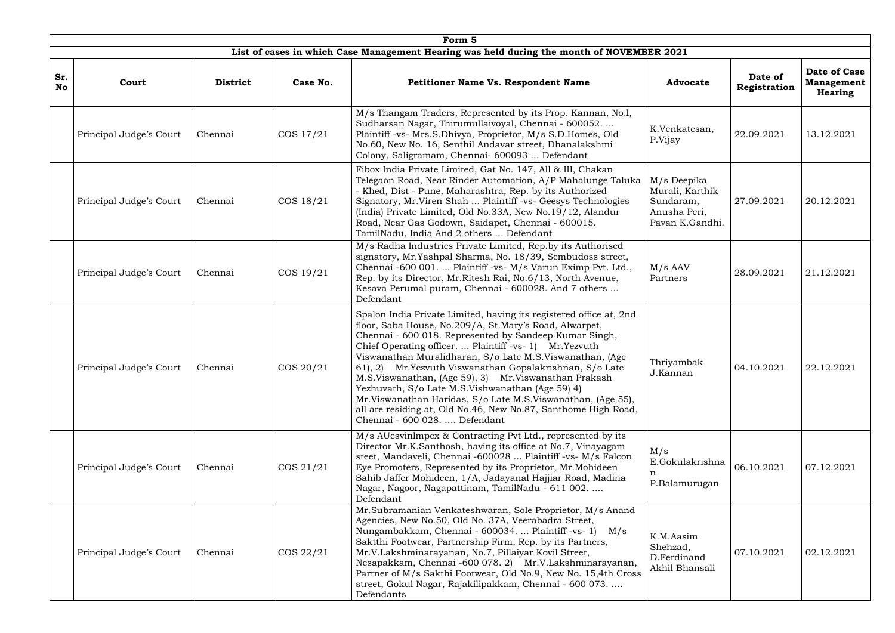|                  | Form 5                  |                 |              |                                                                                                                                                                                                                                                                                                                                                                                                                                                                                                                                                                                                                                                           |                                                                                |                         |                                                     |  |  |
|------------------|-------------------------|-----------------|--------------|-----------------------------------------------------------------------------------------------------------------------------------------------------------------------------------------------------------------------------------------------------------------------------------------------------------------------------------------------------------------------------------------------------------------------------------------------------------------------------------------------------------------------------------------------------------------------------------------------------------------------------------------------------------|--------------------------------------------------------------------------------|-------------------------|-----------------------------------------------------|--|--|
|                  |                         |                 |              | List of cases in which Case Management Hearing was held during the month of NOVEMBER 2021                                                                                                                                                                                                                                                                                                                                                                                                                                                                                                                                                                 |                                                                                |                         |                                                     |  |  |
| Sr.<br><b>No</b> | Court                   | <b>District</b> | Case No.     | <b>Petitioner Name Vs. Respondent Name</b>                                                                                                                                                                                                                                                                                                                                                                                                                                                                                                                                                                                                                | <b>Advocate</b>                                                                | Date of<br>Registration | <b>Date of Case</b><br><b>Management</b><br>Hearing |  |  |
|                  | Principal Judge's Court | Chennai         | COS 17/21    | M/s Thangam Traders, Represented by its Prop. Kannan, No.1,<br>Sudharsan Nagar, Thirumullaivoyal, Chennai - 600052<br>Plaintiff -vs- Mrs.S.Dhivya, Proprietor, M/s S.D.Homes, Old<br>No.60, New No. 16, Senthil Andavar street, Dhanalakshmi<br>Colony, Saligramam, Chennai- 600093  Defendant                                                                                                                                                                                                                                                                                                                                                            | K.Venkatesan,<br>P.Vijay                                                       | 22.09.2021              | 13.12.2021                                          |  |  |
|                  | Principal Judge's Court | Chennai         | COS 18/21    | Fibox India Private Limited, Gat No. 147, All & III, Chakan<br>Telegaon Road, Near Rinder Automation, A/P Mahalunge Taluka<br>- Khed, Dist - Pune, Maharashtra, Rep. by its Authorized<br>Signatory, Mr. Viren Shah  Plaintiff -vs- Geesys Technologies<br>(India) Private Limited, Old No.33A, New No.19/12, Alandur<br>Road, Near Gas Godown, Saidapet, Chennai - 600015.<br>TamilNadu, India And 2 others  Defendant                                                                                                                                                                                                                                   | M/s Deepika<br>Murali, Karthik<br>Sundaram,<br>Anusha Peri,<br>Pavan K.Gandhi. | 27.09.2021              | 20.12.2021                                          |  |  |
|                  | Principal Judge's Court | Chennai         | COS 19/21    | M/s Radha Industries Private Limited, Rep.by its Authorised<br>signatory, Mr.Yashpal Sharma, No. 18/39, Sembudoss street,<br>Chennai -600 001.  Plaintiff -vs- M/s Varun Eximp Pvt. Ltd.,<br>Rep. by its Director, Mr. Ritesh Rai, No.6/13, North Avenue,<br>Kesava Perumal puram, Chennai - 600028. And 7 others<br>Defendant                                                                                                                                                                                                                                                                                                                            | $M/s$ AAV<br>Partners                                                          | 28.09.2021              | 21.12.2021                                          |  |  |
|                  | Principal Judge's Court | Chennai         | $\cos 20/21$ | Spalon India Private Limited, having its registered office at, 2nd<br>floor, Saba House, No.209/A, St.Mary's Road, Alwarpet,<br>Chennai - 600 018. Represented by Sandeep Kumar Singh,<br>Chief Operating officer.  Plaintiff -vs- 1) Mr. Yezvuth<br>Viswanathan Muralidharan, S/o Late M.S.Viswanathan, (Age<br>61), 2) Mr. Yezvuth Viswanathan Gopalakrishnan, S/o Late<br>M.S.Viswanathan, (Age 59), 3) Mr.Viswanathan Prakash<br>Yezhuvath, S/o Late M.S.Vishwanathan (Age 59) 4)<br>Mr. Viswanathan Haridas, S/o Late M.S. Viswanathan, (Age 55),<br>all are residing at, Old No.46, New No.87, Santhome High Road,<br>Chennai - 600 028.  Defendant | Thriyambak<br>J.Kannan                                                         | 04.10.2021              | 22.12.2021                                          |  |  |
|                  | Principal Judge's Court | Chennai         | COS 21/21    | M/s AUesvinlmpex & Contracting Pvt Ltd., represented by its<br>Director Mr.K.Santhosh, having its office at No.7, Vinayagam<br>steet, Mandaveli, Chennai -600028  Plaintiff -vs- M/s Falcon<br>Eye Promoters, Represented by its Proprietor, Mr. Mohideen<br>Sahib Jaffer Mohideen, 1/A, Jadayanal Hajjiar Road, Madina<br>Nagar, Nagoor, Nagapattinam, TamilNadu - 611 002.<br>Defendant                                                                                                                                                                                                                                                                 | M/s<br>E.Gokulakrishna<br>P.Balamurugan                                        | 06.10.2021              | 07.12.2021                                          |  |  |
|                  | Principal Judge's Court | Chennai         | COS 22/21    | Mr.Subramanian Venkateshwaran, Sole Proprietor, M/s Anand<br>Agencies, New No.50, Old No. 37A, Veerabadra Street,<br>Nungambakkam, Chennai - 600034.  Plaintiff -vs- 1) M/s<br>Saktthi Footwear, Partnership Firm, Rep. by its Partners,<br>Mr.V.Lakshminarayanan, No.7, Pillaiyar Kovil Street,<br>Nesapakkam, Chennai -600 078. 2) Mr.V.Lakshminarayanan,<br>Partner of M/s Sakthi Footwear, Old No.9, New No. 15,4th Cross<br>street, Gokul Nagar, Rajakilipakkam, Chennai - 600 073.<br>Defendants                                                                                                                                                    | K.M.Aasim<br>Shehzad,<br>D.Ferdinand<br>Akhil Bhansali                         | 07.10.2021              | 02.12.2021                                          |  |  |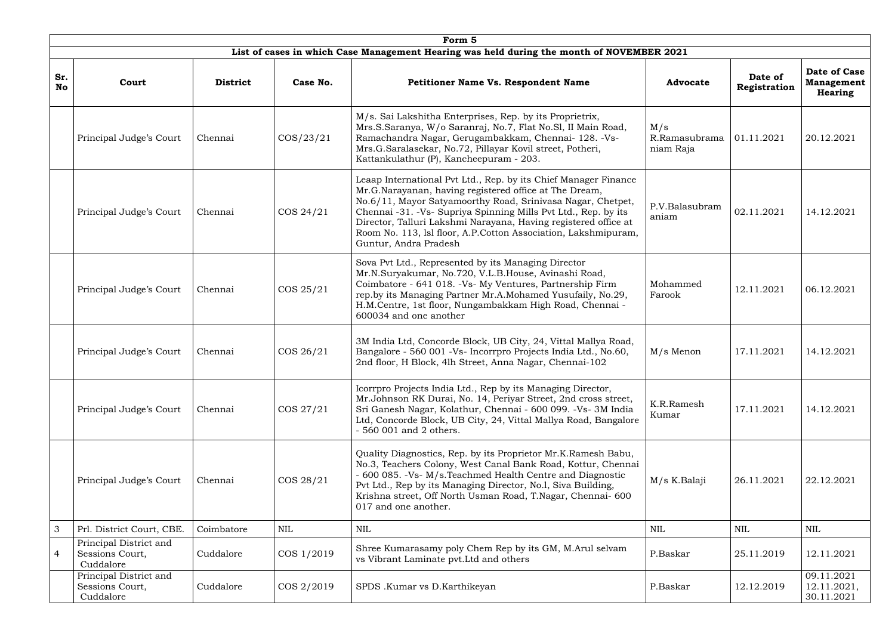|                          | Form 5                                                 |                 |              |                                                                                                                                                                                                                                                                                                                                                                                                                          |                                   |                         |                                                     |  |  |  |  |
|--------------------------|--------------------------------------------------------|-----------------|--------------|--------------------------------------------------------------------------------------------------------------------------------------------------------------------------------------------------------------------------------------------------------------------------------------------------------------------------------------------------------------------------------------------------------------------------|-----------------------------------|-------------------------|-----------------------------------------------------|--|--|--|--|
|                          |                                                        |                 |              | List of cases in which Case Management Hearing was held during the month of NOVEMBER 2021                                                                                                                                                                                                                                                                                                                                |                                   |                         |                                                     |  |  |  |  |
| Sr.<br><b>No</b>         | Court                                                  | <b>District</b> | Case No.     | <b>Petitioner Name Vs. Respondent Name</b>                                                                                                                                                                                                                                                                                                                                                                               | <b>Advocate</b>                   | Date of<br>Registration | Date of Case<br><b>Management</b><br><b>Hearing</b> |  |  |  |  |
|                          | Principal Judge's Court                                | Chennai         | $\cos/23/21$ | M/s. Sai Lakshitha Enterprises, Rep. by its Proprietrix,<br>Mrs.S.Saranya, W/o Saranraj, No.7, Flat No.Sl, II Main Road,<br>Ramachandra Nagar, Gerugambakkam, Chennai- 128. - Vs-<br>Mrs.G.Saralasekar, No.72, Pillayar Kovil street, Potheri,<br>Kattankulathur (P), Kancheepuram - 203.                                                                                                                                | M/s<br>R.Ramasubrama<br>niam Raja | 01.11.2021              | 20.12.2021                                          |  |  |  |  |
|                          | Principal Judge's Court                                | Chennai         | COS 24/21    | Leaap International Pvt Ltd., Rep. by its Chief Manager Finance<br>Mr.G.Narayanan, having registered office at The Dream,<br>No.6/11, Mayor Satyamoorthy Road, Srinivasa Nagar, Chetpet,<br>Chennai -31. -Vs- Supriya Spinning Mills Pvt Ltd., Rep. by its<br>Director, Talluri Lakshmi Narayana, Having registered office at<br>Room No. 113, lsl floor, A.P.Cotton Association, Lakshmipuram,<br>Guntur, Andra Pradesh | P.V.Balasubram<br>aniam           | 02.11.2021              | 14.12.2021                                          |  |  |  |  |
|                          | Principal Judge's Court                                | Chennai         | COS 25/21    | Sova Pvt Ltd., Represented by its Managing Director<br>Mr.N.Suryakumar, No.720, V.L.B.House, Avinashi Road,<br>Coimbatore - 641 018. - Vs- My Ventures, Partnership Firm<br>rep.by its Managing Partner Mr.A.Mohamed Yusufaily, No.29,<br>H.M.Centre, 1st floor, Nungambakkam High Road, Chennai -<br>600034 and one another                                                                                             | Mohammed<br>Farook                | 12.11.2021              | 06.12.2021                                          |  |  |  |  |
|                          | Principal Judge's Court                                | Chennai         | COS 26/21    | 3M India Ltd, Concorde Block, UB City, 24, Vittal Mallya Road,<br>Bangalore - 560 001 - Vs- Incorrpro Projects India Ltd., No.60,<br>2nd floor, H Block, 4lh Street, Anna Nagar, Chennai-102                                                                                                                                                                                                                             | $M/s$ Menon                       | 17.11.2021              | 14.12.2021                                          |  |  |  |  |
|                          | Principal Judge's Court                                | Chennai         | COS 27/21    | Icorrpro Projects India Ltd., Rep by its Managing Director,<br>Mr.Johnson RK Durai, No. 14, Periyar Street, 2nd cross street,<br>Sri Ganesh Nagar, Kolathur, Chennai - 600 099. - Vs- 3M India<br>Ltd, Concorde Block, UB City, 24, Vittal Mallya Road, Bangalore<br>- 560 001 and 2 others.                                                                                                                             | K.R.Ramesh<br>Kumar               | 17.11.2021              | 14.12.2021                                          |  |  |  |  |
|                          | Principal Judge's Court                                | Chennai         | COS 28/21    | Quality Diagnostics, Rep. by its Proprietor Mr.K.Ramesh Babu,<br>No.3, Teachers Colony, West Canal Bank Road, Kottur, Chennai<br>- 600 085. -Vs- M/s. Teachmed Health Centre and Diagnostic<br>Pvt Ltd., Rep by its Managing Director, No.1, Siva Building,<br>Krishna street, Off North Usman Road, T.Nagar, Chennai- 600<br>017 and one another.                                                                       | M/s K.Balaji                      | 26.11.2021              | 22.12.2021                                          |  |  |  |  |
| 3                        | Prl. District Court, CBE.                              | Coimbatore      | <b>NIL</b>   | <b>NIL</b>                                                                                                                                                                                                                                                                                                                                                                                                               | <b>NIL</b>                        | <b>NIL</b>              | $\mbox{NIL}$                                        |  |  |  |  |
| $\overline{\mathcal{A}}$ | Principal District and<br>Sessions Court,<br>Cuddalore | Cuddalore       | COS 1/2019   | Shree Kumarasamy poly Chem Rep by its GM, M.Arul selvam<br>vs Vibrant Laminate pvt. Ltd and others                                                                                                                                                                                                                                                                                                                       | P.Baskar                          | 25.11.2019              | 12.11.2021                                          |  |  |  |  |
|                          | Principal District and<br>Sessions Court,<br>Cuddalore | Cuddalore       | COS 2/2019   | SPDS .Kumar vs D.Karthikeyan                                                                                                                                                                                                                                                                                                                                                                                             | P.Baskar                          | 12.12.2019              | 09.11.2021<br>12.11.2021,<br>30.11.2021             |  |  |  |  |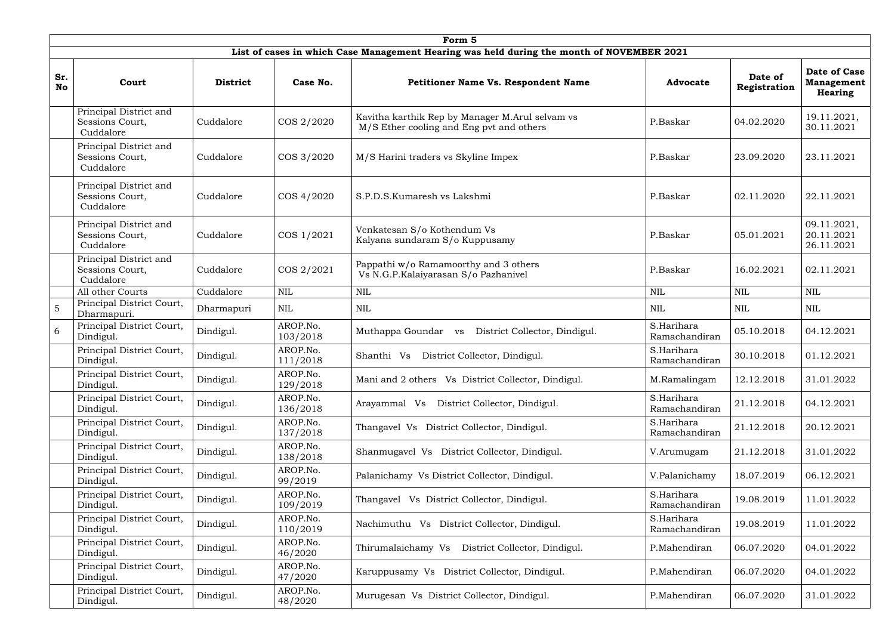|                  | Form 5                                                 |                 |                      |                                                                                             |                             |                         |                                                     |  |  |  |
|------------------|--------------------------------------------------------|-----------------|----------------------|---------------------------------------------------------------------------------------------|-----------------------------|-------------------------|-----------------------------------------------------|--|--|--|
|                  |                                                        |                 |                      | List of cases in which Case Management Hearing was held during the month of NOVEMBER 2021   |                             |                         |                                                     |  |  |  |
| Sr.<br><b>No</b> | Court                                                  | <b>District</b> | Case No.             | <b>Petitioner Name Vs. Respondent Name</b>                                                  | <b>Advocate</b>             | Date of<br>Registration | <b>Date of Case</b><br><b>Management</b><br>Hearing |  |  |  |
|                  | Principal District and<br>Sessions Court,<br>Cuddalore | Cuddalore       | COS 2/2020           | Kavitha karthik Rep by Manager M.Arul selvam vs<br>M/S Ether cooling and Eng pvt and others | P.Baskar                    | 04.02.2020              | 19.11.2021,<br>30.11.2021                           |  |  |  |
|                  | Principal District and<br>Sessions Court,<br>Cuddalore | Cuddalore       | COS 3/2020           | M/S Harini traders vs Skyline Impex                                                         | P.Baskar                    | 23.09.2020              | 23.11.2021                                          |  |  |  |
|                  | Principal District and<br>Sessions Court,<br>Cuddalore | Cuddalore       | COS 4/2020           | S.P.D.S. Kumaresh vs Lakshmi                                                                | P.Baskar                    | 02.11.2020              | 22.11.2021                                          |  |  |  |
|                  | Principal District and<br>Sessions Court,<br>Cuddalore | Cuddalore       | COS 1/2021           | Venkatesan S/o Kothendum Vs<br>Kalyana sundaram S/o Kuppusamy                               | P.Baskar                    | 05.01.2021              | 09.11.2021,<br>20.11.2021<br>26.11.2021             |  |  |  |
|                  | Principal District and<br>Sessions Court,<br>Cuddalore | Cuddalore       | COS 2/2021           | Pappathi w/o Ramamoorthy and 3 others<br>Vs N.G.P.Kalaiyarasan S/o Pazhanivel               | P.Baskar                    | 16.02.2021              | 02.11.2021                                          |  |  |  |
|                  | All other Courts                                       | Cuddalore       | $\mbox{NIL}$         | <b>NIL</b>                                                                                  | <b>NIL</b>                  | <b>NIL</b>              | <b>NIL</b>                                          |  |  |  |
| $\overline{5}$   | Principal District Court,<br>Dharmapuri.               | Dharmapuri      | <b>NIL</b>           | <b>NIL</b>                                                                                  | <b>NIL</b>                  | NIL                     | <b>NIL</b>                                          |  |  |  |
| 6                | Principal District Court,<br>Dindigul.                 | Dindigul.       | AROP.No.<br>103/2018 | Muthappa Goundar<br>District Collector, Dindigul.<br><b>VS</b>                              | S.Harihara<br>Ramachandiran | 05.10.2018              | 04.12.2021                                          |  |  |  |
|                  | Principal District Court,<br>Dindigul.                 | Dindigul.       | AROP.No.<br>111/2018 | District Collector, Dindigul.<br>Shanthi Vs                                                 | S.Harihara<br>Ramachandiran | 30.10.2018              | 01.12.2021                                          |  |  |  |
|                  | Principal District Court,<br>Dindigul.                 | Dindigul.       | AROP.No.<br>129/2018 | Mani and 2 others Vs District Collector, Dindigul.                                          | M.Ramalingam                | 12.12.2018              | 31.01.2022                                          |  |  |  |
|                  | Principal District Court,<br>Dindigul.                 | Dindigul.       | AROP.No.<br>136/2018 | District Collector, Dindigul.<br>Arayammal Vs                                               | S.Harihara<br>Ramachandiran | 21.12.2018              | 04.12.2021                                          |  |  |  |
|                  | Principal District Court,<br>Dindigul.                 | Dindigul.       | AROP.No.<br>137/2018 | Thangavel Vs District Collector, Dindigul.                                                  | S.Harihara<br>Ramachandiran | 21.12.2018              | 20.12.2021                                          |  |  |  |
|                  | Principal District Court,<br>Dindigul.                 | Dindigul.       | AROP.No.<br>138/2018 | Shanmugavel Vs District Collector, Dindigul.                                                | V.Arumugam                  | 21.12.2018              | 31.01.2022                                          |  |  |  |
|                  | Principal District Court,<br>Dindigul.                 | Dindigul.       | AROP.No.<br>99/2019  | Palanichamy Vs District Collector, Dindigul.                                                | V.Palanichamy               | 18.07.2019              | 06.12.2021                                          |  |  |  |
|                  | Principal District Court,<br>Dindigul.                 | Dindigul.       | AROP.No.<br>109/2019 | Thangavel Vs District Collector, Dindigul.                                                  | S.Harihara<br>Ramachandiran | 19.08.2019              | 11.01.2022                                          |  |  |  |
|                  | Principal District Court,<br>Dindigul.                 | Dindigul.       | AROP.No.<br>110/2019 | Nachimuthu Vs District Collector, Dindigul.                                                 | S.Harihara<br>Ramachandiran | 19.08.2019              | 11.01.2022                                          |  |  |  |
|                  | Principal District Court,<br>Dindigul.                 | Dindigul.       | AROP.No.<br>46/2020  | Thirumalaichamy Vs<br>District Collector, Dindigul.                                         | P.Mahendiran                | 06.07.2020              | 04.01.2022                                          |  |  |  |
|                  | Principal District Court,<br>Dindigul.                 | Dindigul.       | AROP.No.<br>47/2020  | Karuppusamy Vs District Collector, Dindigul.                                                | P.Mahendiran                | 06.07.2020              | 04.01.2022                                          |  |  |  |
|                  | Principal District Court,<br>Dindigul.                 | Dindigul.       | AROP.No.<br>48/2020  | Murugesan Vs District Collector, Dindigul.                                                  | P.Mahendiran                | 06.07.2020              | 31.01.2022                                          |  |  |  |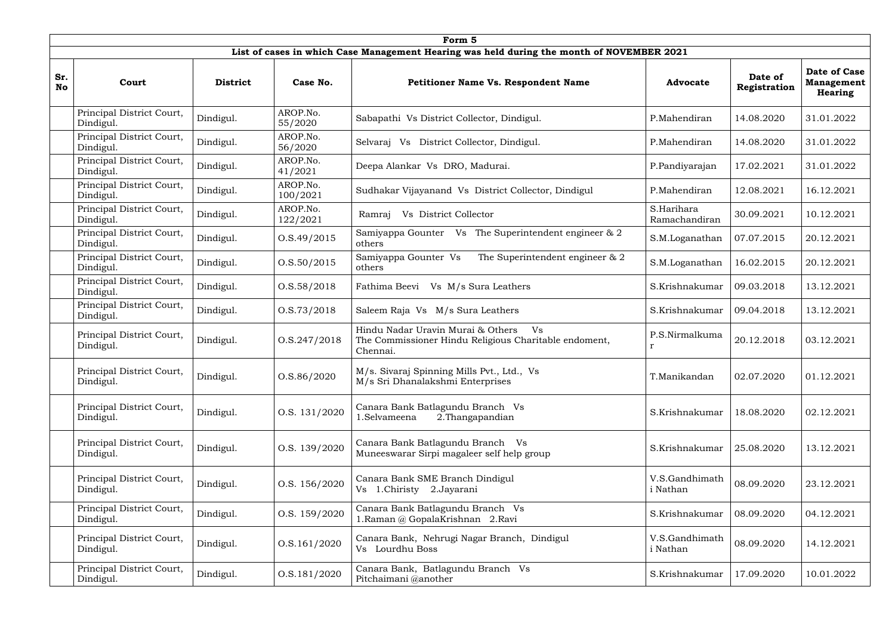|                  | Form 5                                 |                 |                      |                                                                                                              |                             |                         |                                                     |  |  |  |  |
|------------------|----------------------------------------|-----------------|----------------------|--------------------------------------------------------------------------------------------------------------|-----------------------------|-------------------------|-----------------------------------------------------|--|--|--|--|
|                  |                                        |                 |                      | List of cases in which Case Management Hearing was held during the month of NOVEMBER 2021                    |                             |                         |                                                     |  |  |  |  |
| Sr.<br><b>No</b> | Court                                  | <b>District</b> | Case No.             | <b>Petitioner Name Vs. Respondent Name</b>                                                                   | <b>Advocate</b>             | Date of<br>Registration | <b>Date of Case</b><br><b>Management</b><br>Hearing |  |  |  |  |
|                  | Principal District Court,<br>Dindigul. | Dindigul.       | AROP.No.<br>55/2020  | Sabapathi Vs District Collector, Dindigul.                                                                   | P.Mahendiran                | 14.08.2020              | 31.01.2022                                          |  |  |  |  |
|                  | Principal District Court,<br>Dindigul. | Dindigul.       | AROP.No.<br>56/2020  | Selvaraj Vs District Collector, Dindigul.                                                                    | P.Mahendiran                | 14.08.2020              | 31.01.2022                                          |  |  |  |  |
|                  | Principal District Court,<br>Dindigul. | Dindigul.       | AROP.No.<br>41/2021  | Deepa Alankar Vs DRO, Madurai.                                                                               | P.Pandiyarajan              | 17.02.2021              | 31.01.2022                                          |  |  |  |  |
|                  | Principal District Court,<br>Dindigul. | Dindigul.       | AROP.No.<br>100/2021 | Sudhakar Vijayanand Vs District Collector, Dindigul                                                          | P.Mahendiran                | 12.08.2021              | 16.12.2021                                          |  |  |  |  |
|                  | Principal District Court,<br>Dindigul. | Dindigul.       | AROP.No.<br>122/2021 | Vs District Collector<br>Ramraj                                                                              | S.Harihara<br>Ramachandiran | 30.09.2021              | 10.12.2021                                          |  |  |  |  |
|                  | Principal District Court,<br>Dindigul. | Dindigul.       | 0. S.49/2015         | Samiyappa Gounter Vs The Superintendent engineer & 2<br>others                                               | S.M.Loganathan              | 07.07.2015              | 20.12.2021                                          |  |  |  |  |
|                  | Principal District Court,<br>Dindigul. | Dindigul.       | 0. S. 50 / 2015      | Samiyappa Gounter Vs<br>The Superintendent engineer & 2<br>others                                            | S.M.Loganathan              | 16.02.2015              | 20.12.2021                                          |  |  |  |  |
|                  | Principal District Court,<br>Dindigul. | Dindigul.       | 0. S. 58 / 2018      | Fathima Beevi<br>Vs M/s Sura Leathers                                                                        | S.Krishnakumar              | 09.03.2018              | 13.12.2021                                          |  |  |  |  |
|                  | Principal District Court,<br>Dindigul. | Dindigul.       | 0.5.73/2018          | Saleem Raja Vs M/s Sura Leathers                                                                             | S.Krishnakumar              | 09.04.2018              | 13.12.2021                                          |  |  |  |  |
|                  | Principal District Court,<br>Dindigul. | Dindigul.       | 0. S. 247 / 2018     | Hindu Nadar Uravin Murai & Others<br>Vs<br>The Commissioner Hindu Religious Charitable endoment,<br>Chennai. | P.S.Nirmalkuma              | 20.12.2018              | 03.12.2021                                          |  |  |  |  |
|                  | Principal District Court,<br>Dindigul. | Dindigul.       | O.S.86/2020          | M/s. Sivaraj Spinning Mills Pvt., Ltd., Vs<br>M/s Sri Dhanalakshmi Enterprises                               | T.Manikandan                | 02.07.2020              | 01.12.2021                                          |  |  |  |  |
|                  | Principal District Court,<br>Dindigul. | Dindigul.       | O.S. 131/2020        | Canara Bank Batlagundu Branch Vs<br>1.Selvameena<br>2. Thangapandian                                         | S.Krishnakumar              | 18.08.2020              | 02.12.2021                                          |  |  |  |  |
|                  | Principal District Court,<br>Dindigul. | Dindigul.       | O.S. 139/2020        | Canara Bank Batlagundu Branch Vs<br>Muneeswarar Sirpi magaleer self help group                               | S.Krishnakumar              | 25.08.2020              | 13.12.2021                                          |  |  |  |  |
|                  | Principal District Court,<br>Dindigul. | Dindigul.       | O.S. 156/2020        | Canara Bank SME Branch Dindigul<br>Vs 1.Chiristy 2.Jayarani                                                  | V.S.Gandhimath<br>i Nathan  | 08.09.2020              | 23.12.2021                                          |  |  |  |  |
|                  | Principal District Court,<br>Dindigul. | Dindigul.       | O.S. 159/2020        | Canara Bank Batlagundu Branch Vs<br>1. Raman @ GopalaKrishnan 2. Ravi                                        | S.Krishnakumar              | 08.09.2020              | 04.12.2021                                          |  |  |  |  |
|                  | Principal District Court,<br>Dindigul. | Dindigul.       | O.S.161/2020         | Canara Bank, Nehrugi Nagar Branch, Dindigul<br>Vs Lourdhu Boss                                               | V.S.Gandhimath<br>i Nathan  | 08.09.2020              | 14.12.2021                                          |  |  |  |  |
|                  | Principal District Court,<br>Dindigul. | Dindigul.       | 0. S. 181 / 2020     | Canara Bank, Batlagundu Branch Vs<br>Pitchaimani @another                                                    | S.Krishnakumar              | 17.09.2020              | 10.01.2022                                          |  |  |  |  |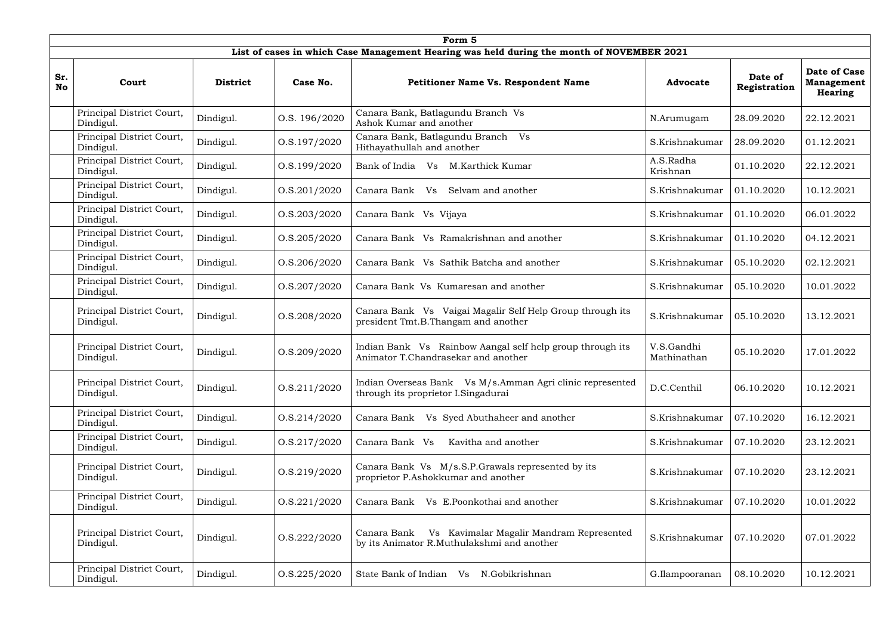|                  | Form 5                                 |                 |                  |                                                                                                       |                           |                         |                                              |  |  |  |  |
|------------------|----------------------------------------|-----------------|------------------|-------------------------------------------------------------------------------------------------------|---------------------------|-------------------------|----------------------------------------------|--|--|--|--|
|                  |                                        |                 |                  | List of cases in which Case Management Hearing was held during the month of NOVEMBER 2021             |                           |                         |                                              |  |  |  |  |
| Sr.<br><b>No</b> | Court                                  | <b>District</b> | Case No.         | <b>Petitioner Name Vs. Respondent Name</b>                                                            | <b>Advocate</b>           | Date of<br>Registration | Date of Case<br><b>Management</b><br>Hearing |  |  |  |  |
|                  | Principal District Court,<br>Dindigul. | Dindigul.       | O.S. 196/2020    | Canara Bank, Batlagundu Branch Vs<br>Ashok Kumar and another                                          | N.Arumugam                | 28.09.2020              | 22.12.2021                                   |  |  |  |  |
|                  | Principal District Court,<br>Dindigul. | Dindigul.       | O.S.197/2020     | Canara Bank, Batlagundu Branch Vs<br>Hithayathullah and another                                       | S.Krishnakumar            | 28.09.2020              | 01.12.2021                                   |  |  |  |  |
|                  | Principal District Court,<br>Dindigul. | Dindigul.       | O.S.199/2020     | Bank of India Vs<br>M.Karthick Kumar                                                                  | A.S.Radha<br>Krishnan     | 01.10.2020              | 22.12.2021                                   |  |  |  |  |
|                  | Principal District Court,<br>Dindigul. | Dindigul.       | 0. S. 201 / 2020 | Canara Bank<br>Selvam and another<br>Vs                                                               | S.Krishnakumar            | 01.10.2020              | 10.12.2021                                   |  |  |  |  |
|                  | Principal District Court,<br>Dindigul. | Dindigul.       | 0. S. 203 / 2020 | Canara Bank Vs Vijaya                                                                                 | S.Krishnakumar            | 01.10.2020              | 06.01.2022                                   |  |  |  |  |
|                  | Principal District Court,<br>Dindigul. | Dindigul.       | 0. S. 205 / 2020 | Canara Bank Vs Ramakrishnan and another                                                               | S.Krishnakumar            | 01.10.2020              | 04.12.2021                                   |  |  |  |  |
|                  | Principal District Court,<br>Dindigul. | Dindigul.       | 0. S. 206 / 2020 | Canara Bank Vs Sathik Batcha and another                                                              | S.Krishnakumar            | 05.10.2020              | 02.12.2021                                   |  |  |  |  |
|                  | Principal District Court,<br>Dindigul. | Dindigul.       | 0. S. 207 / 2020 | Canara Bank Vs Kumaresan and another                                                                  | S.Krishnakumar            | 05.10.2020              | 10.01.2022                                   |  |  |  |  |
|                  | Principal District Court,<br>Dindigul. | Dindigul.       | O.S.208/2020     | Canara Bank Vs Vaigai Magalir Self Help Group through its<br>president Tmt.B.Thangam and another      | S.Krishnakumar            | 05.10.2020              | 13.12.2021                                   |  |  |  |  |
|                  | Principal District Court,<br>Dindigul. | Dindigul.       | O.S.209/2020     | Indian Bank Vs Rainbow Aangal self help group through its<br>Animator T.Chandrasekar and another      | V.S.Gandhi<br>Mathinathan | 05.10.2020              | 17.01.2022                                   |  |  |  |  |
|                  | Principal District Court,<br>Dindigul. | Dindigul.       | 0. S. 211/2020   | Indian Overseas Bank Vs M/s.Amman Agri clinic represented<br>through its proprietor I.Singadurai      | D.C.Centhil               | 06.10.2020              | 10.12.2021                                   |  |  |  |  |
|                  | Principal District Court,<br>Dindigul. | Dindigul.       | 0. S.214/2020    | Vs Syed Abuthaheer and another<br>Canara Bank                                                         | S.Krishnakumar            | 07.10.2020              | 16.12.2021                                   |  |  |  |  |
|                  | Principal District Court,<br>Dindigul. | Dindigul.       | 0. S.217/2020    | Canara Bank Vs<br>Kavitha and another                                                                 | S.Krishnakumar            | 07.10.2020              | 23.12.2021                                   |  |  |  |  |
|                  | Principal District Court,<br>Dindigul. | Dindigul.       | O.S.219/2020     | Canara Bank Vs M/s.S.P.Grawals represented by its<br>proprietor P.Ashokkumar and another              | S.Krishnakumar            | 07.10.2020              | 23.12.2021                                   |  |  |  |  |
|                  | Principal District Court,<br>Dindigul. | Dindigul.       | 0. S. 221 / 2020 | Vs E.Poonkothai and another<br>Canara Bank                                                            | S.Krishnakumar            | 07.10.2020              | 10.01.2022                                   |  |  |  |  |
|                  | Principal District Court,<br>Dindigul. | Dindigul.       | 0. S. 222 / 2020 | Vs Kavimalar Magalir Mandram Represented<br>Canara Bank<br>by its Animator R.Muthulakshmi and another | S.Krishnakumar            | 07.10.2020              | 07.01.2022                                   |  |  |  |  |
|                  | Principal District Court,<br>Dindigul. | Dindigul.       | 0. S. 225 / 2020 | N.Gobikrishnan<br>State Bank of Indian<br>V <sub>S</sub>                                              | G.Ilampooranan            | 08.10.2020              | 10.12.2021                                   |  |  |  |  |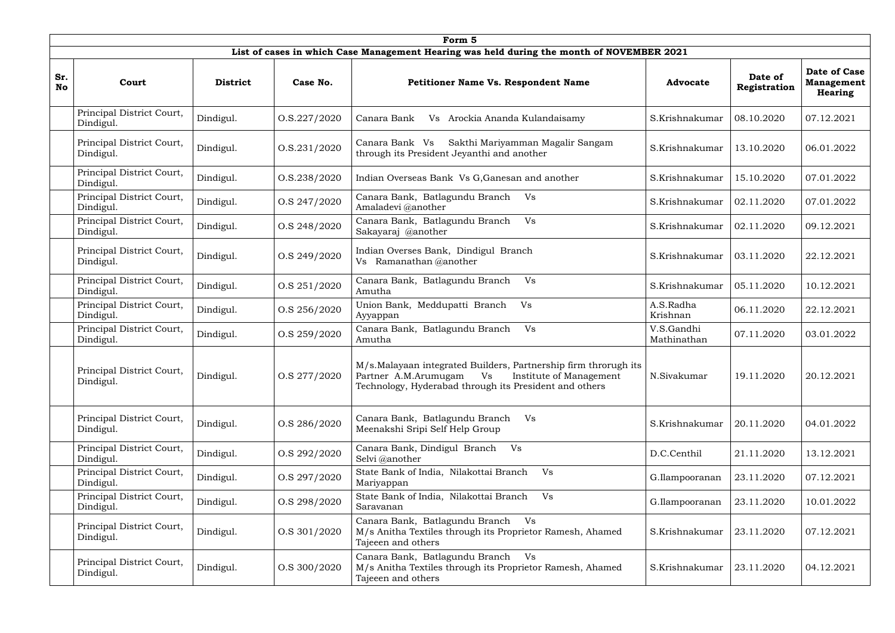|                  | Form 5                                 |                 |                  |                                                                                                                                                                                     |                           |                         |                                                            |  |  |  |  |  |
|------------------|----------------------------------------|-----------------|------------------|-------------------------------------------------------------------------------------------------------------------------------------------------------------------------------------|---------------------------|-------------------------|------------------------------------------------------------|--|--|--|--|--|
|                  |                                        |                 |                  | List of cases in which Case Management Hearing was held during the month of NOVEMBER 2021                                                                                           |                           |                         |                                                            |  |  |  |  |  |
| Sr.<br><b>No</b> | Court                                  | <b>District</b> | Case No.         | Petitioner Name Vs. Respondent Name                                                                                                                                                 | <b>Advocate</b>           | Date of<br>Registration | <b>Date of Case</b><br><b>Management</b><br><b>Hearing</b> |  |  |  |  |  |
|                  | Principal District Court,<br>Dindigul. | Dindigul.       | 0. S. 227 / 2020 | Arockia Ananda Kulandaisamy<br>Canara Bank<br>Vs                                                                                                                                    | S.Krishnakumar            | 08.10.2020              | 07.12.2021                                                 |  |  |  |  |  |
|                  | Principal District Court,<br>Dindigul. | Dindigul.       | O.S.231/2020     | Sakthi Mariyamman Magalir Sangam<br>Canara Bank Vs<br>through its President Jeyanthi and another                                                                                    | S.Krishnakumar            | 13.10.2020              | 06.01.2022                                                 |  |  |  |  |  |
|                  | Principal District Court,<br>Dindigul. | Dindigul.       | 0. S. 238 / 2020 | Indian Overseas Bank Vs G, Ganesan and another                                                                                                                                      | S.Krishnakumar            | 15.10.2020              | 07.01.2022                                                 |  |  |  |  |  |
|                  | Principal District Court,<br>Dindigul. | Dindigul.       | O.S 247/2020     | Canara Bank, Batlagundu Branch<br>Vs<br>Amaladevi @another                                                                                                                          | S.Krishnakumar            | 02.11.2020              | 07.01.2022                                                 |  |  |  |  |  |
|                  | Principal District Court,<br>Dindigul. | Dindigul.       | O.S 248/2020     | Canara Bank, Batlagundu Branch<br>Vs<br>Sakayaraj @another                                                                                                                          | S.Krishnakumar            | 02.11.2020              | 09.12.2021                                                 |  |  |  |  |  |
|                  | Principal District Court,<br>Dindigul. | Dindigul.       | O.S 249/2020     | Indian Overses Bank, Dindigul Branch<br>Vs Ramanathan @another                                                                                                                      | S.Krishnakumar            | 03.11.2020              | 22.12.2021                                                 |  |  |  |  |  |
|                  | Principal District Court,<br>Dindigul. | Dindigul.       | O.S 251/2020     | Canara Bank, Batlagundu Branch<br>V <sub>S</sub><br>Amutha                                                                                                                          | S.Krishnakumar            | 05.11.2020              | 10.12.2021                                                 |  |  |  |  |  |
|                  | Principal District Court,<br>Dindigul. | Dindigul.       | O.S 256/2020     | Union Bank, Meddupatti Branch<br>Vs<br>Ayyappan                                                                                                                                     | A.S.Radha<br>Krishnan     | 06.11.2020              | 22.12.2021                                                 |  |  |  |  |  |
|                  | Principal District Court,<br>Dindigul. | Dindigul.       | O.S 259/2020     | Canara Bank, Batlagundu Branch<br>Vs<br>Amutha                                                                                                                                      | V.S.Gandhi<br>Mathinathan | 07.11.2020              | 03.01.2022                                                 |  |  |  |  |  |
|                  | Principal District Court,<br>Dindigul. | Dindigul.       | O.S 277/2020     | M/s. Malayaan integrated Builders, Partnership firm throrugh its<br>Vs<br>Partner A.M.Arumugam<br>Institute of Management<br>Technology, Hyderabad through its President and others | N.Sivakumar               | 19.11.2020              | 20.12.2021                                                 |  |  |  |  |  |
|                  | Principal District Court,<br>Dindigul. | Dindigul.       | O.S 286/2020     | Canara Bank, Batlagundu Branch<br>Vs<br>Meenakshi Sripi Self Help Group                                                                                                             | S.Krishnakumar            | 20.11.2020              | 04.01.2022                                                 |  |  |  |  |  |
|                  | Principal District Court,<br>Dindigul. | Dindigul.       | O.S 292/2020     | Canara Bank, Dindigul Branch<br>V s<br>Selvi @another                                                                                                                               | D.C.Centhil               | 21.11.2020              | 13.12.2021                                                 |  |  |  |  |  |
|                  | Principal District Court,<br>Dindigul. | Dindigul.       | O.S 297/2020     | State Bank of India, Nilakottai Branch<br>Vs<br>Mariyappan                                                                                                                          | G.Ilampooranan            | 23.11.2020              | 07.12.2021                                                 |  |  |  |  |  |
|                  | Principal District Court,<br>Dindigul. | Dindigul.       | O.S 298/2020     | State Bank of India, Nilakottai Branch<br>Vs<br>Saravanan                                                                                                                           | G.Ilampooranan            | 23.11.2020              | 10.01.2022                                                 |  |  |  |  |  |
|                  | Principal District Court,<br>Dindigul. | Dindigul.       | O.S 301/2020     | Canara Bank, Batlagundu Branch Vs<br>M/s Anitha Textiles through its Proprietor Ramesh, Ahamed<br>Tajeeen and others                                                                | S.Krishnakumar            | 23.11.2020              | 07.12.2021                                                 |  |  |  |  |  |
|                  | Principal District Court,<br>Dindigul. | Dindigul.       | O.S 300/2020     | Canara Bank, Batlagundu Branch Vs<br>M/s Anitha Textiles through its Proprietor Ramesh, Ahamed<br>Tajeeen and others                                                                | S.Krishnakumar            | 23.11.2020              | 04.12.2021                                                 |  |  |  |  |  |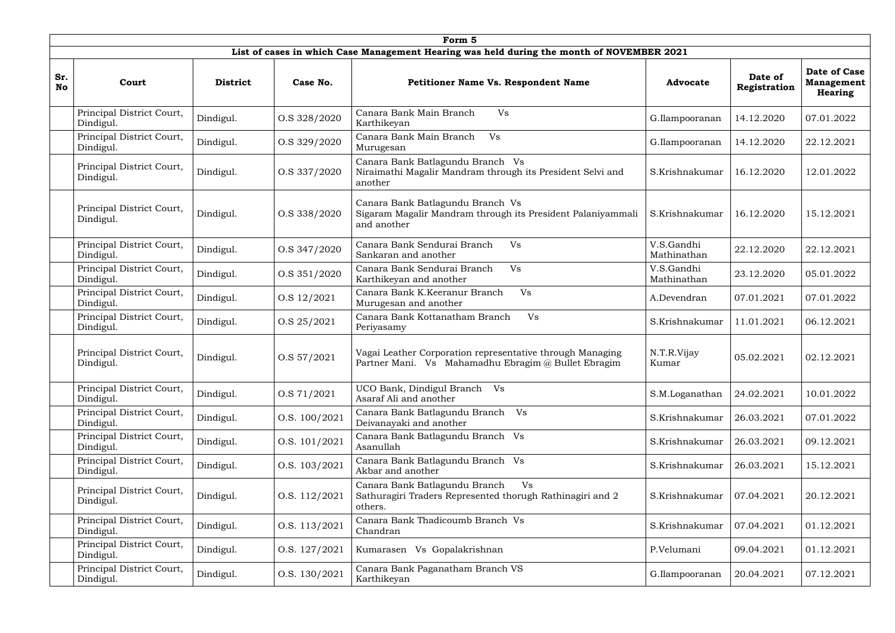|                  | Form 5                                 |                 |               |                                                                                                                  |                           |                         |                                                            |  |  |  |  |
|------------------|----------------------------------------|-----------------|---------------|------------------------------------------------------------------------------------------------------------------|---------------------------|-------------------------|------------------------------------------------------------|--|--|--|--|
|                  |                                        |                 |               | List of cases in which Case Management Hearing was held during the month of NOVEMBER 2021                        |                           |                         |                                                            |  |  |  |  |
| Sr.<br><b>No</b> | Court                                  | <b>District</b> | Case No.      | <b>Petitioner Name Vs. Respondent Name</b>                                                                       | <b>Advocate</b>           | Date of<br>Registration | <b>Date of Case</b><br><b>Management</b><br><b>Hearing</b> |  |  |  |  |
|                  | Principal District Court,<br>Dindigul. | Dindigul.       | O.S 328/2020  | Canara Bank Main Branch<br>Vs<br>Karthikeyan                                                                     | G.Ilampooranan            | 14.12.2020              | 07.01.2022                                                 |  |  |  |  |
|                  | Principal District Court,<br>Dindigul. | Dindigul.       | O.S 329/2020  | Canara Bank Main Branch<br>Vs<br>Murugesan                                                                       | G.Ilampooranan            | 14.12.2020              | 22.12.2021                                                 |  |  |  |  |
|                  | Principal District Court,<br>Dindigul. | Dindigul.       | O.S 337/2020  | Canara Bank Batlagundu Branch Vs<br>Niraimathi Magalir Mandram through its President Selvi and<br>another        | S.Krishnakumar            | 16.12.2020              | 12.01.2022                                                 |  |  |  |  |
|                  | Principal District Court,<br>Dindigul. | Dindigul.       | O.S 338/2020  | Canara Bank Batlagundu Branch Vs<br>Sigaram Magalir Mandram through its President Palaniyammali<br>and another   | S.Krishnakumar            | 16.12.2020              | 15.12.2021                                                 |  |  |  |  |
|                  | Principal District Court,<br>Dindigul. | Dindigul.       | O.S 347/2020  | Canara Bank Sendurai Branch<br>Vs<br>Sankaran and another                                                        | V.S.Gandhi<br>Mathinathan | 22.12.2020              | 22.12.2021                                                 |  |  |  |  |
|                  | Principal District Court,<br>Dindigul. | Dindigul.       | O.S 351/2020  | Canara Bank Sendurai Branch<br>Vs<br>Karthikeyan and another                                                     | V.S.Gandhi<br>Mathinathan | 23.12.2020              | 05.01.2022                                                 |  |  |  |  |
|                  | Principal District Court,<br>Dindigul. | Dindigul.       | O.S 12/2021   | Vs<br>Canara Bank K.Keeranur Branch<br>Murugesan and another                                                     | A.Devendran               | 07.01.2021              | 07.01.2022                                                 |  |  |  |  |
|                  | Principal District Court,<br>Dindigul. | Dindigul.       | O.S 25/2021   | Canara Bank Kottanatham Branch<br>Vs<br>Periyasamy                                                               | S.Krishnakumar            | 11.01.2021              | 06.12.2021                                                 |  |  |  |  |
|                  | Principal District Court,<br>Dindigul. | Dindigul.       | O.S 57/2021   | Vagai Leather Corporation representative through Managing<br>Partner Mani. Vs Mahamadhu Ebragim @ Bullet Ebragim | N.T.R.Vijay<br>Kumar      | 05.02.2021              | 02.12.2021                                                 |  |  |  |  |
|                  | Principal District Court,<br>Dindigul. | Dindigul.       | O.S 71/2021   | UCO Bank, Dindigul Branch Vs<br>Asaraf Ali and another                                                           | S.M.Loganathan            | 24.02.2021              | 10.01.2022                                                 |  |  |  |  |
|                  | Principal District Court,<br>Dindigul. | Dindigul.       | O.S. 100/2021 | Canara Bank Batlagundu Branch Vs<br>Deivanayaki and another                                                      | S.Krishnakumar            | 26.03.2021              | 07.01.2022                                                 |  |  |  |  |
|                  | Principal District Court,<br>Dindigul. | Dindigul.       | O.S. 101/2021 | Canara Bank Batlagundu Branch Vs<br>Asanullah                                                                    | S.Krishnakumar            | 26.03.2021              | 09.12.2021                                                 |  |  |  |  |
|                  | Principal District Court,<br>Dindigul. | Dindigul.       | O.S. 103/2021 | Canara Bank Batlagundu Branch Vs<br>Akbar and another                                                            | S.Krishnakumar            | 26.03.2021              | 15.12.2021                                                 |  |  |  |  |
|                  | Principal District Court,<br>Dindigul. | Dindigul.       | O.S. 112/2021 | Canara Bank Batlagundu Branch<br>Vs<br>Sathuragiri Traders Represented thorugh Rathinagiri and 2<br>others.      | S.Krishnakumar            | 07.04.2021              | 20.12.2021                                                 |  |  |  |  |
|                  | Principal District Court,<br>Dindigul. | Dindigul.       | O.S. 113/2021 | Canara Bank Thadicoumb Branch Vs<br>Chandran                                                                     | S.Krishnakumar            | 07.04.2021              | 01.12.2021                                                 |  |  |  |  |
|                  | Principal District Court,<br>Dindigul. | Dindigul.       | O.S. 127/2021 | Kumarasen Vs Gopalakrishnan                                                                                      | P.Velumani                | 09.04.2021              | 01.12.2021                                                 |  |  |  |  |
|                  | Principal District Court,<br>Dindigul. | Dindigul.       | O.S. 130/2021 | Canara Bank Paganatham Branch VS<br>Karthikeyan                                                                  | G.Ilampooranan            | 20.04.2021              | 07.12.2021                                                 |  |  |  |  |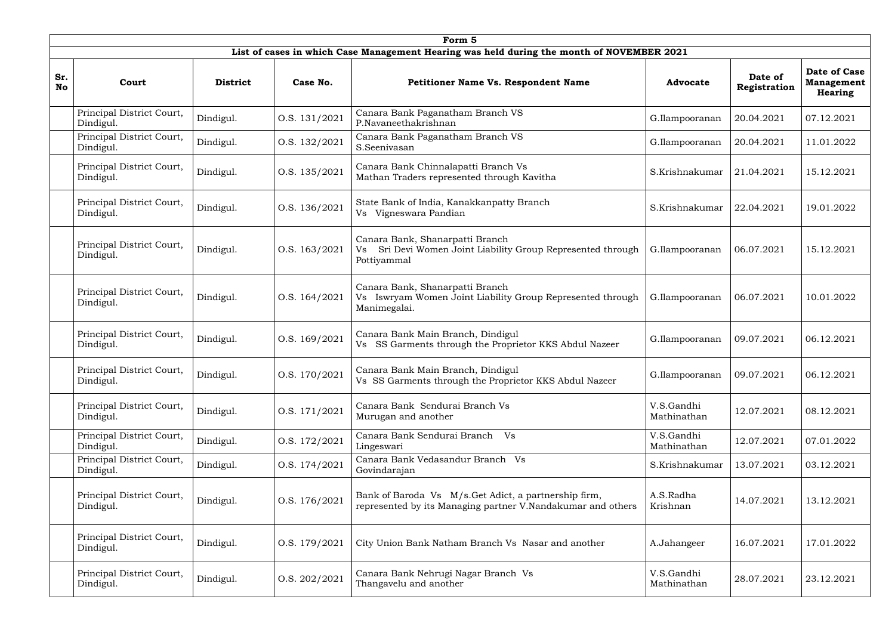|                  | Form 5                                 |                 |               |                                                                                                                      |                           |                         |                                                     |  |  |  |  |  |
|------------------|----------------------------------------|-----------------|---------------|----------------------------------------------------------------------------------------------------------------------|---------------------------|-------------------------|-----------------------------------------------------|--|--|--|--|--|
|                  |                                        |                 |               | List of cases in which Case Management Hearing was held during the month of NOVEMBER 2021                            |                           |                         |                                                     |  |  |  |  |  |
| Sr.<br><b>No</b> | Court                                  | <b>District</b> | Case No.      | <b>Petitioner Name Vs. Respondent Name</b>                                                                           | <b>Advocate</b>           | Date of<br>Registration | <b>Date of Case</b><br><b>Management</b><br>Hearing |  |  |  |  |  |
|                  | Principal District Court,<br>Dindigul. | Dindigul.       | O.S. 131/2021 | Canara Bank Paganatham Branch VS<br>P.Navaneethakrishnan                                                             | G.Ilampooranan            | 20.04.2021              | 07.12.2021                                          |  |  |  |  |  |
|                  | Principal District Court,<br>Dindigul. | Dindigul.       | O.S. 132/2021 | Canara Bank Paganatham Branch VS<br>S.Seenivasan                                                                     | G.Ilampooranan            | 20.04.2021              | 11.01.2022                                          |  |  |  |  |  |
|                  | Principal District Court,<br>Dindigul. | Dindigul.       | O.S. 135/2021 | Canara Bank Chinnalapatti Branch Vs<br>Mathan Traders represented through Kavitha                                    | S.Krishnakumar            | 21.04.2021              | 15.12.2021                                          |  |  |  |  |  |
|                  | Principal District Court,<br>Dindigul. | Dindigul.       | O.S. 136/2021 | State Bank of India, Kanakkanpatty Branch<br>Vs Vigneswara Pandian                                                   | S.Krishnakumar            | 22.04.2021              | 19.01.2022                                          |  |  |  |  |  |
|                  | Principal District Court,<br>Dindigul. | Dindigul.       | O.S. 163/2021 | Canara Bank, Shanarpatti Branch<br>Sri Devi Women Joint Liability Group Represented through<br>Vs<br>Pottiyammal     | G.Ilampooranan            | 06.07.2021              | 15.12.2021                                          |  |  |  |  |  |
|                  | Principal District Court,<br>Dindigul. | Dindigul.       | O.S. 164/2021 | Canara Bank, Shanarpatti Branch<br>Vs Iswryam Women Joint Liability Group Represented through<br>Manimegalai.        | G.Ilampooranan            | 06.07.2021              | 10.01.2022                                          |  |  |  |  |  |
|                  | Principal District Court,<br>Dindigul. | Dindigul.       | O.S. 169/2021 | Canara Bank Main Branch, Dindigul<br>Vs SS Garments through the Proprietor KKS Abdul Nazeer                          | G.Ilampooranan            | 09.07.2021              | 06.12.2021                                          |  |  |  |  |  |
|                  | Principal District Court,<br>Dindigul. | Dindigul.       | O.S. 170/2021 | Canara Bank Main Branch, Dindigul<br>Vs SS Garments through the Proprietor KKS Abdul Nazeer                          | G.Ilampooranan            | 09.07.2021              | 06.12.2021                                          |  |  |  |  |  |
|                  | Principal District Court,<br>Dindigul. | Dindigul.       | O.S. 171/2021 | Canara Bank Sendurai Branch Vs<br>Murugan and another                                                                | V.S.Gandhi<br>Mathinathan | 12.07.2021              | 08.12.2021                                          |  |  |  |  |  |
|                  | Principal District Court,<br>Dindigul. | Dindigul.       | O.S. 172/2021 | Canara Bank Sendurai Branch Vs<br>Lingeswari                                                                         | V.S.Gandhi<br>Mathinathan | 12.07.2021              | 07.01.2022                                          |  |  |  |  |  |
|                  | Principal District Court,<br>Dindigul. | Dindigul.       | O.S. 174/2021 | Canara Bank Vedasandur Branch Vs<br>Govindarajan                                                                     | S.Krishnakumar            | 13.07.2021              | 03.12.2021                                          |  |  |  |  |  |
|                  | Principal District Court,<br>Dindigul. | Dindigul.       | O.S. 176/2021 | Bank of Baroda Vs M/s. Get Adict, a partnership firm,<br>represented by its Managing partner V.Nandakumar and others | A.S.Radha<br>Krishnan     | 14.07.2021              | 13.12.2021                                          |  |  |  |  |  |
|                  | Principal District Court,<br>Dindigul. | Dindigul.       | O.S. 179/2021 | City Union Bank Natham Branch Vs Nasar and another                                                                   | A.Jahangeer               | 16.07.2021              | 17.01.2022                                          |  |  |  |  |  |
|                  | Principal District Court,<br>Dindigul. | Dindigul.       | O.S. 202/2021 | Canara Bank Nehrugi Nagar Branch Vs<br>Thangavelu and another                                                        | V.S.Gandhi<br>Mathinathan | 28.07.2021              | 23.12.2021                                          |  |  |  |  |  |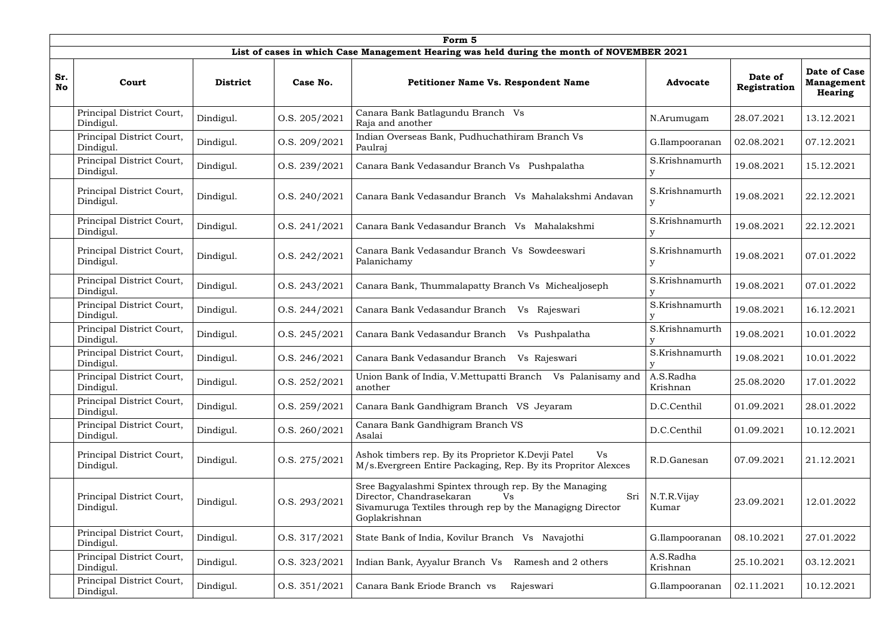|                  | Form 5                                 |                 |               |                                                                                                                                                                              |                       |                         |                                                     |  |  |  |  |
|------------------|----------------------------------------|-----------------|---------------|------------------------------------------------------------------------------------------------------------------------------------------------------------------------------|-----------------------|-------------------------|-----------------------------------------------------|--|--|--|--|
|                  |                                        |                 |               | List of cases in which Case Management Hearing was held during the month of NOVEMBER 2021                                                                                    |                       |                         |                                                     |  |  |  |  |
| Sr.<br><b>No</b> | Court                                  | <b>District</b> | Case No.      | <b>Petitioner Name Vs. Respondent Name</b>                                                                                                                                   | <b>Advocate</b>       | Date of<br>Registration | <b>Date of Case</b><br><b>Management</b><br>Hearing |  |  |  |  |
|                  | Principal District Court,<br>Dindigul. | Dindigul.       | O.S. 205/2021 | Canara Bank Batlagundu Branch Vs<br>Raja and another                                                                                                                         | N.Arumugam            | 28.07.2021              | 13.12.2021                                          |  |  |  |  |
|                  | Principal District Court,<br>Dindigul. | Dindigul.       | O.S. 209/2021 | Indian Overseas Bank, Pudhuchathiram Branch Vs<br>Paulraj                                                                                                                    | G.Ilampooranan        | 02.08.2021              | 07.12.2021                                          |  |  |  |  |
|                  | Principal District Court,<br>Dindigul. | Dindigul.       | O.S. 239/2021 | Canara Bank Vedasandur Branch Vs Pushpalatha                                                                                                                                 | S.Krishnamurth        | 19.08.2021              | 15.12.2021                                          |  |  |  |  |
|                  | Principal District Court,<br>Dindigul. | Dindigul.       | O.S. 240/2021 | Canara Bank Vedasandur Branch Vs Mahalakshmi Andavan                                                                                                                         | S.Krishnamurth<br>У   | 19.08.2021              | 22.12.2021                                          |  |  |  |  |
|                  | Principal District Court,<br>Dindigul. | Dindigul.       | O.S. 241/2021 | Canara Bank Vedasandur Branch Vs<br>Mahalakshmi                                                                                                                              | S.Krishnamurth        | 19.08.2021              | 22.12.2021                                          |  |  |  |  |
|                  | Principal District Court,<br>Dindigul. | Dindigul.       | O.S. 242/2021 | Canara Bank Vedasandur Branch Vs Sowdeeswari<br>Palanichamy                                                                                                                  | S.Krishnamurth        | 19.08.2021              | 07.01.2022                                          |  |  |  |  |
|                  | Principal District Court,<br>Dindigul. | Dindigul.       | O.S. 243/2021 | Canara Bank, Thummalapatty Branch Vs Michealjoseph                                                                                                                           | S.Krishnamurth        | 19.08.2021              | 07.01.2022                                          |  |  |  |  |
|                  | Principal District Court,<br>Dindigul. | Dindigul.       | O.S. 244/2021 | Canara Bank Vedasandur Branch<br>Vs Rajeswari                                                                                                                                | S.Krishnamurth        | 19.08.2021              | 16.12.2021                                          |  |  |  |  |
|                  | Principal District Court,<br>Dindigul. | Dindigul.       | O.S. 245/2021 | Canara Bank Vedasandur Branch<br>Vs Pushpalatha                                                                                                                              | S.Krishnamurth        | 19.08.2021              | 10.01.2022                                          |  |  |  |  |
|                  | Principal District Court,<br>Dindigul. | Dindigul.       | O.S. 246/2021 | Canara Bank Vedasandur Branch<br>Vs Rajeswari                                                                                                                                | S.Krishnamurth        | 19.08.2021              | 10.01.2022                                          |  |  |  |  |
|                  | Principal District Court,<br>Dindigul. | Dindigul.       | O.S. 252/2021 | Union Bank of India, V.Mettupatti Branch Vs Palanisamy and<br>another                                                                                                        | A.S.Radha<br>Krishnan | 25.08.2020              | 17.01.2022                                          |  |  |  |  |
|                  | Principal District Court,<br>Dindigul. | Dindigul.       | O.S. 259/2021 | Canara Bank Gandhigram Branch VS Jeyaram                                                                                                                                     | D.C.Centhil           | 01.09.2021              | 28.01.2022                                          |  |  |  |  |
|                  | Principal District Court,<br>Dindigul. | Dindigul.       | O.S. 260/2021 | Canara Bank Gandhigram Branch VS<br>Asalai                                                                                                                                   | D.C.Centhil           | 01.09.2021              | 10.12.2021                                          |  |  |  |  |
|                  | Principal District Court,<br>Dindigul. | Dindigul.       | O.S. 275/2021 | Ashok timbers rep. By its Proprietor K.Devji Patel<br>Vs<br>M/s. Evergreen Entire Packaging, Rep. By its Propritor Alexces                                                   | R.D.Ganesan           | 07.09.2021              | 21.12.2021                                          |  |  |  |  |
|                  | Principal District Court,<br>Dindigul. | Dindigul.       | O.S. 293/2021 | Sree Bagyalashmi Spintex through rep. By the Managing<br>Director, Chandrasekaran<br>Sri<br>Vs<br>Sivamuruga Textiles through rep by the Managigng Director<br>Goplakrishnan | N.T.R.Vijay<br>Kumar  | 23.09.2021              | 12.01.2022                                          |  |  |  |  |
|                  | Principal District Court,<br>Dindigul. | Dindigul.       | O.S. 317/2021 | State Bank of India, Kovilur Branch Vs Navajothi                                                                                                                             | G.Ilampooranan        | 08.10.2021              | 27.01.2022                                          |  |  |  |  |
|                  | Principal District Court,<br>Dindigul. | Dindigul.       | O.S. 323/2021 | Indian Bank, Ayyalur Branch Vs<br>Ramesh and 2 others                                                                                                                        | A.S.Radha<br>Krishnan | 25.10.2021              | 03.12.2021                                          |  |  |  |  |
|                  | Principal District Court,<br>Dindigul. | Dindigul.       | O.S. 351/2021 | Canara Bank Eriode Branch vs<br>Rajeswari                                                                                                                                    | G.Ilampooranan        | 02.11.2021              | 10.12.2021                                          |  |  |  |  |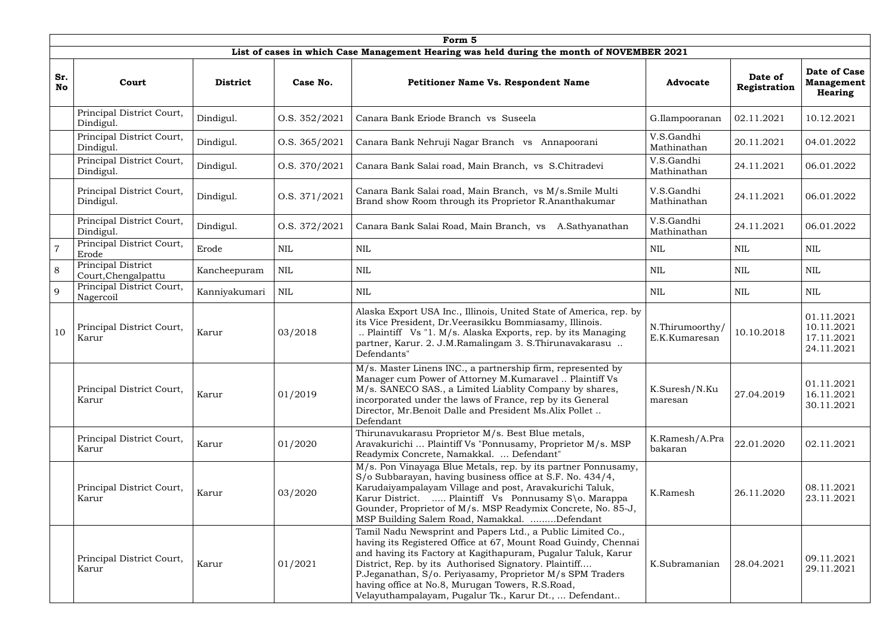|                  | Form 5                                    |                 |               |                                                                                                                                                                                                                                                                                                                                                                                                                                  |                                  |                         |                                                      |  |  |  |  |
|------------------|-------------------------------------------|-----------------|---------------|----------------------------------------------------------------------------------------------------------------------------------------------------------------------------------------------------------------------------------------------------------------------------------------------------------------------------------------------------------------------------------------------------------------------------------|----------------------------------|-------------------------|------------------------------------------------------|--|--|--|--|
|                  |                                           |                 |               | List of cases in which Case Management Hearing was held during the month of NOVEMBER 2021                                                                                                                                                                                                                                                                                                                                        |                                  |                         |                                                      |  |  |  |  |
| Sr.<br><b>No</b> | Court                                     | <b>District</b> | Case No.      | <b>Petitioner Name Vs. Respondent Name</b>                                                                                                                                                                                                                                                                                                                                                                                       | <b>Advocate</b>                  | Date of<br>Registration | <b>Date of Case</b><br><b>Management</b><br>Hearing  |  |  |  |  |
|                  | Principal District Court,<br>Dindigul.    | Dindigul.       | O.S. 352/2021 | Canara Bank Eriode Branch vs Suseela                                                                                                                                                                                                                                                                                                                                                                                             | G.Ilampooranan                   | 02.11.2021              | 10.12.2021                                           |  |  |  |  |
|                  | Principal District Court,<br>Dindigul.    | Dindigul.       | O.S. 365/2021 | Canara Bank Nehruji Nagar Branch vs Annapoorani                                                                                                                                                                                                                                                                                                                                                                                  | V.S.Gandhi<br>Mathinathan        | 20.11.2021              | 04.01.2022                                           |  |  |  |  |
|                  | Principal District Court,<br>Dindigul.    | Dindigul.       | O.S. 370/2021 | Canara Bank Salai road, Main Branch, vs S.Chitradevi                                                                                                                                                                                                                                                                                                                                                                             | V.S.Gandhi<br>Mathinathan        | 24.11.2021              | 06.01.2022                                           |  |  |  |  |
|                  | Principal District Court,<br>Dindigul.    | Dindigul.       | O.S. 371/2021 | Canara Bank Salai road, Main Branch, vs M/s.Smile Multi<br>Brand show Room through its Proprietor R.Ananthakumar                                                                                                                                                                                                                                                                                                                 | V.S.Gandhi<br>Mathinathan        | 24.11.2021              | 06.01.2022                                           |  |  |  |  |
|                  | Principal District Court,<br>Dindigul.    | Dindigul.       | O.S. 372/2021 | Canara Bank Salai Road, Main Branch, vs<br>A.Sathyanathan                                                                                                                                                                                                                                                                                                                                                                        | V.S.Gandhi<br>Mathinathan        | 24.11.2021              | 06.01.2022                                           |  |  |  |  |
|                  | Principal District Court,<br>Erode        | Erode           | $\mbox{NIL}$  | <b>NIL</b>                                                                                                                                                                                                                                                                                                                                                                                                                       | <b>NIL</b>                       | <b>NIL</b>              | NIL                                                  |  |  |  |  |
| 8                | Principal District<br>Court, Chengalpattu | Kancheepuram    | <b>NIL</b>    | NIL                                                                                                                                                                                                                                                                                                                                                                                                                              | NIL                              | NIL                     | NIL                                                  |  |  |  |  |
| 9                | Principal District Court,<br>Nagercoil    | Kanniyakumari   | <b>NIL</b>    | <b>NIL</b>                                                                                                                                                                                                                                                                                                                                                                                                                       | <b>NIL</b>                       | <b>NIL</b>              | <b>NIL</b>                                           |  |  |  |  |
| 10               | Principal District Court,<br>Karur        | Karur           | 03/2018       | Alaska Export USA Inc., Illinois, United State of America, rep. by<br>its Vice President, Dr. Veerasikku Bommiasamy, Illinois.<br>Plaintiff Vs "1. M/s. Alaska Exports, rep. by its Managing<br>partner, Karur. 2. J.M.Ramalingam 3. S.Thirunavakarasu<br>Defendants"                                                                                                                                                            | N.Thirumoorthy/<br>E.K.Kumaresan | 10.10.2018              | 01.11.2021<br>10.11.2021<br>17.11.2021<br>24.11.2021 |  |  |  |  |
|                  | Principal District Court,<br>Karur        | Karur           | 01/2019       | M/s. Master Linens INC., a partnership firm, represented by<br>Manager cum Power of Attorney M.Kumaravel  Plaintiff Vs<br>M/s. SANECO SAS., a Limited Liablity Company by shares,<br>incorporated under the laws of France, rep by its General<br>Director, Mr.Benoit Dalle and President Ms.Alix Pollet<br>Defendant                                                                                                            | K.Suresh/N.Ku<br>maresan         | 27.04.2019              | 01.11.2021<br>16.11.2021<br>30.11.2021               |  |  |  |  |
|                  | Principal District Court,<br>Karur        | Karur           | 01/2020       | Thirunavukarasu Proprietor M/s. Best Blue metals,<br>Aravakurichi  Plaintiff Vs "Ponnusamy, Proprietor M/s. MSP<br>Readymix Concrete, Namakkal.  Defendant"                                                                                                                                                                                                                                                                      | K.Ramesh/A.Pra<br>bakaran        | 22.01.2020              | 02.11.2021                                           |  |  |  |  |
|                  | Principal District Court,<br>Karur        | Karur           | 03/2020       | M/s. Pon Vinayaga Blue Metals, rep. by its partner Ponnusamy,<br>S/o Subbarayan, having business office at S.F. No. 434/4,<br>Karudaiyampalayam Village and post, Aravakurichi Taluk,<br>Karur District.  Plaintiff Vs Ponnusamy S\o. Marappa<br>Gounder, Proprietor of M/s. MSP Readymix Concrete, No. 85-J,<br>MSP Building Salem Road, Namakkal. Defendant                                                                    | K.Ramesh                         | 26.11.2020              | 08.11.2021<br>23.11.2021                             |  |  |  |  |
|                  | Principal District Court,<br>Karur        | Karur           | 01/2021       | Tamil Nadu Newsprint and Papers Ltd., a Public Limited Co.,<br>having its Registered Office at 67, Mount Road Guindy, Chennai<br>and having its Factory at Kagithapuram, Pugalur Taluk, Karur<br>District, Rep. by its Authorised Signatory. Plaintiff<br>P.Jeganathan, S/o. Periyasamy, Proprietor M/s SPM Traders<br>having office at No.8, Murugan Towers, R.S.Road,<br>Velayuthampalayam, Pugalur Tk., Karur Dt.,  Defendant | K.Subramanian                    | 28.04.2021              | 09.11.2021<br>29.11.2021                             |  |  |  |  |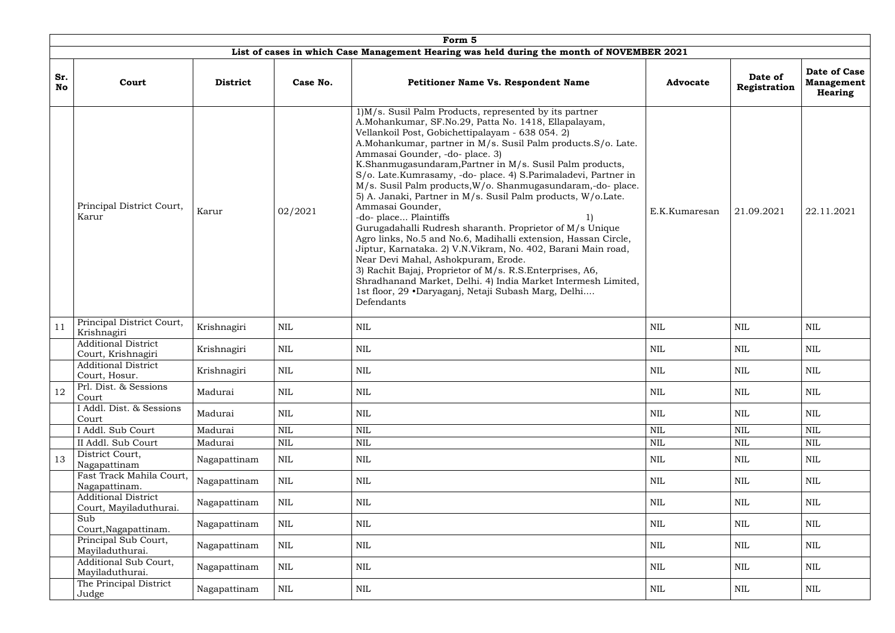|                  | Form 5                                               |                 |              |                                                                                                                                                                                                                                                                                                                                                                                                                                                                                                                                                                                                                                                                                                                                                                                                                                                                                                                                                                                                                        |                 |                         |                                                     |  |  |  |  |  |
|------------------|------------------------------------------------------|-----------------|--------------|------------------------------------------------------------------------------------------------------------------------------------------------------------------------------------------------------------------------------------------------------------------------------------------------------------------------------------------------------------------------------------------------------------------------------------------------------------------------------------------------------------------------------------------------------------------------------------------------------------------------------------------------------------------------------------------------------------------------------------------------------------------------------------------------------------------------------------------------------------------------------------------------------------------------------------------------------------------------------------------------------------------------|-----------------|-------------------------|-----------------------------------------------------|--|--|--|--|--|
|                  |                                                      |                 |              | List of cases in which Case Management Hearing was held during the month of NOVEMBER 2021                                                                                                                                                                                                                                                                                                                                                                                                                                                                                                                                                                                                                                                                                                                                                                                                                                                                                                                              |                 |                         |                                                     |  |  |  |  |  |
| Sr.<br><b>No</b> | Court                                                | <b>District</b> | Case No.     | <b>Petitioner Name Vs. Respondent Name</b>                                                                                                                                                                                                                                                                                                                                                                                                                                                                                                                                                                                                                                                                                                                                                                                                                                                                                                                                                                             | <b>Advocate</b> | Date of<br>Registration | Date of Case<br><b>Management</b><br><b>Hearing</b> |  |  |  |  |  |
|                  | Principal District Court,<br>Karur                   | Karur           | 02/2021      | 1) M/s. Susil Palm Products, represented by its partner<br>A.Mohankumar, SF.No.29, Patta No. 1418, Ellapalayam,<br>Vellankoil Post, Gobichettipalayam - 638 054. 2)<br>A.Mohankumar, partner in M/s. Susil Palm products.S/o. Late.<br>Ammasai Gounder, -do- place. 3)<br>K.Shanmugasundaram, Partner in M/s. Susil Palm products,<br>S/o. Late.Kumrasamy, -do- place. 4) S.Parimaladevi, Partner in<br>M/s. Susil Palm products, W/o. Shanmugasundaram,-do-place.<br>5) A. Janaki, Partner in M/s. Susil Palm products, W/o.Late.<br>Ammasai Gounder,<br>-do-place Plaintiffs<br>Gurugadahalli Rudresh sharanth. Proprietor of M/s Unique<br>Agro links, No.5 and No.6, Madihalli extension, Hassan Circle,<br>Jiptur, Karnataka. 2) V.N.Vikram, No. 402, Barani Main road,<br>Near Devi Mahal, Ashokpuram, Erode.<br>3) Rachit Bajaj, Proprietor of M/s. R.S. Enterprises, A6,<br>Shradhanand Market, Delhi. 4) India Market Intermesh Limited,<br>1st floor, 29 •Daryaganj, Netaji Subash Marg, Delhi<br>Defendants | E.K.Kumaresan   | 21.09.2021              | 22.11.2021                                          |  |  |  |  |  |
| 11               | Principal District Court,<br>Krishnagiri             | Krishnagiri     | <b>NIL</b>   | <b>NIL</b>                                                                                                                                                                                                                                                                                                                                                                                                                                                                                                                                                                                                                                                                                                                                                                                                                                                                                                                                                                                                             | <b>NIL</b>      | <b>NIL</b>              | <b>NIL</b>                                          |  |  |  |  |  |
|                  | <b>Additional District</b><br>Court, Krishnagiri     | Krishnagiri     | NIL          | NIL                                                                                                                                                                                                                                                                                                                                                                                                                                                                                                                                                                                                                                                                                                                                                                                                                                                                                                                                                                                                                    | NIL             | NIL                     | <b>NIL</b>                                          |  |  |  |  |  |
|                  | <b>Additional District</b><br>Court, Hosur.          | Krishnagiri     | NIL          | <b>NIL</b>                                                                                                                                                                                                                                                                                                                                                                                                                                                                                                                                                                                                                                                                                                                                                                                                                                                                                                                                                                                                             | $\mbox{NIL}$    | <b>NIL</b>              | NIL                                                 |  |  |  |  |  |
| 12               | Prl. Dist. & Sessions<br>Court                       | Madurai         | NIL          | <b>NIL</b>                                                                                                                                                                                                                                                                                                                                                                                                                                                                                                                                                                                                                                                                                                                                                                                                                                                                                                                                                                                                             | NIL             | NIL                     | NIL                                                 |  |  |  |  |  |
|                  | I Addl. Dist. & Sessions<br>Court                    | Madurai         | <b>NIL</b>   | <b>NIL</b>                                                                                                                                                                                                                                                                                                                                                                                                                                                                                                                                                                                                                                                                                                                                                                                                                                                                                                                                                                                                             | <b>NIL</b>      | NIL                     | <b>NIL</b>                                          |  |  |  |  |  |
|                  | I Addl. Sub Court                                    | Madurai         | $\mbox{NIL}$ | <b>NIL</b>                                                                                                                                                                                                                                                                                                                                                                                                                                                                                                                                                                                                                                                                                                                                                                                                                                                                                                                                                                                                             | $\mbox{NIL}$    | $\mbox{NIL}$            | $\mbox{NIL}$                                        |  |  |  |  |  |
|                  | II Addl. Sub Court                                   | Madurai         | $\mbox{NIL}$ | <b>NIL</b>                                                                                                                                                                                                                                                                                                                                                                                                                                                                                                                                                                                                                                                                                                                                                                                                                                                                                                                                                                                                             | <b>NIL</b>      | <b>NIL</b>              | <b>NIL</b>                                          |  |  |  |  |  |
| 13               | District Court,<br>Nagapattinam                      | Nagapattinam    | <b>NIL</b>   | <b>NIL</b>                                                                                                                                                                                                                                                                                                                                                                                                                                                                                                                                                                                                                                                                                                                                                                                                                                                                                                                                                                                                             | <b>NIL</b>      | <b>NIL</b>              | <b>NIL</b>                                          |  |  |  |  |  |
|                  | Fast Track Mahila Court,<br>Nagapattinam.            | Nagapattinam    | <b>NIL</b>   | <b>NIL</b>                                                                                                                                                                                                                                                                                                                                                                                                                                                                                                                                                                                                                                                                                                                                                                                                                                                                                                                                                                                                             | <b>NIL</b>      | <b>NIL</b>              | NIL                                                 |  |  |  |  |  |
|                  | <b>Additional District</b><br>Court, Mayiladuthurai. | Nagapattinam    | <b>NIL</b>   | <b>NIL</b>                                                                                                                                                                                                                                                                                                                                                                                                                                                                                                                                                                                                                                                                                                                                                                                                                                                                                                                                                                                                             | <b>NIL</b>      | NIL                     | NIL                                                 |  |  |  |  |  |
|                  | Sub<br>Court, Nagapattinam.                          | Nagapattinam    | <b>NIL</b>   | <b>NIL</b>                                                                                                                                                                                                                                                                                                                                                                                                                                                                                                                                                                                                                                                                                                                                                                                                                                                                                                                                                                                                             | NIL             | NIL                     | NIL                                                 |  |  |  |  |  |
|                  | Principal Sub Court,<br>Mayiladuthurai.              | Nagapattinam    | <b>NIL</b>   | NIL                                                                                                                                                                                                                                                                                                                                                                                                                                                                                                                                                                                                                                                                                                                                                                                                                                                                                                                                                                                                                    | NIL             | <b>NIL</b>              | NIL                                                 |  |  |  |  |  |
|                  | Additional Sub Court,<br>Mayiladuthurai.             | Nagapattinam    | <b>NIL</b>   | <b>NIL</b>                                                                                                                                                                                                                                                                                                                                                                                                                                                                                                                                                                                                                                                                                                                                                                                                                                                                                                                                                                                                             | <b>NIL</b>      | <b>NIL</b>              | NIL                                                 |  |  |  |  |  |
|                  | The Principal District<br>Judge                      | Nagapattinam    | NIL          | <b>NIL</b>                                                                                                                                                                                                                                                                                                                                                                                                                                                                                                                                                                                                                                                                                                                                                                                                                                                                                                                                                                                                             | NIL             | NIL                     | NIL                                                 |  |  |  |  |  |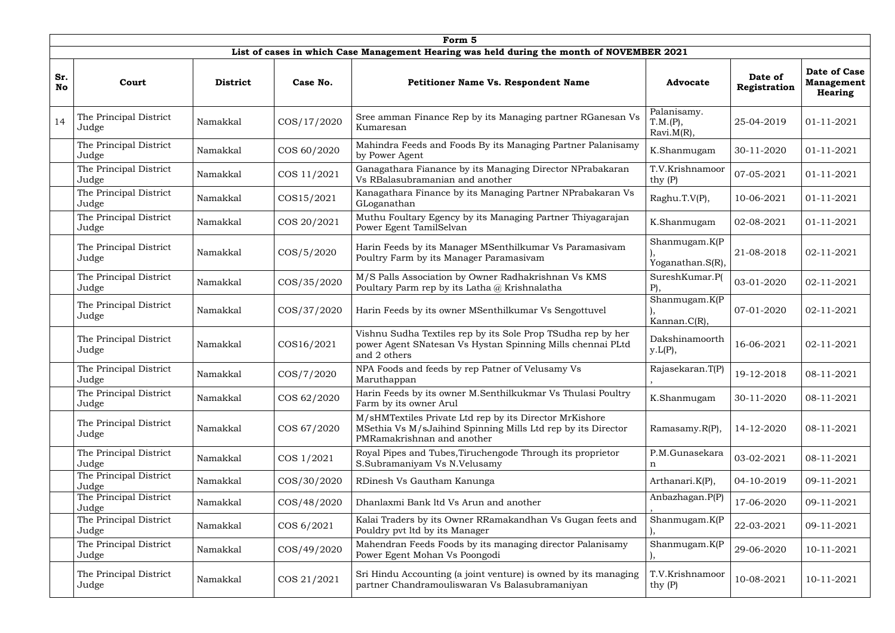|                  | Form 5                          |                 |               |                                                                                                                                                       |                                          |                         |                                                     |  |  |  |  |
|------------------|---------------------------------|-----------------|---------------|-------------------------------------------------------------------------------------------------------------------------------------------------------|------------------------------------------|-------------------------|-----------------------------------------------------|--|--|--|--|
|                  |                                 |                 |               | List of cases in which Case Management Hearing was held during the month of NOVEMBER 2021                                                             |                                          |                         |                                                     |  |  |  |  |
| Sr.<br><b>No</b> | Court                           | <b>District</b> | Case No.      | <b>Petitioner Name Vs. Respondent Name</b>                                                                                                            | <b>Advocate</b>                          | Date of<br>Registration | <b>Date of Case</b><br><b>Management</b><br>Hearing |  |  |  |  |
| 14               | The Principal District<br>Judge | Namakkal        | COS/17/2020   | Sree amman Finance Rep by its Managing partner RGanesan Vs<br>Kumaresan                                                                               | Palanisamy.<br>T.M.(P),<br>$Ravi.M(R)$ , | 25-04-2019              | $01 - 11 - 2021$                                    |  |  |  |  |
|                  | The Principal District<br>Judge | Namakkal        | COS 60/2020   | Mahindra Feeds and Foods By its Managing Partner Palanisamy<br>by Power Agent                                                                         | K.Shanmugam                              | 30-11-2020              | 01-11-2021                                          |  |  |  |  |
|                  | The Principal District<br>Judge | Namakkal        | COS 11/2021   | Ganagathara Fianance by its Managing Director NPrabakaran<br>Vs RBalasubramanian and another                                                          | T.V.Krishnamoor<br>thy $(P)$             | 07-05-2021              | $01 - 11 - 2021$                                    |  |  |  |  |
|                  | The Principal District<br>Judge | Namakkal        | COS15/2021    | Kanagathara Finance by its Managing Partner NPrabakaran Vs<br>GLoganathan                                                                             | Raghu.T.V(P),                            | 10-06-2021              | $01 - 11 - 2021$                                    |  |  |  |  |
|                  | The Principal District<br>Judge | Namakkal        | COS 20/2021   | Muthu Foultary Egency by its Managing Partner Thiyagarajan<br>Power Egent TamilSelvan                                                                 | K.Shanmugam                              | 02-08-2021              | 01-11-2021                                          |  |  |  |  |
|                  | The Principal District<br>Judge | Namakkal        | $\cos/5/2020$ | Harin Feeds by its Manager MSenthilkumar Vs Paramasivam<br>Poultry Farm by its Manager Paramasivam                                                    | Shanmugam. $K(P)$<br>Yoganathan.S(R),    | 21-08-2018              | 02-11-2021                                          |  |  |  |  |
|                  | The Principal District<br>Judge | Namakkal        | COS/35/2020   | M/S Palls Association by Owner Radhakrishnan Vs KMS<br>Poultary Parm rep by its Latha @ Krishnalatha                                                  | SureshKumar.P(<br>$P$ ),                 | 03-01-2020              | 02-11-2021                                          |  |  |  |  |
|                  | The Principal District<br>Judge | Namakkal        | COS/37/2020   | Harin Feeds by its owner MSenthilkumar Vs Sengottuvel                                                                                                 | Shanmugam.K(P<br>Kannan. $C(R)$ ,        | 07-01-2020              | 02-11-2021                                          |  |  |  |  |
|                  | The Principal District<br>Judge | Namakkal        | COS16/2021    | Vishnu Sudha Textiles rep by its Sole Prop TSudha rep by her<br>power Agent SNatesan Vs Hystan Spinning Mills chennai PLtd<br>and 2 others            | Dakshinamoorth<br>y.L(P),                | 16-06-2021              | 02-11-2021                                          |  |  |  |  |
|                  | The Principal District<br>Judge | Namakkal        | $\cos/7/2020$ | NPA Foods and feeds by rep Patner of Velusamy Vs<br>Maruthappan                                                                                       | Rajasekaran.T(P)                         | 19-12-2018              | 08-11-2021                                          |  |  |  |  |
|                  | The Principal District<br>Judge | Namakkal        | COS 62/2020   | Harin Feeds by its owner M.Senthilkukmar Vs Thulasi Poultry<br>Farm by its owner Arul                                                                 | K.Shanmugam                              | 30-11-2020              | 08-11-2021                                          |  |  |  |  |
|                  | The Principal District<br>Judge | Namakkal        | COS 67/2020   | M/sHMTextiles Private Ltd rep by its Director MrKishore<br>MSethia Vs M/sJaihind Spinning Mills Ltd rep by its Director<br>PMRamakrishnan and another | Ramasamy.R(P),                           | 14-12-2020              | 08-11-2021                                          |  |  |  |  |
|                  | The Principal District<br>Judge | Namakkal        | COS 1/2021    | Royal Pipes and Tubes, Tiruchengode Through its proprietor<br>S.Subramaniyam Vs N.Velusamy                                                            | P.M.Gunasekara<br>n                      | 03-02-2021              | 08-11-2021                                          |  |  |  |  |
|                  | The Principal District<br>Judge | Namakkal        | COS/30/2020   | RDinesh Vs Gautham Kanunga                                                                                                                            | Arthanari.K(P),                          | 04-10-2019              | 09-11-2021                                          |  |  |  |  |
|                  | The Principal District<br>Judge | Namakkal        | COS/48/2020   | Dhanlaxmi Bank ltd Vs Arun and another                                                                                                                | Anbazhagan.P(P)                          | 17-06-2020              | 09-11-2021                                          |  |  |  |  |
|                  | The Principal District<br>Judge | Namakkal        | COS 6/2021    | Kalai Traders by its Owner RRamakandhan Vs Gugan feets and<br>Pouldry pvt ltd by its Manager                                                          | Shanmugam.K(P                            | 22-03-2021              | 09-11-2021                                          |  |  |  |  |
|                  | The Principal District<br>Judge | Namakkal        | COS/49/2020   | Mahendran Feeds Foods by its managing director Palanisamy<br>Power Egent Mohan Vs Poongodi                                                            | Shanmugam.K(P                            | 29-06-2020              | 10-11-2021                                          |  |  |  |  |
|                  | The Principal District<br>Judge | Namakkal        | COS 21/2021   | Sri Hindu Accounting (a joint venture) is owned by its managing<br>partner Chandramouliswaran Vs Balasubramaniyan                                     | T.V.Krishnamoor<br>thy $(P)$             | 10-08-2021              | 10-11-2021                                          |  |  |  |  |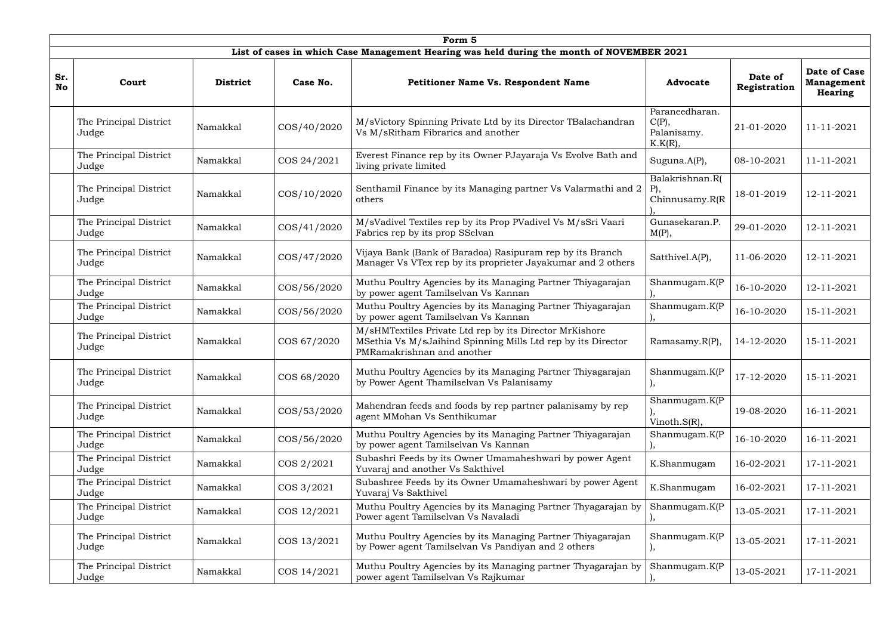|                  | Form 5                                                                                    |                 |             |                                                                                                                                                       |                                                      |                         |                                                     |  |  |  |
|------------------|-------------------------------------------------------------------------------------------|-----------------|-------------|-------------------------------------------------------------------------------------------------------------------------------------------------------|------------------------------------------------------|-------------------------|-----------------------------------------------------|--|--|--|
|                  | List of cases in which Case Management Hearing was held during the month of NOVEMBER 2021 |                 |             |                                                                                                                                                       |                                                      |                         |                                                     |  |  |  |
| Sr.<br><b>No</b> | Court                                                                                     | <b>District</b> | Case No.    | Petitioner Name Vs. Respondent Name                                                                                                                   | <b>Advocate</b>                                      | Date of<br>Registration | <b>Date of Case</b><br><b>Management</b><br>Hearing |  |  |  |
|                  | The Principal District<br>Judge                                                           | Namakkal        | COS/40/2020 | M/sVictory Spinning Private Ltd by its Director TBalachandran<br>Vs M/sRitham Fibrarics and another                                                   | Paraneedharan.<br>$C(P)$ ,<br>Palanisamy.<br>K.K(R), | 21-01-2020              | 11-11-2021                                          |  |  |  |
|                  | The Principal District<br>Judge                                                           | Namakkal        | COS 24/2021 | Everest Finance rep by its Owner PJayaraja Vs Evolve Bath and<br>living private limited                                                               | Suguna.A(P),                                         | 08-10-2021              | 11-11-2021                                          |  |  |  |
|                  | The Principal District<br>Judge                                                           | Namakkal        | COS/10/2020 | Senthamil Finance by its Managing partner Vs Valarmathi and 2<br>others                                                                               | Balakrishnan.R(<br>$P$ ),<br>Chinnusamy.R(R)         | 18-01-2019              | 12-11-2021                                          |  |  |  |
|                  | The Principal District<br>Judge                                                           | Namakkal        | COS/41/2020 | M/sVadivel Textiles rep by its Prop PVadivel Vs M/sSri Vaari<br>Fabrics rep by its prop SSelvan                                                       | Gunasekaran.P.<br>$M(P)$ ,                           | 29-01-2020              | 12-11-2021                                          |  |  |  |
|                  | The Principal District<br>Judge                                                           | Namakkal        | COS/47/2020 | Vijaya Bank (Bank of Baradoa) Rasipuram rep by its Branch<br>Manager Vs VTex rep by its proprieter Jayakumar and 2 others                             | Satthivel.A(P),                                      | 11-06-2020              | 12-11-2021                                          |  |  |  |
|                  | The Principal District<br>Judge                                                           | Namakkal        | COS/56/2020 | Muthu Poultry Agencies by its Managing Partner Thiyagarajan<br>by power agent Tamilselvan Vs Kannan                                                   | Shanmugam.K(P                                        | 16-10-2020              | 12-11-2021                                          |  |  |  |
|                  | The Principal District<br>Judge                                                           | Namakkal        | COS/56/2020 | Muthu Poultry Agencies by its Managing Partner Thiyagarajan<br>by power agent Tamilselvan Vs Kannan                                                   | Shanmugam.K(P                                        | 16-10-2020              | 15-11-2021                                          |  |  |  |
|                  | The Principal District<br>Judge                                                           | Namakkal        | COS 67/2020 | M/sHMTextiles Private Ltd rep by its Director MrKishore<br>MSethia Vs M/sJaihind Spinning Mills Ltd rep by its Director<br>PMRamakrishnan and another | Ramasamy. $R(P)$ ,                                   | 14-12-2020              | 15-11-2021                                          |  |  |  |
|                  | The Principal District<br>Judge                                                           | Namakkal        | COS 68/2020 | Muthu Poultry Agencies by its Managing Partner Thiyagarajan<br>by Power Agent Thamilselvan Vs Palanisamy                                              | Shanmugam.K(P                                        | 17-12-2020              | 15-11-2021                                          |  |  |  |
|                  | The Principal District<br>Judge                                                           | Namakkal        | COS/53/2020 | Mahendran feeds and foods by rep partner palanisamy by rep<br>agent MMohan Vs Senthikumar                                                             | Shanmugam.K(P)<br>Vinoth. $S(R)$ ,                   | 19-08-2020              | 16-11-2021                                          |  |  |  |
|                  | The Principal District<br>Judge                                                           | Namakkal        | COS/56/2020 | Muthu Poultry Agencies by its Managing Partner Thiyagarajan<br>by power agent Tamilselvan Vs Kannan                                                   | Shanmugam.K(P                                        | 16-10-2020              | 16-11-2021                                          |  |  |  |
|                  | The Principal District<br>Judge                                                           | Namakkal        | COS 2/2021  | Subashri Feeds by its Owner Umamaheshwari by power Agent<br>Yuvaraj and another Vs Sakthivel                                                          | K.Shanmugam                                          | 16-02-2021              | 17-11-2021                                          |  |  |  |
|                  | The Principal District<br>Judge                                                           | Namakkal        | COS 3/2021  | Subashree Feeds by its Owner Umamaheshwari by power Agent<br>Yuvaraj Vs Sakthivel                                                                     | K.Shanmugam                                          | 16-02-2021              | 17-11-2021                                          |  |  |  |
|                  | The Principal District<br>Judge                                                           | Namakkal        | COS 12/2021 | Muthu Poultry Agencies by its Managing Partner Thyagarajan by<br>Power agent Tamilselvan Vs Navaladi                                                  | Shanmugam.K(P                                        | 13-05-2021              | 17-11-2021                                          |  |  |  |
|                  | The Principal District<br>Judge                                                           | Namakkal        | COS 13/2021 | Muthu Poultry Agencies by its Managing Partner Thiyagarajan<br>by Power agent Tamilselvan Vs Pandiyan and 2 others                                    | Shanmugam.K(P                                        | 13-05-2021              | 17-11-2021                                          |  |  |  |
|                  | The Principal District<br>Judge                                                           | Namakkal        | COS 14/2021 | Muthu Poultry Agencies by its Managing partner Thyagarajan by<br>power agent Tamilselvan Vs Rajkumar                                                  | Shanmugam.K(P                                        | 13-05-2021              | 17-11-2021                                          |  |  |  |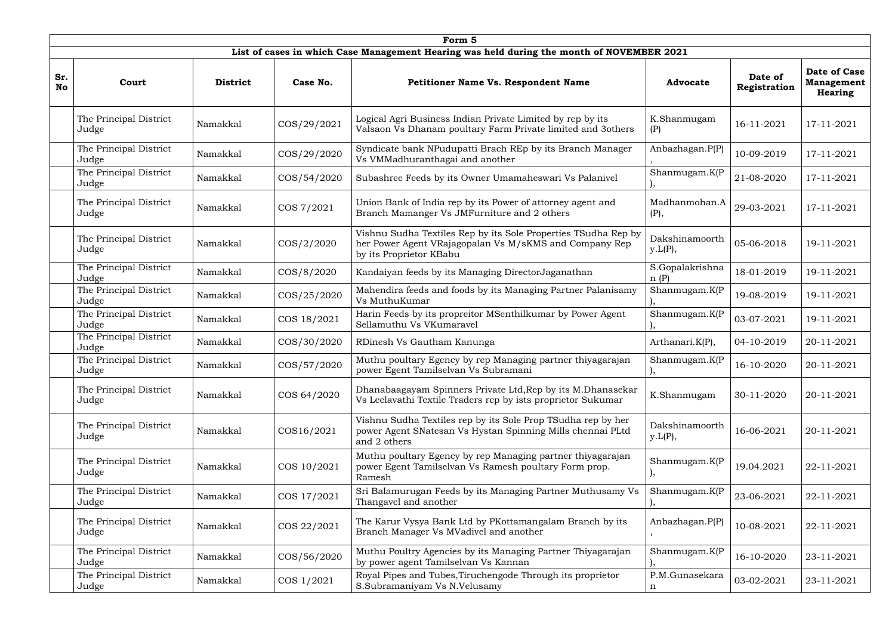|                  | Form 5                          |                 |                |                                                                                                                                                     |                             |                         |                                                     |  |  |  |  |
|------------------|---------------------------------|-----------------|----------------|-----------------------------------------------------------------------------------------------------------------------------------------------------|-----------------------------|-------------------------|-----------------------------------------------------|--|--|--|--|
|                  |                                 |                 |                | List of cases in which Case Management Hearing was held during the month of NOVEMBER 2021                                                           |                             |                         |                                                     |  |  |  |  |
| Sr.<br><b>No</b> | Court                           | <b>District</b> | Case No.       | <b>Petitioner Name Vs. Respondent Name</b>                                                                                                          | <b>Advocate</b>             | Date of<br>Registration | <b>Date of Case</b><br><b>Management</b><br>Hearing |  |  |  |  |
|                  | The Principal District<br>Judge | Namakkal        | COS/29/2021    | Logical Agri Business Indian Private Limited by rep by its<br>Valsaon Vs Dhanam poultary Farm Private limited and 3others                           | K.Shanmugam<br>(P)          | 16-11-2021              | 17-11-2021                                          |  |  |  |  |
|                  | The Principal District<br>Judge | Namakkal        | COS/29/2020    | Syndicate bank NPudupatti Brach REp by its Branch Manager<br>Vs VMMadhuranthagai and another                                                        | Anbazhagan.P(P)             | 10-09-2019              | 17-11-2021                                          |  |  |  |  |
|                  | The Principal District<br>Judge | Namakkal        | COS/54/2020    | Subashree Feeds by its Owner Umamaheswari Vs Palanivel                                                                                              | Shanmugam.K(P               | 21-08-2020              | 17-11-2021                                          |  |  |  |  |
|                  | The Principal District<br>Judge | Namakkal        | COS 7/2021     | Union Bank of India rep by its Power of attorney agent and<br>Branch Mamanger Vs JMFurniture and 2 others                                           | Madhanmohan.A<br>(P),       | 29-03-2021              | 17-11-2021                                          |  |  |  |  |
|                  | The Principal District<br>Judge | Namakkal        | $\cos(2/2020)$ | Vishnu Sudha Textiles Rep by its Sole Properties TSudha Rep by<br>her Power Agent VRajagopalan Vs M/sKMS and Company Rep<br>by its Proprietor KBabu | Dakshinamoorth<br>y.L(P),   | 05-06-2018              | 19-11-2021                                          |  |  |  |  |
|                  | The Principal District<br>Judge | Namakkal        | COS/8/2020     | Kandaiyan feeds by its Managing Director Jaganathan                                                                                                 | S.Gopalakrishna<br>n(P)     | 18-01-2019              | 19-11-2021                                          |  |  |  |  |
|                  | The Principal District<br>Judge | Namakkal        | COS/25/2020    | Mahendira feeds and foods by its Managing Partner Palanisamy<br>Vs MuthuKumar                                                                       | Shanmugam.K(P               | 19-08-2019              | 19-11-2021                                          |  |  |  |  |
|                  | The Principal District<br>Judge | Namakkal        | COS 18/2021    | Harin Feeds by its propreitor MSenthilkumar by Power Agent<br>Sellamuthu Vs VKumaravel                                                              | Shanmugam.K(P               | 03-07-2021              | 19-11-2021                                          |  |  |  |  |
|                  | The Principal District<br>Judge | Namakkal        | COS/30/2020    | RDinesh Vs Gautham Kanunga                                                                                                                          | Arthanari.K(P),             | 04-10-2019              | 20-11-2021                                          |  |  |  |  |
|                  | The Principal District<br>Judge | Namakkal        | COS/57/2020    | Muthu poultary Egency by rep Managing partner thiyagarajan<br>power Egent Tamilselvan Vs Subramani                                                  | Shanmugam.K(P<br><b>J</b> , | 16-10-2020              | 20-11-2021                                          |  |  |  |  |
|                  | The Principal District<br>Judge | Namakkal        | COS 64/2020    | Dhanabaagayam Spinners Private Ltd, Rep by its M.Dhanasekar<br>Vs Leelavathi Textile Traders rep by ists proprietor Sukumar                         | K.Shanmugam                 | 30-11-2020              | 20-11-2021                                          |  |  |  |  |
|                  | The Principal District<br>Judge | Namakkal        | COS16/2021     | Vishnu Sudha Textiles rep by its Sole Prop TSudha rep by her<br>power Agent SNatesan Vs Hystan Spinning Mills chennai PLtd<br>and 2 others          | Dakshinamoorth<br>y.L(P),   | 16-06-2021              | 20-11-2021                                          |  |  |  |  |
|                  | The Principal District<br>Judge | Namakkal        | COS 10/2021    | Muthu poultary Egency by rep Managing partner thiyagarajan<br>power Egent Tamilselvan Vs Ramesh poultary Form prop.<br>Ramesh                       | Shanmugam.K(P               | 19.04.2021              | 22-11-2021                                          |  |  |  |  |
|                  | The Principal District<br>Judge | Namakkal        | COS 17/2021    | Sri Balamurugan Feeds by its Managing Partner Muthusamy Vs<br>Thangavel and another                                                                 | Shanmugam.K(P               | 23-06-2021              | 22-11-2021                                          |  |  |  |  |
|                  | The Principal District<br>Judge | Namakkal        | COS 22/2021    | The Karur Vysya Bank Ltd by PKottamangalam Branch by its<br>Branch Manager Vs MVadivel and another                                                  | Anbazhagan.P(P)             | 10-08-2021              | 22-11-2021                                          |  |  |  |  |
|                  | The Principal District<br>Judge | Namakkal        | COS/56/2020    | Muthu Poultry Agencies by its Managing Partner Thiyagarajan<br>by power agent Tamilselvan Vs Kannan                                                 | Shanmugam.K(P               | 16-10-2020              | 23-11-2021                                          |  |  |  |  |
|                  | The Principal District<br>Judge | Namakkal        | COS 1/2021     | Royal Pipes and Tubes, Tiruchengode Through its proprietor<br>S.Subramaniyam Vs N.Velusamy                                                          | P.M.Gunasekara<br>n         | 03-02-2021              | 23-11-2021                                          |  |  |  |  |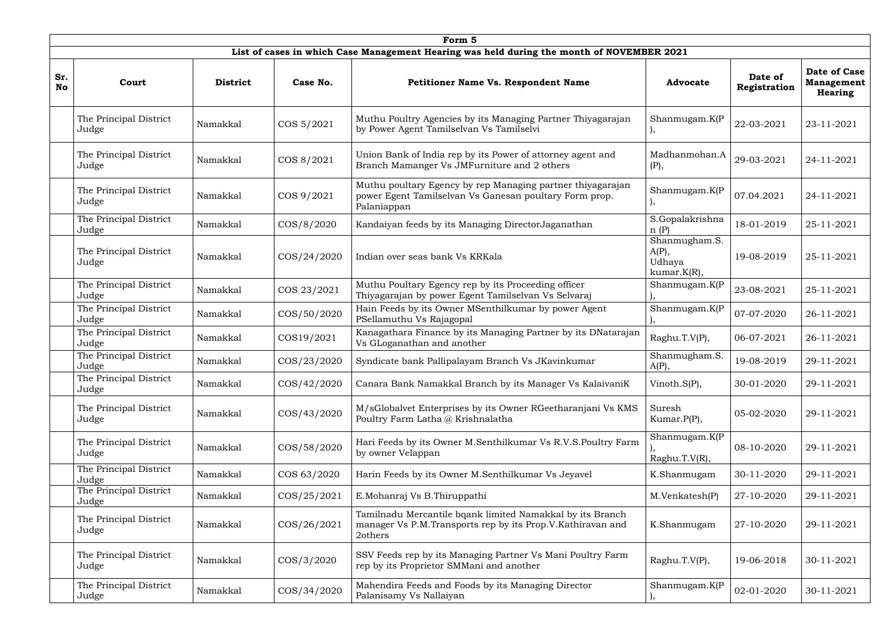|                  | Form 5                                                                                    |                 |                 |                                                                                                                                     |                                                    |                         |                                                     |  |  |  |
|------------------|-------------------------------------------------------------------------------------------|-----------------|-----------------|-------------------------------------------------------------------------------------------------------------------------------------|----------------------------------------------------|-------------------------|-----------------------------------------------------|--|--|--|
|                  | List of cases in which Case Management Hearing was held during the month of NOVEMBER 2021 |                 |                 |                                                                                                                                     |                                                    |                         |                                                     |  |  |  |
| Sr.<br><b>No</b> | Court                                                                                     | <b>District</b> | Case No.        | <b>Petitioner Name Vs. Respondent Name</b>                                                                                          | <b>Advocate</b>                                    | Date of<br>Registration | <b>Date of Case</b><br><b>Management</b><br>Hearing |  |  |  |
|                  | The Principal District<br>Judge                                                           | Namakkal        | COS 5/2021      | Muthu Poultry Agencies by its Managing Partner Thiyagarajan<br>by Power Agent Tamilselvan Vs Tamilselvi                             | Shanmugam.K(P                                      | 22-03-2021              | 23-11-2021                                          |  |  |  |
|                  | The Principal District<br>Judge                                                           | Namakkal        | COS 8/2021      | Union Bank of India rep by its Power of attorney agent and<br>Branch Mamanger Vs JMFurniture and 2 others                           | Madhanmohan.A<br>(P),                              | 29-03-2021              | 24-11-2021                                          |  |  |  |
|                  | The Principal District<br>Judge                                                           | Namakkal        | COS 9/2021      | Muthu poultary Egency by rep Managing partner thiyagarajan<br>power Egent Tamilselvan Vs Ganesan poultary Form prop.<br>Palaniappan | Shanmugam.K(P                                      | 07.04.2021              | 24-11-2021                                          |  |  |  |
|                  | The Principal District<br>Judge                                                           | Namakkal        | $\cos/8/2020$   | Kandaiyan feeds by its Managing DirectorJaganathan                                                                                  | S.Gopalakrishna<br>n(P)                            | 18-01-2019              | 25-11-2021                                          |  |  |  |
|                  | The Principal District<br>Judge                                                           | Namakkal        | COS/24/2020     | Indian over seas bank Vs KRKala                                                                                                     | Shanmugham.S.<br>$A(P)$ ,<br>Udhaya<br>kumar.K(R), | 19-08-2019              | 25-11-2021                                          |  |  |  |
|                  | The Principal District<br>Judge                                                           | Namakkal        | COS 23/2021     | Muthu Poultary Egency rep by its Proceeding officer<br>Thiyagarajan by power Egent Tamilselvan Vs Selvaraj                          | Shanmugam.K(P                                      | 23-08-2021              | 25-11-2021                                          |  |  |  |
|                  | The Principal District<br>Judge                                                           | Namakkal        | COS/50/2020     | Hain Feeds by its Owner MSenthilkumar by power Agent<br>PSellamuthu Vs Rajagopal                                                    | Shanmugam.K(P                                      | 07-07-2020              | 26-11-2021                                          |  |  |  |
|                  | The Principal District<br>Judge                                                           | Namakkal        | COS19/2021      | Kanagathara Finance by its Managing Partner by its DNatarajan<br>Vs GLoganathan and another                                         | Raghu.T.V(P),                                      | 06-07-2021              | 26-11-2021                                          |  |  |  |
|                  | The Principal District<br>Judge                                                           | Namakkal        | COS/23/2020     | Syndicate bank Pallipalayam Branch Vs JKavinkumar                                                                                   | Shanmugham.S.<br>$A(P)$ ,                          | 19-08-2019              | 29-11-2021                                          |  |  |  |
|                  | The Principal District<br>Judge                                                           | Namakkal        | COS/42/2020     | Canara Bank Namakkal Branch by its Manager Vs KalaivaniK                                                                            | Vinoth.S(P),                                       | 30-01-2020              | 29-11-2021                                          |  |  |  |
|                  | The Principal District<br>Judge                                                           | Namakkal        | COS/43/2020     | M/sGlobalvet Enterprises by its Owner RGeetharanjani Vs KMS<br>Poultry Farm Latha @ Krishnalatha                                    | Suresh<br>Kumar.P(P),                              | 05-02-2020              | 29-11-2021                                          |  |  |  |
|                  | The Principal District<br>Judge                                                           | Namakkal        | COS/58/2020     | Hari Feeds by its Owner M.Senthilkumar Vs R.V.S.Poultry Farm<br>by owner Velappan                                                   | Shanmugam.K(P<br>Raghu.T.V(R),                     | 08-10-2020              | 29-11-2021                                          |  |  |  |
|                  | The Principal District<br>Judge                                                           | Namakkal        | COS 63/2020     | Harin Feeds by its Owner M.Senthilkumar Vs Jeyavel                                                                                  | K.Shanmugam                                        | 30-11-2020              | 29-11-2021                                          |  |  |  |
|                  | The Principal District<br>Judge                                                           | Namakkal        | $\cos(25/2021)$ | E.Mohanraj Vs B.Thiruppathi                                                                                                         | M.Venkatesh(P)                                     | 27-10-2020              | 29-11-2021                                          |  |  |  |
|                  | The Principal District<br>Judge                                                           | Namakkal        | $\cos(26/2021)$ | Tamilnadu Mercantile bqank limited Namakkal by its Branch<br>manager Vs P.M.Transports rep by its Prop.V.Kathiravan and<br>2others  | K.Shanmugam                                        | 27-10-2020              | 29-11-2021                                          |  |  |  |
|                  | The Principal District<br>Judge                                                           | Namakkal        | $\cos/3/2020$   | SSV Feeds rep by its Managing Partner Vs Mani Poultry Farm<br>rep by its Proprietor SMMani and another                              | Raghu.T.V(P),                                      | 19-06-2018              | 30-11-2021                                          |  |  |  |
|                  | The Principal District<br>Judge                                                           | Namakkal        | COS/34/2020     | Mahendira Feeds and Foods by its Managing Director<br>Palanisamy Vs Nallaiyan                                                       | Shanmugam.K(P                                      | 02-01-2020              | 30-11-2021                                          |  |  |  |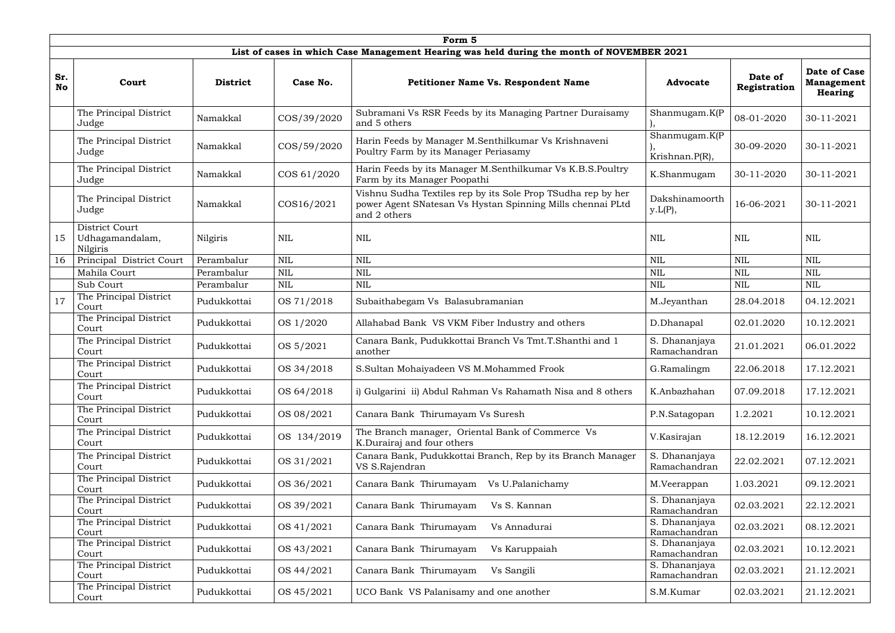|                  | Form 5                                                                                    |                 |              |                                                                                                                                            |                                 |                         |                                                     |  |  |  |  |
|------------------|-------------------------------------------------------------------------------------------|-----------------|--------------|--------------------------------------------------------------------------------------------------------------------------------------------|---------------------------------|-------------------------|-----------------------------------------------------|--|--|--|--|
|                  | List of cases in which Case Management Hearing was held during the month of NOVEMBER 2021 |                 |              |                                                                                                                                            |                                 |                         |                                                     |  |  |  |  |
| Sr.<br><b>No</b> | Court                                                                                     | <b>District</b> | Case No.     | <b>Petitioner Name Vs. Respondent Name</b>                                                                                                 | <b>Advocate</b>                 | Date of<br>Registration | <b>Date of Case</b><br><b>Management</b><br>Hearing |  |  |  |  |
|                  | The Principal District<br>Judge                                                           | Namakkal        | COS/39/2020  | Subramani Vs RSR Feeds by its Managing Partner Duraisamy<br>and 5 others                                                                   | Shanmugam.K(P                   | 08-01-2020              | 30-11-2021                                          |  |  |  |  |
|                  | The Principal District<br>Judge                                                           | Namakkal        | COS/59/2020  | Harin Feeds by Manager M.Senthilkumar Vs Krishnaveni<br>Poultry Farm by its Manager Periasamy                                              | Shanmugam.K(P<br>Krishnan.P(R), | 30-09-2020              | 30-11-2021                                          |  |  |  |  |
|                  | The Principal District<br>Judge                                                           | Namakkal        | COS 61/2020  | Harin Feeds by its Manager M.Senthilkumar Vs K.B.S.Poultry<br>Farm by its Manager Poopathi                                                 | K.Shanmugam                     | 30-11-2020              | 30-11-2021                                          |  |  |  |  |
|                  | The Principal District<br>Judge                                                           | Namakkal        | COS16/2021   | Vishnu Sudha Textiles rep by its Sole Prop TSudha rep by her<br>power Agent SNatesan Vs Hystan Spinning Mills chennai PLtd<br>and 2 others | Dakshinamoorth<br>y.L(P),       | 16-06-2021              | 30-11-2021                                          |  |  |  |  |
| 15               | District Court<br>Udhagamandalam,<br>Nilgiris                                             | Nilgiris        | $\mbox{NIL}$ | <b>NIL</b>                                                                                                                                 | $\mbox{NIL}$                    | <b>NIL</b>              | <b>NIL</b>                                          |  |  |  |  |
| 16               | Principal District Court                                                                  | Perambalur      | $\mbox{NIL}$ | <b>NIL</b>                                                                                                                                 | <b>NIL</b>                      | <b>NIL</b>              | <b>NIL</b>                                          |  |  |  |  |
|                  | Mahila Court                                                                              | Perambalur      | <b>NIL</b>   | <b>NIL</b>                                                                                                                                 | <b>NIL</b>                      | <b>NIL</b>              | <b>NIL</b>                                          |  |  |  |  |
|                  | Sub Court                                                                                 | Perambalur      | <b>NIL</b>   | NIL                                                                                                                                        | <b>NIL</b>                      | <b>NIL</b>              | <b>NIL</b>                                          |  |  |  |  |
| 17               | The Principal District<br>Court                                                           | Pudukkottai     | OS 71/2018   | Subaithabegam Vs Balasubramanian                                                                                                           | M.Jeyanthan                     | 28.04.2018              | 04.12.2021                                          |  |  |  |  |
|                  | The Principal District<br>Court                                                           | Pudukkottai     | OS 1/2020    | Allahabad Bank VS VKM Fiber Industry and others                                                                                            | D.Dhanapal                      | 02.01.2020              | 10.12.2021                                          |  |  |  |  |
|                  | The Principal District<br>Court                                                           | Pudukkottai     | OS 5/2021    | Canara Bank, Pudukkottai Branch Vs Tmt.T.Shanthi and 1<br>another                                                                          | S. Dhananjaya<br>Ramachandran   | 21.01.2021              | 06.01.2022                                          |  |  |  |  |
|                  | The Principal District<br>Court                                                           | Pudukkottai     | OS 34/2018   | S.Sultan Mohaiyadeen VS M.Mohammed Frook                                                                                                   | G.Ramalingm                     | 22.06.2018              | 17.12.2021                                          |  |  |  |  |
|                  | The Principal District<br>Court                                                           | Pudukkottai     | OS 64/2018   | i) Gulgarini ii) Abdul Rahman Vs Rahamath Nisa and 8 others                                                                                | K.Anbazhahan                    | 07.09.2018              | 17.12.2021                                          |  |  |  |  |
|                  | The Principal District<br>Court                                                           | Pudukkottai     | OS 08/2021   | Canara Bank Thirumayam Vs Suresh                                                                                                           | P.N.Satagopan                   | 1.2.2021                | 10.12.2021                                          |  |  |  |  |
|                  | The Principal District<br>Court                                                           | Pudukkottai     | OS 134/2019  | The Branch manager, Oriental Bank of Commerce Vs<br>K.Durairaj and four others                                                             | V.Kasirajan                     | 18.12.2019              | 16.12.2021                                          |  |  |  |  |
|                  | The Principal District<br>Court                                                           | Pudukkottai     | OS 31/2021   | Canara Bank, Pudukkottai Branch, Rep by its Branch Manager<br>VS S.Rajendran                                                               | S. Dhananjaya<br>Ramachandran   | 22.02.2021              | 07.12.2021                                          |  |  |  |  |
|                  | The Principal District<br>Court                                                           | Pudukkottai     | OS 36/2021   | Canara Bank Thirumayam<br>Vs U.Palanichamy                                                                                                 | M.Veerappan                     | 1.03.2021               | 09.12.2021                                          |  |  |  |  |
|                  | The Principal District<br>Court                                                           | Pudukkottai     | OS 39/2021   | Canara Bank Thirumayam<br>Vs S. Kannan                                                                                                     | S. Dhananjaya<br>Ramachandran   | 02.03.2021              | 22.12.2021                                          |  |  |  |  |
|                  | The Principal District<br>Court                                                           | Pudukkottai     | OS 41/2021   | Canara Bank Thirumayam<br>Vs Annadurai                                                                                                     | S. Dhananjaya<br>Ramachandran   | 02.03.2021              | 08.12.2021                                          |  |  |  |  |
|                  | The Principal District<br>Court                                                           | Pudukkottai     | OS 43/2021   | Canara Bank Thirumayam<br>Vs Karuppaiah                                                                                                    | S. Dhananjaya<br>Ramachandran   | 02.03.2021              | 10.12.2021                                          |  |  |  |  |
|                  | The Principal District<br>Court                                                           | Pudukkottai     | OS 44/2021   | Canara Bank Thirumayam<br>Vs Sangili                                                                                                       | S. Dhananjaya<br>Ramachandran   | 02.03.2021              | 21.12.2021                                          |  |  |  |  |
|                  | The Principal District<br>Court                                                           | Pudukkottai     | OS 45/2021   | UCO Bank VS Palanisamy and one another                                                                                                     | S.M.Kumar                       | 02.03.2021              | 21.12.2021                                          |  |  |  |  |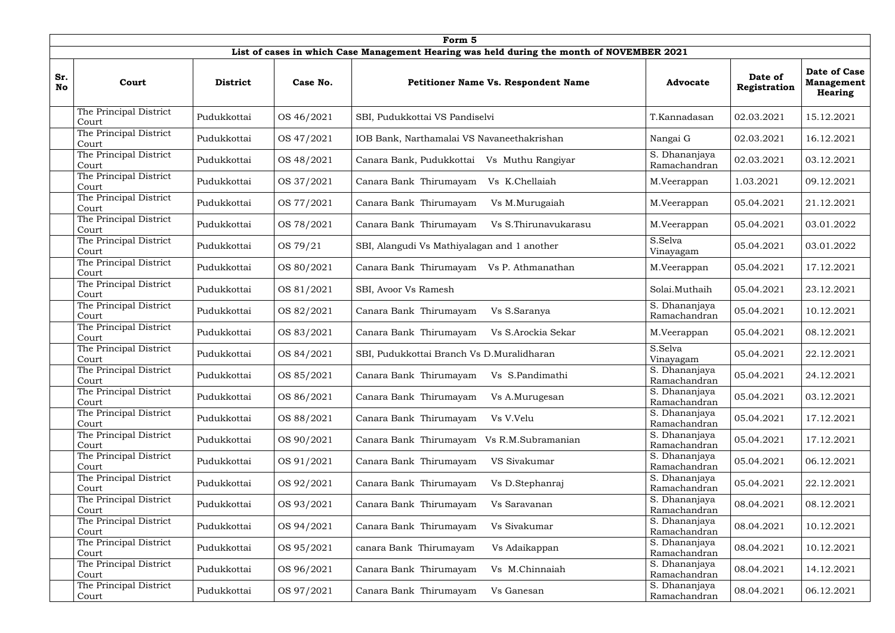|                  | Form 5                          |                 |            |                                                                                           |                               |                         |                                                            |  |  |  |  |
|------------------|---------------------------------|-----------------|------------|-------------------------------------------------------------------------------------------|-------------------------------|-------------------------|------------------------------------------------------------|--|--|--|--|
|                  |                                 |                 |            | List of cases in which Case Management Hearing was held during the month of NOVEMBER 2021 |                               |                         |                                                            |  |  |  |  |
| Sr.<br><b>No</b> | Court                           | <b>District</b> | Case No.   | <b>Petitioner Name Vs. Respondent Name</b>                                                | <b>Advocate</b>               | Date of<br>Registration | <b>Date of Case</b><br><b>Management</b><br><b>Hearing</b> |  |  |  |  |
|                  | The Principal District<br>Court | Pudukkottai     | OS 46/2021 | SBI, Pudukkottai VS Pandiselvi                                                            | T.Kannadasan                  | 02.03.2021              | 15.12.2021                                                 |  |  |  |  |
|                  | The Principal District<br>Court | Pudukkottai     | OS 47/2021 | IOB Bank, Narthamalai VS Navaneethakrishan                                                | Nangai G                      | 02.03.2021              | 16.12.2021                                                 |  |  |  |  |
|                  | The Principal District<br>Court | Pudukkottai     | OS 48/2021 | Canara Bank, Pudukkottai<br>Vs Muthu Rangiyar                                             | S. Dhananjaya<br>Ramachandran | 02.03.2021              | 03.12.2021                                                 |  |  |  |  |
|                  | The Principal District<br>Court | Pudukkottai     | OS 37/2021 | Canara Bank Thirumayam<br>Vs K.Chellaiah                                                  | M.Veerappan                   | 1.03.2021               | 09.12.2021                                                 |  |  |  |  |
|                  | The Principal District<br>Court | Pudukkottai     | OS 77/2021 | Canara Bank Thirumayam<br>Vs M.Murugaiah                                                  | M.Veerappan                   | 05.04.2021              | 21.12.2021                                                 |  |  |  |  |
|                  | The Principal District<br>Court | Pudukkottai     | OS 78/2021 | Canara Bank Thirumayam<br>Vs S.Thirunavukarasu                                            | M.Veerappan                   | 05.04.2021              | 03.01.2022                                                 |  |  |  |  |
|                  | The Principal District<br>Court | Pudukkottai     | OS 79/21   | SBI, Alangudi Vs Mathiyalagan and 1 another                                               | S.Selva<br>Vinayagam          | 05.04.2021              | 03.01.2022                                                 |  |  |  |  |
|                  | The Principal District<br>Court | Pudukkottai     | OS 80/2021 | Canara Bank Thirumayam Vs P. Athmanathan                                                  | M.Veerappan                   | 05.04.2021              | 17.12.2021                                                 |  |  |  |  |
|                  | The Principal District<br>Court | Pudukkottai     | OS 81/2021 | SBI, Avoor Vs Ramesh                                                                      | Solai.Muthaih                 | 05.04.2021              | 23.12.2021                                                 |  |  |  |  |
|                  | The Principal District<br>Court | Pudukkottai     | OS 82/2021 | Canara Bank Thirumayam<br>Vs S.Saranya                                                    | S. Dhananjaya<br>Ramachandran | 05.04.2021              | 10.12.2021                                                 |  |  |  |  |
|                  | The Principal District<br>Court | Pudukkottai     | OS 83/2021 | Canara Bank Thirumayam<br>Vs S.Arockia Sekar                                              | M.Veerappan                   | 05.04.2021              | 08.12.2021                                                 |  |  |  |  |
|                  | The Principal District<br>Court | Pudukkottai     | OS 84/2021 | SBI, Pudukkottai Branch Vs D.Muralidharan                                                 | S.Selva<br>Vinayagam          | 05.04.2021              | 22.12.2021                                                 |  |  |  |  |
|                  | The Principal District<br>Court | Pudukkottai     | OS 85/2021 | Canara Bank Thirumayam<br>Vs S.Pandimathi                                                 | S. Dhananjaya<br>Ramachandran | 05.04.2021              | 24.12.2021                                                 |  |  |  |  |
|                  | The Principal District<br>Court | Pudukkottai     | OS 86/2021 | Canara Bank Thirumayam<br>Vs A.Murugesan                                                  | S. Dhananjaya<br>Ramachandran | 05.04.2021              | 03.12.2021                                                 |  |  |  |  |
|                  | The Principal District<br>Court | Pudukkottai     | OS 88/2021 | Canara Bank Thirumayam<br>Vs V.Velu                                                       | S. Dhananjaya<br>Ramachandran | 05.04.2021              | 17.12.2021                                                 |  |  |  |  |
|                  | The Principal District<br>Court | Pudukkottai     | OS 90/2021 | Canara Bank Thirumayam Vs R.M.Subramanian                                                 | S. Dhananjaya<br>Ramachandran | 05.04.2021              | 17.12.2021                                                 |  |  |  |  |
|                  | The Principal District<br>Court | Pudukkottai     | OS 91/2021 | Canara Bank Thirumayam<br>VS Sivakumar                                                    | S. Dhananjaya<br>Ramachandran | 05.04.2021              | 06.12.2021                                                 |  |  |  |  |
|                  | The Principal District<br>Court | Pudukkottai     | OS 92/2021 | Canara Bank Thirumayam<br>Vs D.Stephanraj                                                 | S. Dhananjaya<br>Ramachandran | 05.04.2021              | 22.12.2021                                                 |  |  |  |  |
|                  | The Principal District<br>Court | Pudukkottai     | OS 93/2021 | Canara Bank Thirumayam<br>Vs Saravanan                                                    | S. Dhananjaya<br>Ramachandran | 08.04.2021              | 08.12.2021                                                 |  |  |  |  |
|                  | The Principal District<br>Court | Pudukkottai     | OS 94/2021 | Canara Bank Thirumayam<br>Vs Sivakumar                                                    | S. Dhananjaya<br>Ramachandran | 08.04.2021              | 10.12.2021                                                 |  |  |  |  |
|                  | The Principal District<br>Court | Pudukkottai     | OS 95/2021 | canara Bank Thirumayam<br>Vs Adaikappan                                                   | S. Dhananjaya<br>Ramachandran | 08.04.2021              | 10.12.2021                                                 |  |  |  |  |
|                  | The Principal District<br>Court | Pudukkottai     | OS 96/2021 | Canara Bank Thirumayam<br>Vs M.Chinnaiah                                                  | S. Dhananjaya<br>Ramachandran | 08.04.2021              | 14.12.2021                                                 |  |  |  |  |
|                  | The Principal District<br>Court | Pudukkottai     | OS 97/2021 | Canara Bank Thirumayam<br>Vs Ganesan                                                      | S. Dhananjaya<br>Ramachandran | 08.04.2021              | 06.12.2021                                                 |  |  |  |  |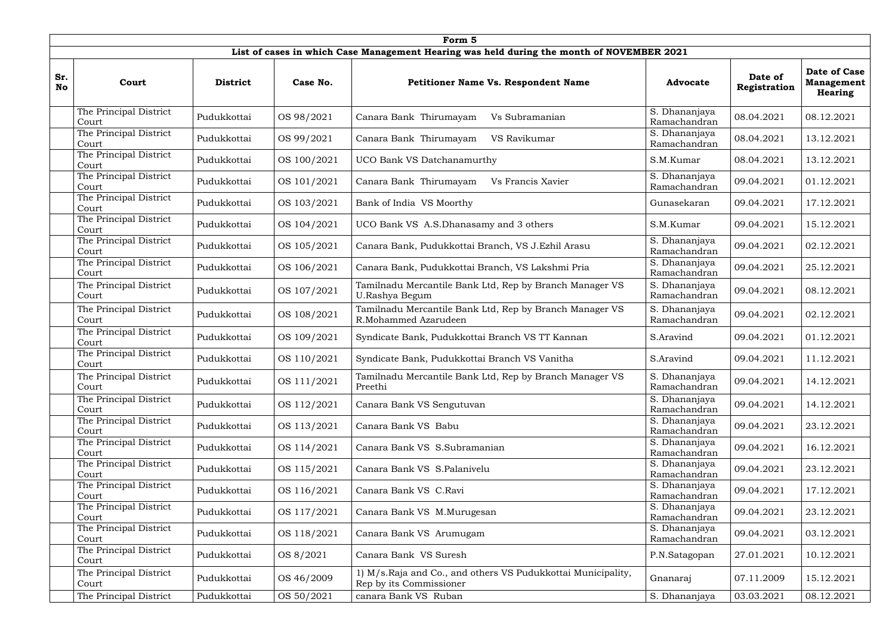|                  | Form 5                                                                                    |                 |             |                                                                                          |                               |                         |                                                     |  |  |  |  |
|------------------|-------------------------------------------------------------------------------------------|-----------------|-------------|------------------------------------------------------------------------------------------|-------------------------------|-------------------------|-----------------------------------------------------|--|--|--|--|
|                  | List of cases in which Case Management Hearing was held during the month of NOVEMBER 2021 |                 |             |                                                                                          |                               |                         |                                                     |  |  |  |  |
| Sr.<br><b>No</b> | Court                                                                                     | <b>District</b> | Case No.    | <b>Petitioner Name Vs. Respondent Name</b>                                               | <b>Advocate</b>               | Date of<br>Registration | <b>Date of Case</b><br><b>Management</b><br>Hearing |  |  |  |  |
|                  | The Principal District<br>Court                                                           | Pudukkottai     | OS 98/2021  | Canara Bank Thirumayam<br>Vs Subramanian                                                 | S. Dhananjaya<br>Ramachandran | 08.04.2021              | 08.12.2021                                          |  |  |  |  |
|                  | The Principal District<br>Court                                                           | Pudukkottai     | OS 99/2021  | Canara Bank Thirumayam<br>VS Ravikumar                                                   | S. Dhananjaya<br>Ramachandran | 08.04.2021              | 13.12.2021                                          |  |  |  |  |
|                  | The Principal District<br>Court                                                           | Pudukkottai     | OS 100/2021 | <b>UCO Bank VS Datchanamurthy</b>                                                        | S.M.Kumar                     | 08.04.2021              | 13.12.2021                                          |  |  |  |  |
|                  | The Principal District<br>Court                                                           | Pudukkottai     | OS 101/2021 | Canara Bank Thirumayam<br>Vs Francis Xavier                                              | S. Dhananjaya<br>Ramachandran | 09.04.2021              | 01.12.2021                                          |  |  |  |  |
|                  | The Principal District<br>Court                                                           | Pudukkottai     | OS 103/2021 | Bank of India VS Moorthy                                                                 | Gunasekaran                   | 09.04.2021              | 17.12.2021                                          |  |  |  |  |
|                  | The Principal District<br>Court                                                           | Pudukkottai     | OS 104/2021 | UCO Bank VS A.S.Dhanasamy and 3 others                                                   | S.M.Kumar                     | 09.04.2021              | 15.12.2021                                          |  |  |  |  |
|                  | The Principal District<br>Court                                                           | Pudukkottai     | OS 105/2021 | Canara Bank, Pudukkottai Branch, VS J.Ezhil Arasu                                        | S. Dhananjaya<br>Ramachandran | 09.04.2021              | 02.12.2021                                          |  |  |  |  |
|                  | The Principal District<br>Court                                                           | Pudukkottai     | OS 106/2021 | Canara Bank, Pudukkottai Branch, VS Lakshmi Pria                                         | S. Dhananjaya<br>Ramachandran | 09.04.2021              | 25.12.2021                                          |  |  |  |  |
|                  | The Principal District<br>Court                                                           | Pudukkottai     | OS 107/2021 | Tamilnadu Mercantile Bank Ltd, Rep by Branch Manager VS<br>U.Rashya Begum                | S. Dhananjaya<br>Ramachandran | 09.04.2021              | 08.12.2021                                          |  |  |  |  |
|                  | The Principal District<br>Court                                                           | Pudukkottai     | OS 108/2021 | Tamilnadu Mercantile Bank Ltd, Rep by Branch Manager VS<br>R.Mohammed Azarudeen          | S. Dhananjaya<br>Ramachandran | 09.04.2021              | 02.12.2021                                          |  |  |  |  |
|                  | The Principal District<br>Court                                                           | Pudukkottai     | OS 109/2021 | Syndicate Bank, Pudukkottai Branch VS TT Kannan                                          | S.Aravind                     | 09.04.2021              | 01.12.2021                                          |  |  |  |  |
|                  | The Principal District<br>Court                                                           | Pudukkottai     | OS 110/2021 | Syndicate Bank, Pudukkottai Branch VS Vanitha                                            | S.Aravind                     | 09.04.2021              | 11.12.2021                                          |  |  |  |  |
|                  | The Principal District<br>Court                                                           | Pudukkottai     | OS 111/2021 | Tamilnadu Mercantile Bank Ltd, Rep by Branch Manager VS<br>Preethi                       | S. Dhananjaya<br>Ramachandran | 09.04.2021              | 14.12.2021                                          |  |  |  |  |
|                  | The Principal District<br>Court                                                           | Pudukkottai     | OS 112/2021 | Canara Bank VS Sengutuvan                                                                | S. Dhananjaya<br>Ramachandran | 09.04.2021              | 14.12.2021                                          |  |  |  |  |
|                  | The Principal District<br>Court                                                           | Pudukkottai     | OS 113/2021 | Canara Bank VS Babu                                                                      | S. Dhananjaya<br>Ramachandran | 09.04.2021              | 23.12.2021                                          |  |  |  |  |
|                  | The Principal District<br>Court                                                           | Pudukkottai     | OS 114/2021 | Canara Bank VS S.Subramanian                                                             | S. Dhananjaya<br>Ramachandran | 09.04.2021              | 16.12.2021                                          |  |  |  |  |
|                  | The Principal District<br>Court                                                           | Pudukkottai     | OS 115/2021 | Canara Bank VS S.Palanivelu                                                              | S. Dhananjaya<br>Ramachandran | 09.04.2021              | 23.12.2021                                          |  |  |  |  |
|                  | The Principal District<br>Court                                                           | Pudukkottai     | OS 116/2021 | Canara Bank VS C.Ravi                                                                    | S. Dhananjaya<br>Ramachandran | 09.04.2021              | 17.12.2021                                          |  |  |  |  |
|                  | The Principal District<br>Court                                                           | Pudukkottai     | OS 117/2021 | Canara Bank VS M.Murugesan                                                               | S. Dhananjaya<br>Ramachandran | 09.04.2021              | 23.12.2021                                          |  |  |  |  |
|                  | The Principal District<br>Court                                                           | Pudukkottai     | OS 118/2021 | Canara Bank VS Arumugam                                                                  | S. Dhananjaya<br>Ramachandran | 09.04.2021              | 03.12.2021                                          |  |  |  |  |
|                  | The Principal District<br>Court                                                           | Pudukkottai     | OS 8/2021   | Canara Bank VS Suresh                                                                    | P.N.Satagopan                 | 27.01.2021              | 10.12.2021                                          |  |  |  |  |
|                  | The Principal District<br>Court                                                           | Pudukkottai     | OS 46/2009  | 1) M/s. Raja and Co., and others VS Pudukkottai Municipality,<br>Rep by its Commissioner | Gnanaraj                      | 07.11.2009              | 15.12.2021                                          |  |  |  |  |
|                  | The Principal District                                                                    | Pudukkottai     | OS 50/2021  | canara Bank VS Ruban                                                                     | S. Dhananjaya                 | 03.03.2021              | 08.12.2021                                          |  |  |  |  |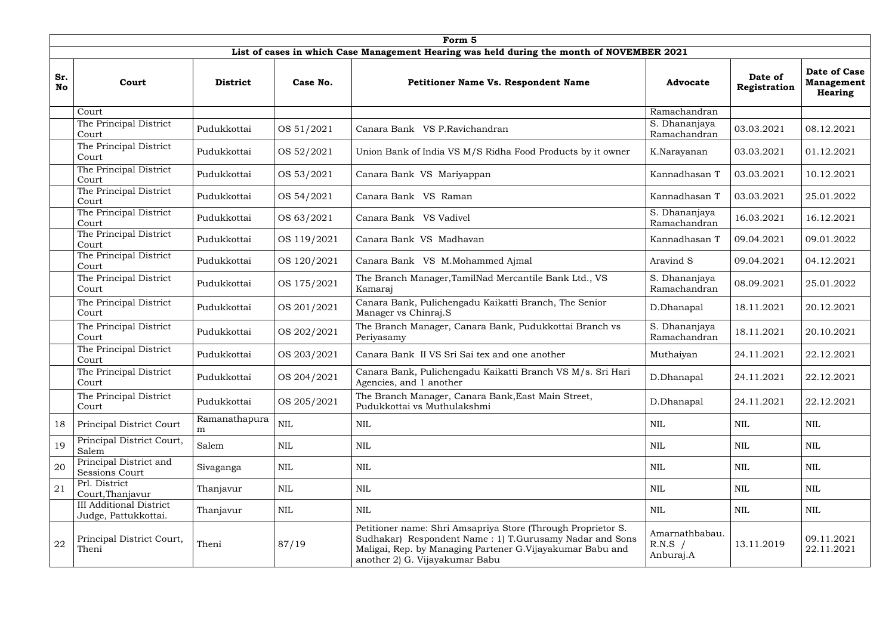|                  | Form 5                                                 |                    |              |                                                                                                                                                                                                                        |                                          |                         |                                                     |  |  |  |  |
|------------------|--------------------------------------------------------|--------------------|--------------|------------------------------------------------------------------------------------------------------------------------------------------------------------------------------------------------------------------------|------------------------------------------|-------------------------|-----------------------------------------------------|--|--|--|--|
|                  |                                                        |                    |              | List of cases in which Case Management Hearing was held during the month of NOVEMBER 2021                                                                                                                              |                                          |                         |                                                     |  |  |  |  |
| Sr.<br><b>No</b> | Court                                                  | <b>District</b>    | Case No.     | <b>Petitioner Name Vs. Respondent Name</b>                                                                                                                                                                             | <b>Advocate</b>                          | Date of<br>Registration | <b>Date of Case</b><br><b>Management</b><br>Hearing |  |  |  |  |
|                  | Court                                                  |                    |              |                                                                                                                                                                                                                        | Ramachandran                             |                         |                                                     |  |  |  |  |
|                  | The Principal District<br>Court                        | Pudukkottai        | OS 51/2021   | Canara Bank VS P.Ravichandran                                                                                                                                                                                          | S. Dhananjaya<br>Ramachandran            | 03.03.2021              | 08.12.2021                                          |  |  |  |  |
|                  | The Principal District<br>Court                        | Pudukkottai        | OS 52/2021   | Union Bank of India VS M/S Ridha Food Products by it owner                                                                                                                                                             | K.Narayanan                              | 03.03.2021              | 01.12.2021                                          |  |  |  |  |
|                  | The Principal District<br>Court                        | Pudukkottai        | OS 53/2021   | Canara Bank VS Mariyappan                                                                                                                                                                                              | Kannadhasan T                            | 03.03.2021              | 10.12.2021                                          |  |  |  |  |
|                  | The Principal District<br>Court                        | Pudukkottai        | OS 54/2021   | Canara Bank VS Raman                                                                                                                                                                                                   | Kannadhasan T                            | 03.03.2021              | 25.01.2022                                          |  |  |  |  |
|                  | The Principal District<br>Court                        | Pudukkottai        | OS 63/2021   | Canara Bank VS Vadivel                                                                                                                                                                                                 | S. Dhananjaya<br>Ramachandran            | 16.03.2021              | 16.12.2021                                          |  |  |  |  |
|                  | The Principal District<br>Court                        | Pudukkottai        | OS 119/2021  | Canara Bank VS Madhavan                                                                                                                                                                                                | Kannadhasan T                            | 09.04.2021              | 09.01.2022                                          |  |  |  |  |
|                  | The Principal District<br>Court                        | Pudukkottai        | OS 120/2021  | Canara Bank VS M.Mohammed Ajmal                                                                                                                                                                                        | Aravind S                                | 09.04.2021              | 04.12.2021                                          |  |  |  |  |
|                  | The Principal District<br>Court                        | Pudukkottai        | OS 175/2021  | The Branch Manager, TamilNad Mercantile Bank Ltd., VS<br>Kamaraj                                                                                                                                                       | S. Dhananjaya<br>Ramachandran            | 08.09.2021              | 25.01.2022                                          |  |  |  |  |
|                  | The Principal District<br>Court                        | Pudukkottai        | OS 201/2021  | Canara Bank, Pulichengadu Kaikatti Branch, The Senior<br>Manager vs Chinraj.S                                                                                                                                          | D.Dhanapal                               | 18.11.2021              | 20.12.2021                                          |  |  |  |  |
|                  | The Principal District<br>Court                        | Pudukkottai        | OS 202/2021  | The Branch Manager, Canara Bank, Pudukkottai Branch vs<br>Periyasamy                                                                                                                                                   | S. Dhananjaya<br>Ramachandran            | 18.11.2021              | 20.10.2021                                          |  |  |  |  |
|                  | The Principal District<br>Court                        | Pudukkottai        | OS 203/2021  | Canara Bank II VS Sri Sai tex and one another                                                                                                                                                                          | Muthaiyan                                | 24.11.2021              | 22.12.2021                                          |  |  |  |  |
|                  | The Principal District<br>Court                        | Pudukkottai        | OS 204/2021  | Canara Bank, Pulichengadu Kaikatti Branch VS M/s. Sri Hari<br>Agencies, and 1 another                                                                                                                                  | D.Dhanapal                               | 24.11.2021              | 22.12.2021                                          |  |  |  |  |
|                  | The Principal District<br>Court                        | Pudukkottai        | OS 205/2021  | The Branch Manager, Canara Bank, East Main Street,<br>Pudukkottai vs Muthulakshmi                                                                                                                                      | D.Dhanapal                               | 24.11.2021              | 22.12.2021                                          |  |  |  |  |
| 18               | Principal District Court                               | Ramanathapura<br>m | NIL          | NIL                                                                                                                                                                                                                    | <b>NIL</b>                               | <b>NIL</b>              | <b>NIL</b>                                          |  |  |  |  |
| 19               | Principal District Court,<br>Salem                     | Salem              | <b>NIL</b>   | NIL                                                                                                                                                                                                                    | NIL                                      | NIL                     | NIL                                                 |  |  |  |  |
| 20               | Principal District and<br><b>Sessions Court</b>        | Sivaganga          | $\mbox{NIL}$ | NIL                                                                                                                                                                                                                    | NIL                                      | NIL                     | NIL                                                 |  |  |  |  |
| 21               | Prl. District<br>Court, Thanjavur                      | Thanjavur          | NIL          | NIL                                                                                                                                                                                                                    | NIL                                      | NIL                     | <b>NIL</b>                                          |  |  |  |  |
|                  | <b>III Additional District</b><br>Judge, Pattukkottai. | Thanjavur          | <b>NIL</b>   | NIL                                                                                                                                                                                                                    | <b>NIL</b>                               | <b>NIL</b>              | NIL                                                 |  |  |  |  |
| ${\bf 22}$       | Principal District Court,<br>Theni                     | Theni              | 87/19        | Petitioner name: Shri Amsapriya Store (Through Proprietor S.<br>Sudhakar) Respondent Name: 1) T.Gurusamy Nadar and Sons<br>Maligai, Rep. by Managing Partener G.Vijayakumar Babu and<br>another 2) G. Vijayakumar Babu | Amarnathbabau.<br>$R.N.S$ /<br>Anburaj.A | 13.11.2019              | 09.11.2021<br>22.11.2021                            |  |  |  |  |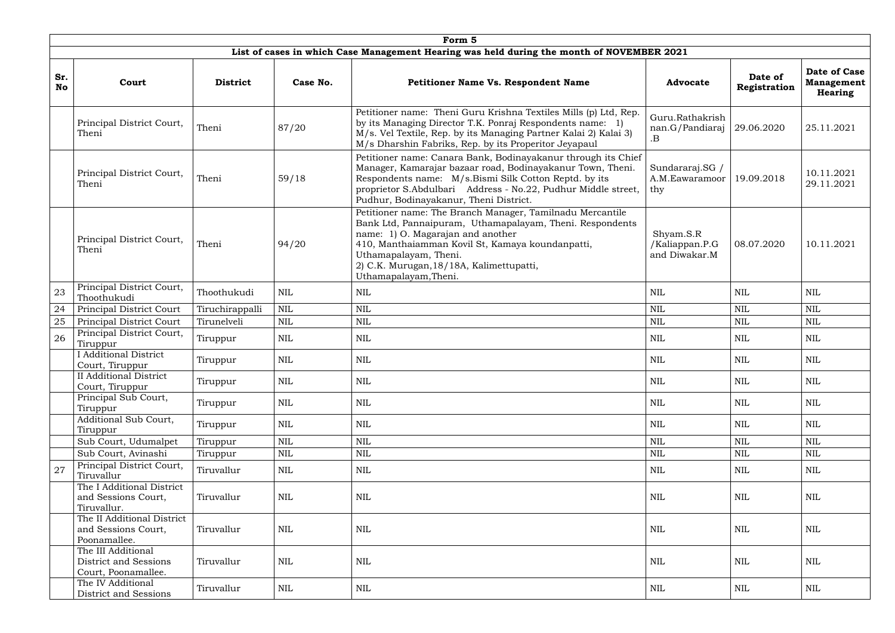|                  |                                                                    |                 |              | Form 5                                                                                                                                                                                                                                                                                                       |                                              |                         |                                                     |
|------------------|--------------------------------------------------------------------|-----------------|--------------|--------------------------------------------------------------------------------------------------------------------------------------------------------------------------------------------------------------------------------------------------------------------------------------------------------------|----------------------------------------------|-------------------------|-----------------------------------------------------|
|                  |                                                                    |                 |              | List of cases in which Case Management Hearing was held during the month of NOVEMBER 2021                                                                                                                                                                                                                    |                                              |                         |                                                     |
| Sr.<br><b>No</b> | Court                                                              | <b>District</b> | Case No.     | Petitioner Name Vs. Respondent Name                                                                                                                                                                                                                                                                          | <b>Advocate</b>                              | Date of<br>Registration | Date of Case<br><b>Management</b><br><b>Hearing</b> |
|                  | Principal District Court,<br>Theni                                 | Theni           | 87/20        | Petitioner name: Theni Guru Krishna Textiles Mills (p) Ltd, Rep.<br>by its Managing Director T.K. Ponraj Respondents name: 1)<br>M/s. Vel Textile, Rep. by its Managing Partner Kalai 2) Kalai 3)<br>M/s Dharshin Fabriks, Rep. by its Properitor Jeyapaul                                                   | Guru.Rathakrish<br>nan.G/Pandiaraj<br>.В     | 29.06.2020              | 25.11.2021                                          |
|                  | Principal District Court,<br>Theni                                 | Theni           | 59/18        | Petitioner name: Canara Bank, Bodinayakanur through its Chief<br>Manager, Kamarajar bazaar road, Bodinayakanur Town, Theni.<br>Respondents name: M/s.Bismi Silk Cotton Reptd. by its<br>proprietor S.Abdulbari Address - No.22, Pudhur Middle street,<br>Pudhur, Bodinayakanur, Theni District.              | Sundararaj.SG /<br>A.M.Eawaramoor<br>thy     | 19.09.2018              | 10.11.2021<br>29.11.2021                            |
|                  | Principal District Court,<br>Theni                                 | Theni           | 94/20        | Petitioner name: The Branch Manager, Tamilnadu Mercantile<br>Bank Ltd, Pannaipuram, Uthamapalayam, Theni. Respondents<br>name: 1) O. Magarajan and another<br>410, Manthaiamman Kovil St, Kamaya koundanpatti,<br>Uthamapalayam, Theni.<br>2) C.K. Murugan, 18/18A, Kalimettupatti,<br>Uthamapalayam, Theni. | Shyam.S.R<br>/Kaliappan.P.G<br>and Diwakar.M | 08.07.2020              | 10.11.2021                                          |
| 23               | Principal District Court,<br>Thoothukudi                           | Thoothukudi     | <b>NIL</b>   | <b>NIL</b>                                                                                                                                                                                                                                                                                                   | <b>NIL</b>                                   | <b>NIL</b>              | <b>NIL</b>                                          |
| 24               | Principal District Court                                           | Tiruchirappalli | $\mbox{NIL}$ | <b>NIL</b>                                                                                                                                                                                                                                                                                                   | <b>NIL</b>                                   | <b>NIL</b>              | <b>NIL</b>                                          |
| $25\,$           | Principal District Court                                           | Tirunelveli     | $\mbox{NIL}$ | <b>NIL</b>                                                                                                                                                                                                                                                                                                   | $\mbox{NIL}$                                 | <b>NIL</b>              | <b>NIL</b>                                          |
| 26               | Principal District Court,<br>Tiruppur                              | Tiruppur        | <b>NIL</b>   | NIL                                                                                                                                                                                                                                                                                                          | $\mbox{NIL}$                                 | NIL                     | NIL                                                 |
|                  | <b>I</b> Additional District<br>Court, Tiruppur                    | Tiruppur        | <b>NIL</b>   | <b>NIL</b>                                                                                                                                                                                                                                                                                                   | $\mbox{NIL}$                                 | NIL                     | NIL                                                 |
|                  | <b>II</b> Additional District<br>Court, Tiruppur                   | Tiruppur        | <b>NIL</b>   | <b>NIL</b>                                                                                                                                                                                                                                                                                                   | <b>NIL</b>                                   | <b>NIL</b>              | <b>NIL</b>                                          |
|                  | Principal Sub Court,<br>Tiruppur                                   | Tiruppur        | <b>NIL</b>   | <b>NIL</b>                                                                                                                                                                                                                                                                                                   | <b>NIL</b>                                   | <b>NIL</b>              | <b>NIL</b>                                          |
|                  | Additional Sub Court,<br>Tiruppur                                  | Tiruppur        | <b>NIL</b>   | NIL                                                                                                                                                                                                                                                                                                          | NIL                                          | NIL                     | NIL                                                 |
|                  | Sub Court, Udumalpet                                               | Tiruppur        | <b>NIL</b>   | <b>NIL</b>                                                                                                                                                                                                                                                                                                   | <b>NIL</b>                                   | <b>NIL</b>              | $\text{NIL}$                                        |
|                  | Sub Court, Avinashi                                                | Tiruppur        | <b>NIL</b>   | NIL                                                                                                                                                                                                                                                                                                          | <b>NIL</b>                                   | <b>NIL</b>              | $\text{NIL}$                                        |
| 27               | Principal District Court,<br>Tiruvallur                            | Tiruvallur      | <b>NIL</b>   | NIL                                                                                                                                                                                                                                                                                                          | NIL                                          | NIL                     | NIL                                                 |
|                  | The I Additional District<br>and Sessions Court,<br>Tiruvallur.    | Tiruvallur      | NIL          | <b>NIL</b>                                                                                                                                                                                                                                                                                                   | NIL                                          | NIL                     | NIL                                                 |
|                  | The II Additional District<br>and Sessions Court,<br>Poonamallee.  | Tiruvallur      | $\mbox{NIL}$ | <b>NIL</b>                                                                                                                                                                                                                                                                                                   | $\mbox{NIL}$                                 | <b>NIL</b>              | <b>NIL</b>                                          |
|                  | The III Additional<br>District and Sessions<br>Court, Poonamallee. | Tiruvallur      | <b>NIL</b>   | <b>NIL</b>                                                                                                                                                                                                                                                                                                   | <b>NIL</b>                                   | NIL                     | <b>NIL</b>                                          |
|                  | The IV Additional<br>District and Sessions                         | Tiruvallur      | $\mbox{NIL}$ | <b>NIL</b>                                                                                                                                                                                                                                                                                                   | NIL                                          | NIL                     | <b>NIL</b>                                          |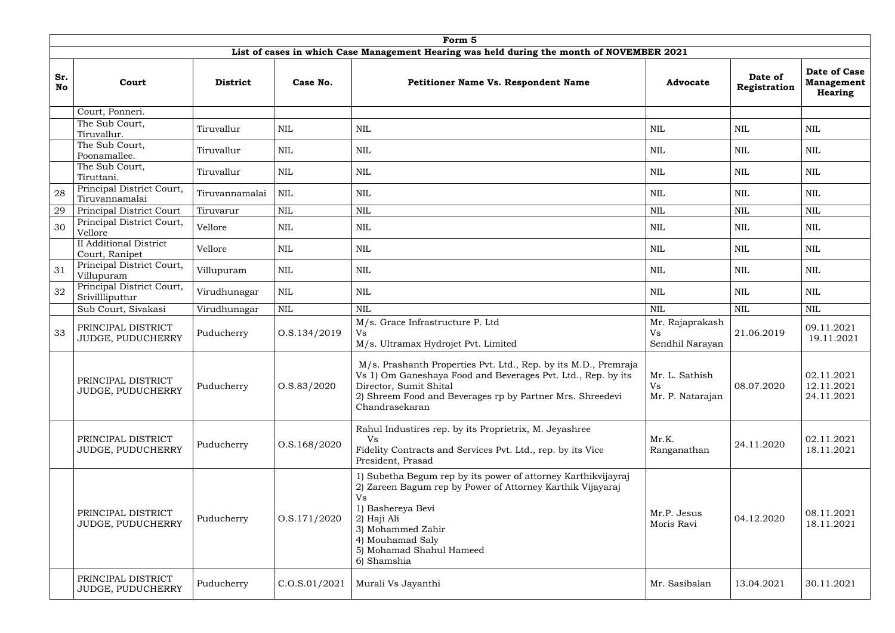|                  |                                                 |                 |                 | Form 5                                                                                                                                                                                                                                                    |                                                 |                         |                                                            |
|------------------|-------------------------------------------------|-----------------|-----------------|-----------------------------------------------------------------------------------------------------------------------------------------------------------------------------------------------------------------------------------------------------------|-------------------------------------------------|-------------------------|------------------------------------------------------------|
|                  |                                                 |                 |                 | List of cases in which Case Management Hearing was held during the month of NOVEMBER 2021                                                                                                                                                                 |                                                 |                         |                                                            |
| Sr.<br><b>No</b> | Court                                           | <b>District</b> | Case No.        | Petitioner Name Vs. Respondent Name                                                                                                                                                                                                                       | <b>Advocate</b>                                 | Date of<br>Registration | <b>Date of Case</b><br><b>Management</b><br><b>Hearing</b> |
|                  | Court, Ponneri.                                 |                 |                 |                                                                                                                                                                                                                                                           |                                                 |                         |                                                            |
|                  | The Sub Court,<br>Tiruvallur.                   | Tiruvallur      | <b>NIL</b>      | <b>NIL</b>                                                                                                                                                                                                                                                | <b>NIL</b>                                      | <b>NIL</b>              | <b>NIL</b>                                                 |
|                  | The Sub Court,<br>Poonamallee.                  | Tiruvallur      | <b>NIL</b>      | <b>NIL</b>                                                                                                                                                                                                                                                | <b>NIL</b>                                      | <b>NIL</b>              | $\mbox{NIL}$                                               |
|                  | The Sub Court,<br>Tiruttani.                    | Tiruvallur      | <b>NIL</b>      | <b>NIL</b>                                                                                                                                                                                                                                                | <b>NIL</b>                                      | <b>NIL</b>              | <b>NIL</b>                                                 |
| 28               | Principal District Court,<br>Tiruvannamalai     | Tiruvannamalai  | <b>NIL</b>      | NIL                                                                                                                                                                                                                                                       | NIL                                             | <b>NIL</b>              | <b>NIL</b>                                                 |
| 29               | Principal District Court                        | Tiruvarur       | <b>NIL</b>      | <b>NIL</b>                                                                                                                                                                                                                                                | <b>NIL</b>                                      | <b>NIL</b>              | $\mbox{NIL}$                                               |
| 30               | Principal District Court,<br>Vellore            | Vellore         | <b>NIL</b>      | <b>NIL</b>                                                                                                                                                                                                                                                | <b>NIL</b>                                      | NIL                     | <b>NIL</b>                                                 |
|                  | <b>II Additional District</b><br>Court, Ranipet | Vellore         | <b>NIL</b>      | <b>NIL</b>                                                                                                                                                                                                                                                | <b>NIL</b>                                      | <b>NIL</b>              | $\mbox{NIL}$                                               |
| 31               | Principal District Court,<br>Villupuram         | Villupuram      | NIL             | NIL                                                                                                                                                                                                                                                       | NIL                                             | <b>NIL</b>              | NIL                                                        |
| 32               | Principal District Court,<br>Srivillliputtur    | Virudhunagar    | <b>NIL</b>      | NIL                                                                                                                                                                                                                                                       | <b>NIL</b>                                      | NIL                     | <b>NIL</b>                                                 |
|                  | Sub Court, Sivakasi                             | Virudhunagar    | $\mbox{NIL}$    | <b>NIL</b>                                                                                                                                                                                                                                                | <b>NIL</b>                                      | $\mbox{NIL}$            | <b>NIL</b>                                                 |
| 33               | PRINCIPAL DISTRICT<br>JUDGE, PUDUCHERRY         | Puducherry      | O.S.134/2019    | M/s. Grace Infrastructure P. Ltd<br><b>Vs</b><br>M/s. Ultramax Hydrojet Pvt. Limited                                                                                                                                                                      | Mr. Rajaprakash<br><b>Vs</b><br>Sendhil Narayan | 21.06.2019              | 09.11.2021<br>19.11.2021                                   |
|                  | PRINCIPAL DISTRICT<br>JUDGE, PUDUCHERRY         | Puducherry      | 0. S. 83 / 2020 | M/s. Prashanth Properties Pvt. Ltd., Rep. by its M.D., Premraja<br>Vs 1) Om Ganeshaya Food and Beverages Pvt. Ltd., Rep. by its<br>Director, Sumit Shital<br>2) Shreem Food and Beverages rp by Partner Mrs. Shreedevi<br>Chandrasekaran                  | Mr. L. Sathish<br>Vs<br>Mr. P. Natarajan        | 08.07.2020              | 02.11.2021<br>12.11.2021<br>24.11.2021                     |
|                  | PRINCIPAL DISTRICT<br>JUDGE, PUDUCHERRY         | Puducherry      | O.S.168/2020    | Rahul Industires rep. by its Proprietrix, M. Jeyashree<br>Vs<br>Fidelity Contracts and Services Pvt. Ltd., rep. by its Vice<br>President, Prasad                                                                                                          | Mr.K.<br>Ranganathan                            | 24.11.2020              | 02.11.2021<br>18.11.2021                                   |
|                  | PRINCIPAL DISTRICT<br>JUDGE, PUDUCHERRY         | Puducherry      | 0. S. 171/2020  | 1) Subetha Begum rep by its power of attorney Karthikvijayraj<br>2) Zareen Bagum rep by Power of Attorney Karthik Vijayaraj<br>Vs<br>1) Bashereya Bevi<br>2) Haji Ali<br>3) Mohammed Zahir<br>4) Mouhamad Saly<br>5) Mohamad Shahul Hameed<br>6) Shamshia | Mr.P. Jesus<br>Moris Ravi                       | 04.12.2020              | 08.11.2021<br>18.11.2021                                   |
|                  | PRINCIPAL DISTRICT<br>JUDGE, PUDUCHERRY         | Puducherry      | C.0. S.01/2021  | Murali Vs Jayanthi                                                                                                                                                                                                                                        | Mr. Sasibalan                                   | 13.04.2021              | 30.11.2021                                                 |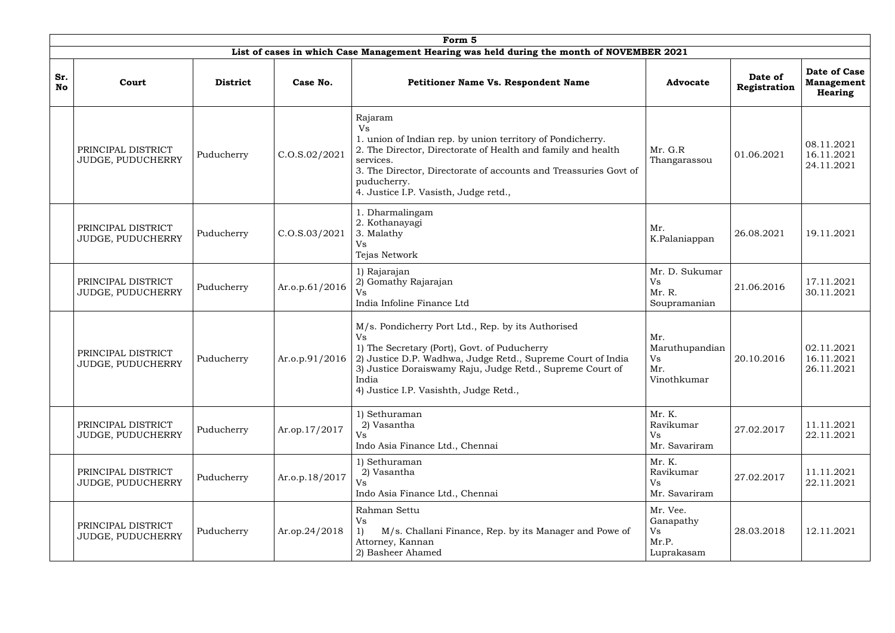|                  |                                                |                 |                   | Form 5                                                                                                                                                                                                                                                                                      |                                                    |                         |                                                     |
|------------------|------------------------------------------------|-----------------|-------------------|---------------------------------------------------------------------------------------------------------------------------------------------------------------------------------------------------------------------------------------------------------------------------------------------|----------------------------------------------------|-------------------------|-----------------------------------------------------|
|                  |                                                |                 |                   | List of cases in which Case Management Hearing was held during the month of NOVEMBER 2021                                                                                                                                                                                                   |                                                    |                         |                                                     |
| Sr.<br><b>No</b> | Court                                          | <b>District</b> | Case No.          | <b>Petitioner Name Vs. Respondent Name</b>                                                                                                                                                                                                                                                  | <b>Advocate</b>                                    | Date of<br>Registration | Date of Case<br><b>Management</b><br><b>Hearing</b> |
|                  | PRINCIPAL DISTRICT<br>JUDGE, PUDUCHERRY        | Puducherry      | C. O.S. 02 / 2021 | Rajaram<br><b>Vs</b><br>1. union of Indian rep. by union territory of Pondicherry.<br>2. The Director, Directorate of Health and family and health<br>services.<br>3. The Director, Directorate of accounts and Treassuries Govt of<br>puducherry.<br>4. Justice I.P. Vasisth, Judge retd., | Mr. G.R<br>Thangarassou                            | 01.06.2021              | 08.11.2021<br>16.11.2021<br>24.11.2021              |
|                  | PRINCIPAL DISTRICT<br>JUDGE, PUDUCHERRY        | Puducherry      | C. O.S. 03/2021   | 1. Dharmalingam<br>2. Kothanayagi<br>3. Malathy<br><b>Vs</b><br>Tejas Network                                                                                                                                                                                                               | Mr.<br>K.Palaniappan                               | 26.08.2021              | 19.11.2021                                          |
|                  | PRINCIPAL DISTRICT<br><b>JUDGE, PUDUCHERRY</b> | Puducherry      | Ar.o.p.61/2016    | 1) Rajarajan<br>2) Gomathy Rajarajan<br>Vs<br>India Infoline Finance Ltd                                                                                                                                                                                                                    | Mr. D. Sukumar<br>Vs<br>Mr. R.<br>Soupramanian     | 21.06.2016              | 17.11.2021<br>30.11.2021                            |
|                  | PRINCIPAL DISTRICT<br><b>JUDGE, PUDUCHERRY</b> | Puducherry      | Ar.o.p. $91/2016$ | M/s. Pondicherry Port Ltd., Rep. by its Authorised<br>Vs<br>1) The Secretary (Port), Govt. of Puducherry<br>2) Justice D.P. Wadhwa, Judge Retd., Supreme Court of India<br>3) Justice Doraiswamy Raju, Judge Retd., Supreme Court of<br>India<br>4) Justice I.P. Vasishth, Judge Retd.,     | Mr.<br>Maruthupandian<br>Vs<br>Mr.<br>Vinothkumar  | 20.10.2016              | 02.11.2021<br>16.11.2021<br>26.11.2021              |
|                  | PRINCIPAL DISTRICT<br>JUDGE, PUDUCHERRY        | Puducherry      | Ar.op.17/2017     | 1) Sethuraman<br>2) Vasantha<br>Vs<br>Indo Asia Finance Ltd., Chennai                                                                                                                                                                                                                       | Mr. K.<br>Ravikumar<br>Vs<br>Mr. Savariram         | 27.02.2017              | 11.11.2021<br>22.11.2021                            |
|                  | PRINCIPAL DISTRICT<br>JUDGE, PUDUCHERRY        | Puducherry      | Ar.o.p.18/2017    | 1) Sethuraman<br>2) Vasantha<br>Vs<br>Indo Asia Finance Ltd., Chennai                                                                                                                                                                                                                       | Mr. K.<br>Ravikumar<br>Vs<br>Mr. Savariram         | 27.02.2017              | 11.11.2021<br>22.11.2021                            |
|                  | PRINCIPAL DISTRICT<br>JUDGE, PUDUCHERRY        | Puducherry      | Ar.op.24/2018     | Rahman Settu<br>Vs<br>1)<br>M/s. Challani Finance, Rep. by its Manager and Powe of<br>Attorney, Kannan<br>2) Basheer Ahamed                                                                                                                                                                 | Mr. Vee.<br>Ganapathy<br>Vs<br>Mr.P.<br>Luprakasam | 28.03.2018              | 12.11.2021                                          |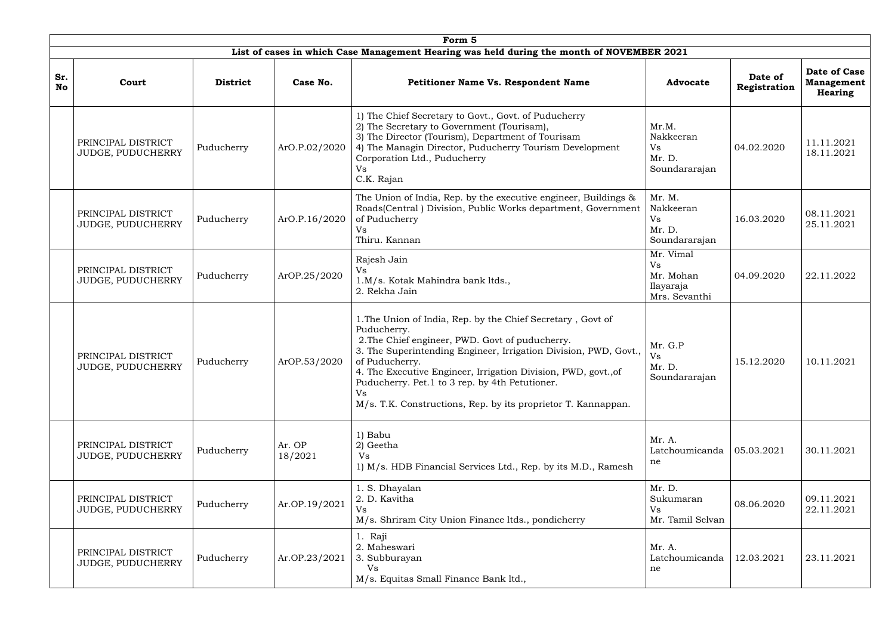|                  |                                                |                 |                   | Form 5                                                                                                                                                                                                                                                                                                                                                                                                         |                                                            |                         |                                                            |
|------------------|------------------------------------------------|-----------------|-------------------|----------------------------------------------------------------------------------------------------------------------------------------------------------------------------------------------------------------------------------------------------------------------------------------------------------------------------------------------------------------------------------------------------------------|------------------------------------------------------------|-------------------------|------------------------------------------------------------|
|                  |                                                |                 |                   | List of cases in which Case Management Hearing was held during the month of NOVEMBER 2021                                                                                                                                                                                                                                                                                                                      |                                                            |                         |                                                            |
| Sr.<br><b>No</b> | Court                                          | <b>District</b> | Case No.          | <b>Petitioner Name Vs. Respondent Name</b>                                                                                                                                                                                                                                                                                                                                                                     | <b>Advocate</b>                                            | Date of<br>Registration | <b>Date of Case</b><br><b>Management</b><br><b>Hearing</b> |
|                  | PRINCIPAL DISTRICT<br><b>JUDGE, PUDUCHERRY</b> | Puducherry      | ArO.P.02/2020     | 1) The Chief Secretary to Govt., Govt. of Puducherry<br>2) The Secretary to Government (Tourisam),<br>3) The Director (Tourism), Department of Tourisam<br>4) The Managin Director, Puducherry Tourism Development<br>Corporation Ltd., Puducherry<br>Vs<br>C.K. Rajan                                                                                                                                         | Mr.M.<br>Nakkeeran<br><b>Vs</b><br>Mr. D.<br>Soundararajan | 04.02.2020              | 11.11.2021<br>18.11.2021                                   |
|                  | PRINCIPAL DISTRICT<br><b>JUDGE, PUDUCHERRY</b> | Puducherry      | ArO.P.16/2020     | The Union of India, Rep. by the executive engineer, Buildings &<br>Roads(Central) Division, Public Works department, Government<br>of Puducherry<br>Vs<br>Thiru. Kannan                                                                                                                                                                                                                                        | Mr. M.<br>Nakkeeran<br>Vs<br>Mr. D.<br>Soundararajan       | 16.03.2020              | 08.11.2021<br>25.11.2021                                   |
|                  | PRINCIPAL DISTRICT<br>JUDGE, PUDUCHERRY        | Puducherry      | ArOP.25/2020      | Rajesh Jain<br>Vs<br>1.M/s. Kotak Mahindra bank ltds.,<br>2. Rekha Jain                                                                                                                                                                                                                                                                                                                                        | Mr. Vimal<br>Vs<br>Mr. Mohan<br>Ilayaraja<br>Mrs. Sevanthi | 04.09.2020              | 22.11.2022                                                 |
|                  | PRINCIPAL DISTRICT<br>JUDGE, PUDUCHERRY        | Puducherry      | ArOP.53/2020      | 1. The Union of India, Rep. by the Chief Secretary, Govt of<br>Puducherry.<br>2. The Chief engineer, PWD. Govt of puducherry.<br>3. The Superintending Engineer, Irrigation Division, PWD, Govt.,<br>of Puducherry.<br>4. The Executive Engineer, Irrigation Division, PWD, govt., of<br>Puducherry. Pet.1 to 3 rep. by 4th Petutioner.<br>Vs<br>M/s. T.K. Constructions, Rep. by its proprietor T. Kannappan. | Mr. G.P<br>Vs<br>Mr. D.<br>Soundararajan                   | 15.12.2020              | 10.11.2021                                                 |
|                  | PRINCIPAL DISTRICT<br>JUDGE, PUDUCHERRY        | Puducherry      | Ar. OP<br>18/2021 | 1) Babu<br>2) Geetha<br><b>Vs</b><br>1) M/s. HDB Financial Services Ltd., Rep. by its M.D., Ramesh                                                                                                                                                                                                                                                                                                             | Mr. A.<br>Latchoumicanda<br>ne                             | 05.03.2021              | 30.11.2021                                                 |
|                  | PRINCIPAL DISTRICT<br>JUDGE, PUDUCHERRY        | Puducherry      | Ar.OP.19/2021     | 1. S. Dhayalan<br>2. D. Kavitha<br><b>Vs</b><br>M/s. Shriram City Union Finance ltds., pondicherry                                                                                                                                                                                                                                                                                                             | Mr. D.<br>Sukumaran<br>Vs<br>Mr. Tamil Selvan              | 08.06.2020              | 09.11.2021<br>22.11.2021                                   |
|                  | PRINCIPAL DISTRICT<br><b>JUDGE, PUDUCHERRY</b> | Puducherry      | Ar.OP.23/2021     | 1. Raji<br>2. Maheswari<br>3. Subburayan<br>Vs<br>M/s. Equitas Small Finance Bank ltd.,                                                                                                                                                                                                                                                                                                                        | Mr. A.<br>Latchoumicanda<br>ne                             | 12.03.2021              | 23.11.2021                                                 |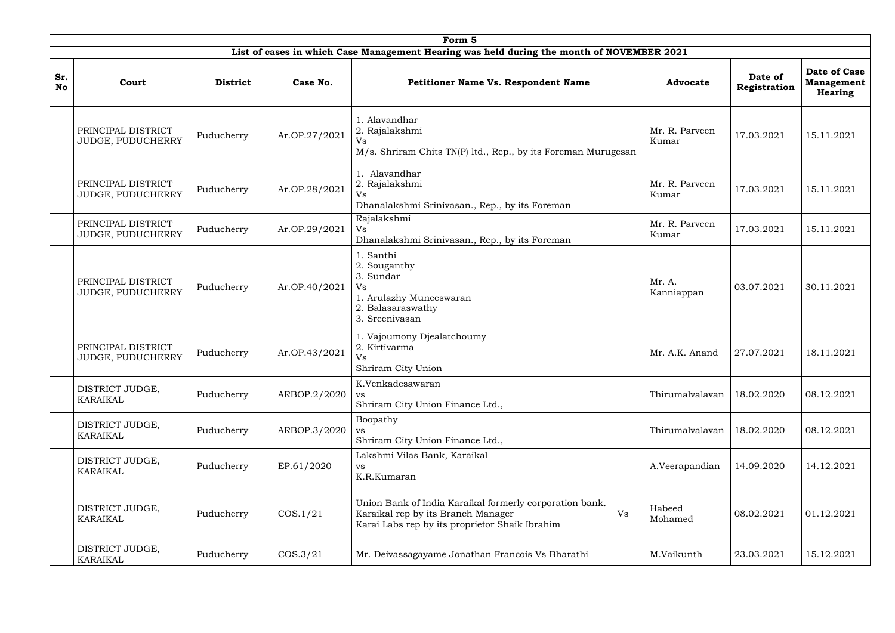|                  |                                         |                 |               | Form 5                                                                                                                                                |                         |                         |                                              |
|------------------|-----------------------------------------|-----------------|---------------|-------------------------------------------------------------------------------------------------------------------------------------------------------|-------------------------|-------------------------|----------------------------------------------|
|                  |                                         |                 |               | List of cases in which Case Management Hearing was held during the month of NOVEMBER 2021                                                             |                         |                         |                                              |
| Sr.<br><b>No</b> | Court                                   | <b>District</b> | Case No.      | <b>Petitioner Name Vs. Respondent Name</b>                                                                                                            | <b>Advocate</b>         | Date of<br>Registration | Date of Case<br><b>Management</b><br>Hearing |
|                  | PRINCIPAL DISTRICT<br>JUDGE, PUDUCHERRY | Puducherry      | Ar.OP.27/2021 | 1. Alavandhar<br>2. Rajalakshmi<br>Vs<br>M/s. Shriram Chits TN(P) ltd., Rep., by its Foreman Murugesan                                                | Mr. R. Parveen<br>Kumar | 17.03.2021              | 15.11.2021                                   |
|                  | PRINCIPAL DISTRICT<br>JUDGE, PUDUCHERRY | Puducherry      | Ar.OP.28/2021 | 1. Alavandhar<br>2. Rajalakshmi<br>Vs<br>Dhanalakshmi Srinivasan., Rep., by its Foreman                                                               | Mr. R. Parveen<br>Kumar | 17.03.2021              | 15.11.2021                                   |
|                  | PRINCIPAL DISTRICT<br>JUDGE, PUDUCHERRY | Puducherry      | Ar.OP.29/2021 | Rajalakshmi<br>Vs<br>Dhanalakshmi Srinivasan., Rep., by its Foreman                                                                                   | Mr. R. Parveen<br>Kumar | 17.03.2021              | 15.11.2021                                   |
|                  | PRINCIPAL DISTRICT<br>JUDGE, PUDUCHERRY | Puducherry      | Ar.OP.40/2021 | 1. Santhi<br>2. Souganthy<br>3. Sundar<br>Vs<br>1. Arulazhy Muneeswaran<br>2. Balasaraswathy<br>3. Sreenivasan                                        | Mr. A.<br>Kanniappan    | 03.07.2021              | 30.11.2021                                   |
|                  | PRINCIPAL DISTRICT<br>JUDGE, PUDUCHERRY | Puducherry      | Ar.OP.43/2021 | 1. Vajoumony Djealatchoumy<br>2. Kirtivarma<br><b>Vs</b><br>Shriram City Union                                                                        | Mr. A.K. Anand          | 27.07.2021              | 18.11.2021                                   |
|                  | DISTRICT JUDGE,<br><b>KARAIKAL</b>      | Puducherry      | ARBOP.2/2020  | K.Venkadesawaran<br><b>VS</b><br>Shriram City Union Finance Ltd.,                                                                                     | Thirumalvalavan         | 18.02.2020              | 08.12.2021                                   |
|                  | DISTRICT JUDGE,<br><b>KARAIKAL</b>      | Puducherry      | ARBOP.3/2020  | Boopathy<br><b>VS</b><br>Shriram City Union Finance Ltd.,                                                                                             | Thirumalvalavan         | 18.02.2020              | 08.12.2021                                   |
|                  | DISTRICT JUDGE,<br><b>KARAIKAL</b>      | Puducherry      | EP.61/2020    | Lakshmi Vilas Bank, Karaikal<br><b>VS</b><br>K.R.Kumaran                                                                                              | A.Veerapandian          | 14.09.2020              | 14.12.2021                                   |
|                  | DISTRICT JUDGE,<br><b>KARAIKAL</b>      | Puducherry      | COS.1/21      | Union Bank of India Karaikal formerly corporation bank.<br>Vs<br>Karaikal rep by its Branch Manager<br>Karai Labs rep by its proprietor Shaik Ibrahim | Habeed<br>Mohamed       | 08.02.2021              | 01.12.2021                                   |
|                  | DISTRICT JUDGE,<br><b>KARAIKAL</b>      | Puducherry      | COS.3/21      | Mr. Deivassagayame Jonathan Francois Vs Bharathi                                                                                                      | M.Vaikunth              | 23.03.2021              | 15.12.2021                                   |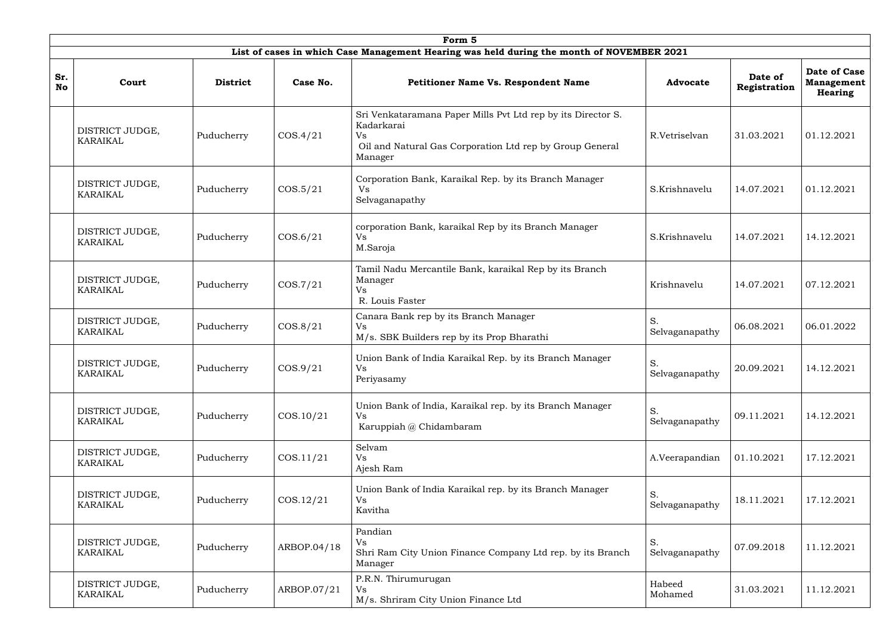|                  |                                    |                 |             | Form 5                                                                                                                                                  |                      |                         |                                                            |
|------------------|------------------------------------|-----------------|-------------|---------------------------------------------------------------------------------------------------------------------------------------------------------|----------------------|-------------------------|------------------------------------------------------------|
|                  |                                    |                 |             | List of cases in which Case Management Hearing was held during the month of NOVEMBER 2021                                                               |                      |                         |                                                            |
| Sr.<br><b>No</b> | Court                              | <b>District</b> | Case No.    | <b>Petitioner Name Vs. Respondent Name</b>                                                                                                              | <b>Advocate</b>      | Date of<br>Registration | <b>Date of Case</b><br><b>Management</b><br><b>Hearing</b> |
|                  | DISTRICT JUDGE,<br><b>KARAIKAL</b> | Puducherry      | COS.4/21    | Sri Venkataramana Paper Mills Pvt Ltd rep by its Director S.<br>Kadarkarai<br>Vs<br>Oil and Natural Gas Corporation Ltd rep by Group General<br>Manager | R.Vetriselvan        | 31.03.2021              | 01.12.2021                                                 |
|                  | DISTRICT JUDGE,<br><b>KARAIKAL</b> | Puducherry      | $\cos 5/21$ | Corporation Bank, Karaikal Rep. by its Branch Manager<br>Vs<br>Selvaganapathy                                                                           | S.Krishnavelu        | 14.07.2021              | 01.12.2021                                                 |
|                  | DISTRICT JUDGE,<br><b>KARAIKAL</b> | Puducherry      | COS.6/21    | corporation Bank, karaikal Rep by its Branch Manager<br>Vs<br>M.Saroja                                                                                  | S.Krishnavelu        | 14.07.2021              | 14.12.2021                                                 |
|                  | DISTRICT JUDGE,<br><b>KARAIKAL</b> | Puducherry      | COS.7/21    | Tamil Nadu Mercantile Bank, karaikal Rep by its Branch<br>Manager<br>Vs<br>R. Louis Faster                                                              | Krishnavelu          | 14.07.2021              | 07.12.2021                                                 |
|                  | DISTRICT JUDGE,<br><b>KARAIKAL</b> | Puducherry      | COS.8/21    | Canara Bank rep by its Branch Manager<br>Vs<br>M/s. SBK Builders rep by its Prop Bharathi                                                               | S.<br>Selvaganapathy | 06.08.2021              | 06.01.2022                                                 |
|                  | DISTRICT JUDGE,<br><b>KARAIKAL</b> | Puducherry      | $\cos 9/21$ | Union Bank of India Karaikal Rep. by its Branch Manager<br>Vs<br>Periyasamy                                                                             | S.<br>Selvaganapathy | 20.09.2021              | 14.12.2021                                                 |
|                  | DISTRICT JUDGE,<br><b>KARAIKAL</b> | Puducherry      | COS.10/21   | Union Bank of India, Karaikal rep. by its Branch Manager<br>Vs<br>Karuppiah @ Chidambaram                                                               | S.<br>Selvaganapathy | 09.11.2021              | 14.12.2021                                                 |
|                  | DISTRICT JUDGE,<br><b>KARAIKAL</b> | Puducherry      | COS.11/21   | Selvam<br>Vs<br>Ajesh Ram                                                                                                                               | A.Veerapandian       | 01.10.2021              | 17.12.2021                                                 |
|                  | DISTRICT JUDGE,<br><b>KARAIKAL</b> | Puducherry      | COS.12/21   | Union Bank of India Karaikal rep. by its Branch Manager<br>Vs<br>Kavitha                                                                                | S.<br>Selvaganapathy | 18.11.2021              | 17.12.2021                                                 |
|                  | DISTRICT JUDGE,<br><b>KARAIKAL</b> | Puducherry      | ARBOP.04/18 | Pandian<br>Vs<br>Shri Ram City Union Finance Company Ltd rep. by its Branch<br>Manager                                                                  | S.<br>Selvaganapathy | 07.09.2018              | 11.12.2021                                                 |
|                  | DISTRICT JUDGE,<br><b>KARAIKAL</b> | Puducherry      | ARBOP.07/21 | P.R.N. Thirumurugan<br>Vs<br>M/s. Shriram City Union Finance Ltd                                                                                        | Habeed<br>Mohamed    | 31.03.2021              | 11.12.2021                                                 |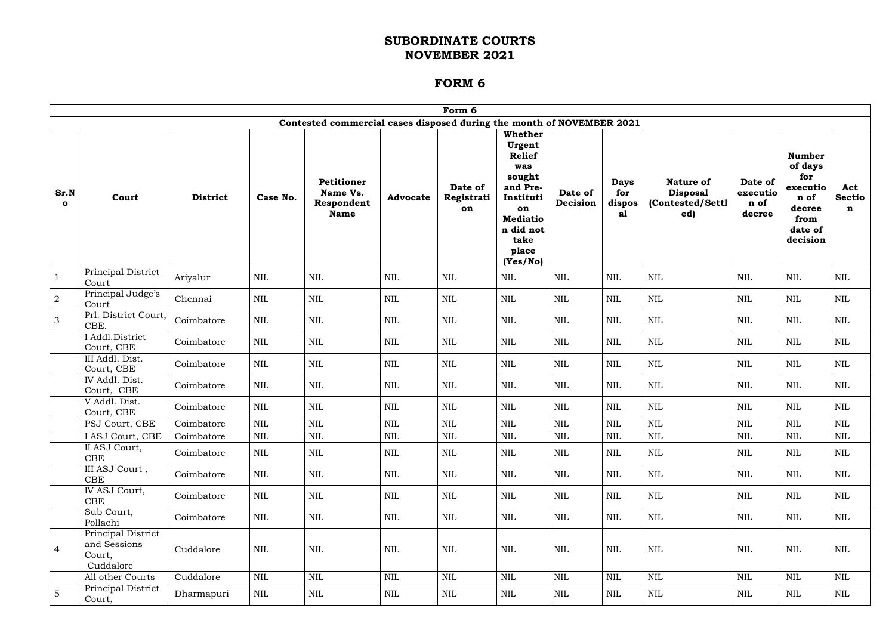|                      |                                                           |                 |              |                                                                       |                 | Form 6                      |                                                                                                                                                        |                     |                                    |                                                                |                                       |                                                                                              |                      |
|----------------------|-----------------------------------------------------------|-----------------|--------------|-----------------------------------------------------------------------|-----------------|-----------------------------|--------------------------------------------------------------------------------------------------------------------------------------------------------|---------------------|------------------------------------|----------------------------------------------------------------|---------------------------------------|----------------------------------------------------------------------------------------------|----------------------|
|                      |                                                           |                 |              | Contested commercial cases disposed during the month of NOVEMBER 2021 |                 |                             |                                                                                                                                                        |                     |                                    |                                                                |                                       |                                                                                              |                      |
| Sr.N<br>$\mathbf{o}$ | Court                                                     | <b>District</b> | Case No.     | <b>Petitioner</b><br>Name Vs.<br>Respondent<br><b>Name</b>            | <b>Advocate</b> | Date of<br>Registrati<br>on | <b>Whether</b><br>Urgent<br><b>Relief</b><br>was<br>sought<br>and Pre-<br>Instituti<br>on<br><b>Mediatio</b><br>n did not<br>take<br>place<br>(Yes/No) | Date of<br>Decision | <b>Days</b><br>for<br>dispos<br>al | <b>Nature of</b><br><b>Disposal</b><br>(Contested/Settl<br>ed) | Date of<br>executio<br>n of<br>decree | <b>Number</b><br>of days<br>for<br>executio<br>n of<br>decree<br>from<br>date of<br>decision | Act<br>Sectio  <br>n |
| $\mathbf{1}$         | Principal District<br>Court                               | Ariyalur        | <b>NIL</b>   | $\mbox{NIL}$                                                          | <b>NIL</b>      | <b>NIL</b>                  | <b>NIL</b>                                                                                                                                             | <b>NIL</b>          | $\mbox{NIL}$                       | <b>NIL</b>                                                     | <b>NIL</b>                            | <b>NIL</b>                                                                                   | <b>NIL</b>           |
| $\boldsymbol{2}$     | Principal Judge's<br>Court                                | Chennai         | $\mbox{NIL}$ | $\mbox{NIL}$                                                          | <b>NIL</b>      | <b>NIL</b>                  | <b>NIL</b>                                                                                                                                             | <b>NIL</b>          | <b>NIL</b>                         | $\mbox{NIL}$                                                   | <b>NIL</b>                            | NIL                                                                                          | $\mbox{NIL}$         |
| 3                    | Prl. District Court,<br>CBE.                              | Coimbatore      | <b>NIL</b>   | $\mbox{NIL}$                                                          | <b>NIL</b>      | NIL                         | <b>NIL</b>                                                                                                                                             | <b>NIL</b>          | <b>NIL</b>                         | <b>NIL</b>                                                     | <b>NIL</b>                            | <b>NIL</b>                                                                                   | <b>NIL</b>           |
|                      | I Addl.District<br>Court, CBE                             | Coimbatore      | NIL          | $\mbox{NIL}$                                                          | <b>NIL</b>      | NIL                         | NIL                                                                                                                                                    | <b>NIL</b>          | NIL                                | $\text{NIL}$                                                   | NIL                                   | NIL                                                                                          | $\mbox{NIL}$         |
|                      | III Addl. Dist.<br>Court, CBE                             | Coimbatore      | <b>NIL</b>   | $\mbox{NIL}$                                                          | NIL             | NIL                         | <b>NIL</b>                                                                                                                                             | <b>NIL</b>          | NIL                                | <b>NIL</b>                                                     | <b>NIL</b>                            | <b>NIL</b>                                                                                   | <b>NIL</b>           |
|                      | IV Addl. Dist.<br>Court, CBE                              | Coimbatore      | <b>NIL</b>   | $\mbox{NIL}$                                                          | <b>NIL</b>      | <b>NIL</b>                  | <b>NIL</b>                                                                                                                                             | <b>NIL</b>          | $\mbox{NIL}$                       | $\mbox{NIL}$                                                   | <b>NIL</b>                            | <b>NIL</b>                                                                                   | $\mbox{NIL}$         |
|                      | V Addl. Dist.<br>Court, CBE                               | Coimbatore      | <b>NIL</b>   | $\mbox{NIL}$                                                          | <b>NIL</b>      | <b>NIL</b>                  | <b>NIL</b>                                                                                                                                             | <b>NIL</b>          | <b>NIL</b>                         | $\mbox{NIL}$                                                   | <b>NIL</b>                            | NIL                                                                                          | $\mbox{NIL}$         |
|                      | PSJ Court, CBE                                            | Coimbatore      | $\mbox{NIL}$ | <b>NIL</b>                                                            | <b>NIL</b>      | <b>NIL</b>                  | <b>NIL</b>                                                                                                                                             | <b>NIL</b>          | <b>NIL</b>                         | <b>NIL</b>                                                     | <b>NIL</b>                            | $\mbox{NIL}$                                                                                 | <b>NIL</b>           |
|                      | I ASJ Court, CBE                                          | Coimbatore      | <b>NIL</b>   | <b>NIL</b>                                                            | <b>NIL</b>      | <b>NIL</b>                  | <b>NIL</b>                                                                                                                                             | <b>NIL</b>          | NIL                                | $\mbox{NIL}$                                                   | NIL                                   | <b>NIL</b>                                                                                   | $\mbox{NIL}$         |
|                      | II ASJ Court,<br><b>CBE</b>                               | Coimbatore      | <b>NIL</b>   | NIL                                                                   | <b>NIL</b>      | NIL                         | NIL                                                                                                                                                    | <b>NIL</b>          | NIL                                | <b>NIL</b>                                                     | <b>NIL</b>                            | <b>NIL</b>                                                                                   | NIL                  |
|                      | III ASJ Court,<br>CBE                                     | Coimbatore      | <b>NIL</b>   | NIL                                                                   | <b>NIL</b>      | NIL                         | NIL                                                                                                                                                    | <b>NIL</b>          | NIL                                | <b>NIL</b>                                                     | <b>NIL</b>                            | NIL                                                                                          | NIL                  |
|                      | IV ASJ Court,<br>CBE                                      | Coimbatore      | NIL          | NIL                                                                   | NIL             | NIL                         | NIL                                                                                                                                                    | NIL                 | $\rm NIL$                          | <b>NIL</b>                                                     | NIL                                   | NIL                                                                                          | NIL                  |
|                      | Sub Court,<br>Pollachi                                    | Coimbatore      | NIL          | NIL                                                                   | NIL             | NIL                         | $\mbox{NIL}$                                                                                                                                           | <b>NIL</b>          | NIL                                | $\mbox{NIL}$                                                   | <b>NIL</b>                            | NIL                                                                                          | NIL                  |
| $\overline{4}$       | Principal District<br>and Sessions<br>Court,<br>Cuddalore | Cuddalore       | NIL          | $\mbox{NIL}$                                                          | <b>NIL</b>      | NIL                         | NIL                                                                                                                                                    | $\mbox{NIL}$        | NIL                                | NIL                                                            | <b>NIL</b>                            | NIL                                                                                          | $\mbox{NIL}$         |
|                      | All other Courts                                          | Cuddalore       | <b>NIL</b>   | <b>NIL</b>                                                            | <b>NIL</b>      | <b>NIL</b>                  | NIL                                                                                                                                                    | <b>NIL</b>          | <b>NIL</b>                         | <b>NIL</b>                                                     | <b>NIL</b>                            | NIL                                                                                          | <b>NIL</b>           |
| 5                    | Principal District<br>Court,                              | Dharmapuri      | NIL          | NIL                                                                   | NIL             | NIL                         | NIL                                                                                                                                                    | NIL                 | NIL                                | NIL                                                            | NIL                                   | NIL                                                                                          | $\rm NIL$            |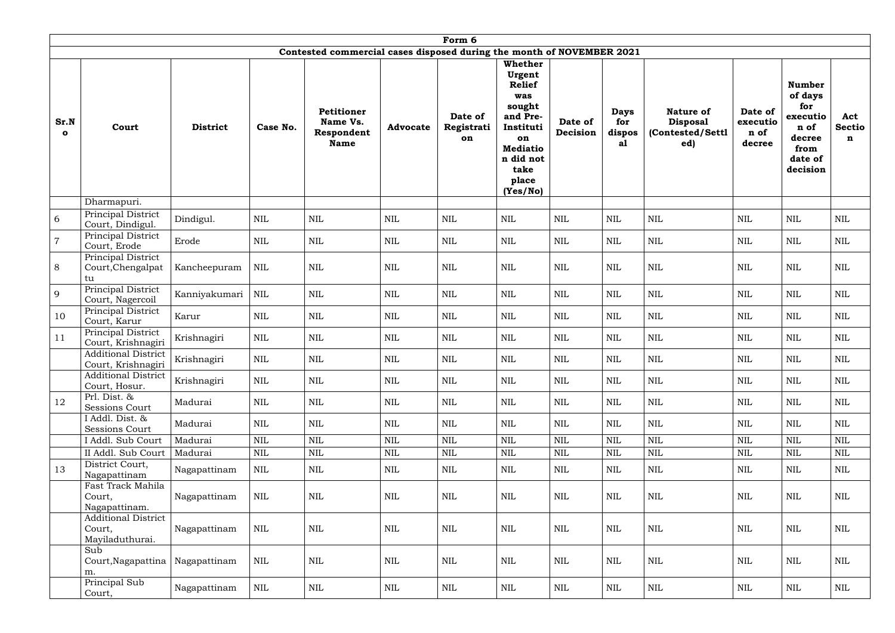|                     |                                                         |                 |              |                                                                       |                 | Form 6                      |                                                                                                                                                        |                     |                                    |                                                                |                                       |                                                                                              |                           |
|---------------------|---------------------------------------------------------|-----------------|--------------|-----------------------------------------------------------------------|-----------------|-----------------------------|--------------------------------------------------------------------------------------------------------------------------------------------------------|---------------------|------------------------------------|----------------------------------------------------------------|---------------------------------------|----------------------------------------------------------------------------------------------|---------------------------|
|                     |                                                         |                 |              | Contested commercial cases disposed during the month of NOVEMBER 2021 |                 |                             |                                                                                                                                                        |                     |                                    |                                                                |                                       |                                                                                              |                           |
| Sr.N<br>$\mathbf o$ | Court                                                   | <b>District</b> | Case No.     | <b>Petitioner</b><br>Name Vs.<br>Respondent<br><b>Name</b>            | <b>Advocate</b> | Date of<br>Registrati<br>on | <b>Whether</b><br>Urgent<br><b>Relief</b><br>was<br>sought<br>and Pre-<br>Instituti<br>on<br><b>Mediatio</b><br>n did not<br>take<br>place<br>(Yes/No) | Date of<br>Decision | <b>Days</b><br>for<br>dispos<br>a1 | <b>Nature of</b><br><b>Disposal</b><br>(Contested/Settl<br>ed) | Date of<br>executio<br>n of<br>decree | <b>Number</b><br>of days<br>for<br>executio<br>n of<br>decree<br>from<br>date of<br>decision | Act<br><b>Sectio</b><br>n |
|                     | Dharmapuri.                                             |                 |              |                                                                       |                 |                             |                                                                                                                                                        |                     |                                    |                                                                |                                       |                                                                                              |                           |
| 6                   | Principal District<br>Court, Dindigul.                  | Dindigul.       | <b>NIL</b>   | $\mbox{NIL}$                                                          | $\mbox{NIL}$    | <b>NIL</b>                  | $\mbox{NIL}$                                                                                                                                           | $\mbox{NIL}$        | $\mbox{NIL}$                       | $\mbox{NIL}$                                                   | <b>NIL</b>                            | $\mbox{NIL}$                                                                                 | <b>NIL</b>                |
| $\overline{7}$      | Principal District<br>Court, Erode                      | Erode           | <b>NIL</b>   | $\mbox{NIL}$                                                          | <b>NIL</b>      | <b>NIL</b>                  | $\mbox{NIL}$                                                                                                                                           | <b>NIL</b>          | <b>NIL</b>                         | $\mbox{NIL}$                                                   | <b>NIL</b>                            | $\mbox{NIL}$                                                                                 | <b>NIL</b>                |
| 8                   | Principal District<br>Court, Chengalpat<br>tu           | Kancheepuram    | <b>NIL</b>   | NIL                                                                   | <b>NIL</b>      | <b>NIL</b>                  | $\mbox{NIL}$                                                                                                                                           | NIL                 | <b>NIL</b>                         | $\mbox{NIL}$                                                   | <b>NIL</b>                            | $\mbox{NIL}$                                                                                 | $\mbox{NIL}$              |
| 9                   | Principal District<br>Court, Nagercoil                  | Kanniyakumari   | NIL          | $\mbox{NIL}$                                                          | <b>NIL</b>      | <b>NIL</b>                  | $\mbox{NIL}$                                                                                                                                           | <b>NIL</b>          | $\text{NIL}$                       | $\mbox{NIL}$                                                   | <b>NIL</b>                            | $\mbox{NIL}$                                                                                 | $\mbox{NIL}$              |
| 10                  | Principal District<br>Court, Karur                      | Karur           | <b>NIL</b>   | $\mbox{NIL}$                                                          | $\mbox{NIL}$    | $\text{NIL}$                | $\mbox{NIL}$                                                                                                                                           | <b>NIL</b>          | $\mbox{NIL}$                       | $\mbox{NIL}$                                                   | <b>NIL</b>                            | $\mbox{NIL}$                                                                                 | $\mbox{NIL}$              |
| 11                  | <b>Principal District</b><br>Court, Krishnagiri         | Krishnagiri     | <b>NIL</b>   | $\mbox{NIL}$                                                          | $\mbox{NIL}$    | <b>NIL</b>                  | <b>NIL</b>                                                                                                                                             | NIL                 | <b>NIL</b>                         | $\mbox{NIL}$                                                   | NIL                                   | $\mbox{NIL}$                                                                                 | <b>NIL</b>                |
|                     | <b>Additional District</b><br>Court, Krishnagiri        | Krishnagiri     | <b>NIL</b>   | $\mbox{NIL}$                                                          | <b>NIL</b>      | $\text{NIL}$                | $\mbox{NIL}$                                                                                                                                           | <b>NIL</b>          | <b>NIL</b>                         | $\mbox{NIL}$                                                   | <b>NIL</b>                            | $\mbox{NIL}$                                                                                 | $\mbox{NIL}$              |
|                     | <b>Additional District</b><br>Court, Hosur.             | Krishnagiri     | <b>NIL</b>   | $\mbox{NIL}$                                                          | $\mbox{NIL}$    | $\mbox{NIL}$                | $\mbox{NIL}$                                                                                                                                           | $\mbox{NIL}$        | <b>NIL</b>                         | NIL                                                            | <b>NIL</b>                            | $\mbox{NIL}$                                                                                 | $\mbox{NIL}$              |
| 12                  | Prl. Dist. &<br><b>Sessions Court</b>                   | Madurai         | $\mbox{NIL}$ | $\mbox{NIL}$                                                          | NIL             | $\mbox{NIL}$                | $\mbox{NIL}$                                                                                                                                           | $\mbox{NIL}$        | NIL                                | NIL                                                            | <b>NIL</b>                            | $\mbox{NIL}$                                                                                 | NIL                       |
|                     | I Addl. Dist. &<br>Sessions Court                       | Madurai         | <b>NIL</b>   | $\mbox{NIL}$                                                          | <b>NIL</b>      | NIL                         | <b>NIL</b>                                                                                                                                             | NIL                 | <b>NIL</b>                         | <b>NIL</b>                                                     | NIL                                   | <b>NIL</b>                                                                                   | <b>NIL</b>                |
|                     | I Addl. Sub Court                                       | Madurai         | <b>NIL</b>   | $\mbox{NIL}$                                                          | $\mbox{NIL}$    | <b>NIL</b>                  | $\mbox{NIL}$                                                                                                                                           | <b>NIL</b>          | <b>NIL</b>                         | <b>NIL</b>                                                     | NIL                                   | $\mbox{NIL}$                                                                                 | <b>NIL</b>                |
|                     | II Addl. Sub Court                                      | Madurai         | $\mbox{NIL}$ | $\mbox{NIL}$                                                          | $\mbox{NIL}$    | $\mbox{NIL}$                | $\mbox{NIL}$                                                                                                                                           | $\mbox{NIL}$        | $\mbox{NIL}$                       | NIL                                                            | <b>NIL</b>                            | $\mbox{NIL}$                                                                                 | $\mbox{NIL}$              |
| 13                  | District Court,<br>Nagapattinam                         | Nagapattinam    | <b>NIL</b>   | $\mbox{NIL}$                                                          | <b>NIL</b>      | <b>NIL</b>                  | NIL                                                                                                                                                    | NIL                 | <b>NIL</b>                         | NIL                                                            | <b>NIL</b>                            | <b>NIL</b>                                                                                   | <b>NIL</b>                |
|                     | Fast Track Mahila<br>Court,<br>Nagapattinam.            | Nagapattinam    | <b>NIL</b>   | $\mbox{NIL}$                                                          | <b>NIL</b>      | <b>NIL</b>                  | <b>NIL</b>                                                                                                                                             | $\mbox{NIL}$        | <b>NIL</b>                         | NIL                                                            | <b>NIL</b>                            | $\mbox{NIL}$                                                                                 | $\mbox{NIL}$              |
|                     | <b>Additional District</b><br>Court,<br>Mayiladuthurai. | Nagapattinam    | NIL          | NIL                                                                   | NIL             | <b>NIL</b>                  | $\mbox{NIL}$                                                                                                                                           | $\mbox{NIL}$        | $\text{NIL}$                       | NIL                                                            | <b>NIL</b>                            | $\mbox{NIL}$                                                                                 | NIL                       |
|                     | Sub<br>Court, Nagapattina<br>m.                         | Nagapattinam    | NIL          | NIL                                                                   | <b>NIL</b>      | <b>NIL</b>                  | <b>NIL</b>                                                                                                                                             | $\mbox{NIL}$        | <b>NIL</b>                         | NIL                                                            | <b>NIL</b>                            | $\mbox{NIL}$                                                                                 | $\mbox{NIL}$              |
|                     | Principal Sub<br>Court,                                 | Nagapattinam    | NIL          | NIL                                                                   | <b>NIL</b>      | <b>NIL</b>                  | NIL                                                                                                                                                    | $\mbox{NIL}$        | NIL                                | NIL                                                            | <b>NIL</b>                            | <b>NIL</b>                                                                                   | NIL                       |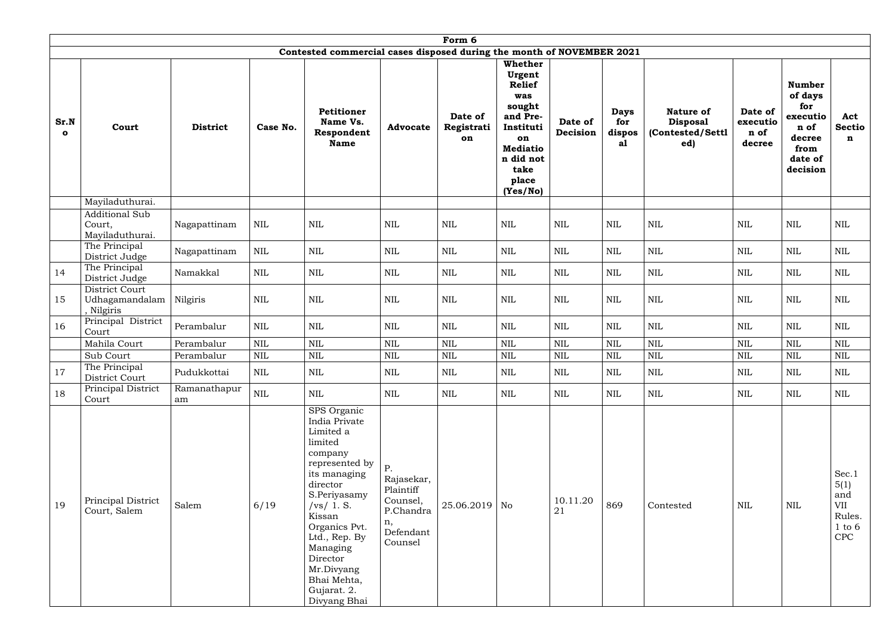|                     |                                                    |                    |              |                                                                                                                                                                                                                                                                             |                                                                                      | Form 6                      |                                                                                                                                                        |                     |                                    |                                                         |                                       |                                                                                              |                                                            |
|---------------------|----------------------------------------------------|--------------------|--------------|-----------------------------------------------------------------------------------------------------------------------------------------------------------------------------------------------------------------------------------------------------------------------------|--------------------------------------------------------------------------------------|-----------------------------|--------------------------------------------------------------------------------------------------------------------------------------------------------|---------------------|------------------------------------|---------------------------------------------------------|---------------------------------------|----------------------------------------------------------------------------------------------|------------------------------------------------------------|
|                     |                                                    |                    |              | Contested commercial cases disposed during the month of NOVEMBER 2021                                                                                                                                                                                                       |                                                                                      |                             |                                                                                                                                                        |                     |                                    |                                                         |                                       |                                                                                              |                                                            |
| Sr.N<br>$\mathbf o$ | Court                                              | <b>District</b>    | Case No.     | <b>Petitioner</b><br>Name Vs.<br>Respondent<br><b>Name</b>                                                                                                                                                                                                                  | <b>Advocate</b>                                                                      | Date of<br>Registrati<br>on | <b>Whether</b><br>Urgent<br><b>Relief</b><br>was<br>sought<br>and Pre-<br>Instituti<br>on<br><b>Mediatio</b><br>n did not<br>take<br>place<br>(Yes/No) | Date of<br>Decision | <b>Days</b><br>for<br>dispos<br>al | Nature of<br><b>Disposal</b><br>(Contested/Settl<br>ed) | Date of<br>executio<br>n of<br>decree | <b>Number</b><br>of days<br>for<br>executio<br>n of<br>decree<br>from<br>date of<br>decision | Act<br><b>Sectio</b><br>n                                  |
|                     | Mayiladuthurai.                                    |                    |              |                                                                                                                                                                                                                                                                             |                                                                                      |                             |                                                                                                                                                        |                     |                                    |                                                         |                                       |                                                                                              |                                                            |
|                     | <b>Additional Sub</b><br>Court,<br>Mayiladuthurai. | Nagapattinam       | <b>NIL</b>   | NIL                                                                                                                                                                                                                                                                         | <b>NIL</b>                                                                           | <b>NIL</b>                  | $\mbox{NIL}$                                                                                                                                           | <b>NIL</b>          | <b>NIL</b>                         | $\mbox{NIL}$                                            | NIL                                   | $\mbox{NIL}$                                                                                 | $\mbox{NIL}$                                               |
|                     | The Principal<br>District Judge                    | Nagapattinam       | <b>NIL</b>   | <b>NIL</b>                                                                                                                                                                                                                                                                  | <b>NIL</b>                                                                           | NIL                         | <b>NIL</b>                                                                                                                                             | <b>NIL</b>          | <b>NIL</b>                         | $\mbox{NIL}$                                            | NIL                                   | $\mbox{NIL}$                                                                                 | $\mbox{NIL}$                                               |
| 14                  | The Principal<br>District Judge                    | Namakkal           | <b>NIL</b>   | <b>NIL</b>                                                                                                                                                                                                                                                                  | <b>NIL</b>                                                                           | NIL                         | <b>NIL</b>                                                                                                                                             | <b>NIL</b>          | $\text{NIL}$                       | $\mbox{NIL}$                                            | <b>NIL</b>                            | $\mbox{NIL}$                                                                                 | $\mbox{NIL}$                                               |
| 15                  | District Court<br>Udhagamandalam<br>, Nilgiris     | Nilgiris           | <b>NIL</b>   | $\mbox{NIL}$                                                                                                                                                                                                                                                                | $\mbox{NIL}$                                                                         | $\text{NIL}$                | $\mbox{NIL}$                                                                                                                                           | <b>NIL</b>          | $\mbox{NIL}$                       | $\mbox{NIL}$                                            | <b>NIL</b>                            | $\mbox{NIL}$                                                                                 | $\mbox{NIL}$                                               |
| 16                  | Principal District<br>Court                        | Perambalur         | <b>NIL</b>   | $\mbox{NIL}$                                                                                                                                                                                                                                                                | $\mbox{NIL}$                                                                         | $\mbox{NIL}$                | $\mbox{NIL}$                                                                                                                                           | <b>NIL</b>          | $\text{NIL}$                       | $\mbox{NIL}$                                            | <b>NIL</b>                            | $\mbox{NIL}$                                                                                 | <b>NIL</b>                                                 |
|                     | Mahila Court                                       | Perambalur         | $\mbox{NIL}$ | $\mbox{NIL}$                                                                                                                                                                                                                                                                | <b>NIL</b>                                                                           | <b>NIL</b>                  | $\mbox{NIL}$                                                                                                                                           | <b>NIL</b>          | <b>NIL</b>                         | <b>NIL</b>                                              | <b>NIL</b>                            | $\mbox{NIL}$                                                                                 | <b>NIL</b>                                                 |
|                     | Sub Court                                          | Perambalur         | <b>NIL</b>   | <b>NIL</b>                                                                                                                                                                                                                                                                  | <b>NIL</b>                                                                           | <b>NIL</b>                  | $\mbox{NIL}$                                                                                                                                           | <b>NIL</b>          | <b>NIL</b>                         | $\mbox{NIL}$                                            | <b>NIL</b>                            | $\mbox{NIL}$                                                                                 | <b>NIL</b>                                                 |
| 17                  | The Principal<br>District Court                    | Pudukkottai        | $\mbox{NIL}$ | $\mbox{NIL}$                                                                                                                                                                                                                                                                | <b>NIL</b>                                                                           | NIL                         | NIL                                                                                                                                                    | NIL                 | NIL                                | NIL                                                     | NIL                                   | NIL                                                                                          | NIL                                                        |
| 18                  | Principal District<br>Court                        | Ramanathapur<br>am | $\mbox{NIL}$ | $\mbox{NIL}$                                                                                                                                                                                                                                                                | NIL                                                                                  | $\mbox{NIL}$                | $\mbox{NIL}$                                                                                                                                           | $\mbox{NIL}$        | NIL                                | $\mbox{NIL}$                                            | $\mbox{NIL}$                          | $\mbox{NIL}$                                                                                 | NIL                                                        |
| 19                  | Principal District<br>Court, Salem                 | Salem              | 6/19         | SPS Organic<br>India Private<br>Limited a<br>limited<br>company<br>represented by<br>its managing<br>director<br>S.Periyasamy<br>/vs/ 1. S.<br>Kissan<br>Organics Pvt.<br>Ltd., Rep. By<br>Managing<br>Director<br>Mr.Divyang<br>Bhai Mehta,<br>Gujarat. 2.<br>Divyang Bhai | Ρ.<br>Rajasekar,<br>Plaintiff<br>Counsel,<br>P.Chandra<br>n,<br>Defendant<br>Counsel | $25.06.2019$ No             |                                                                                                                                                        | 10.11.20<br>21      | 869                                | Contested                                               | <b>NIL</b>                            | $\mbox{NIL}$                                                                                 | Sec.1<br>5(1)<br>and<br>VII<br>Rules.<br>$1$ to $6$<br>CPC |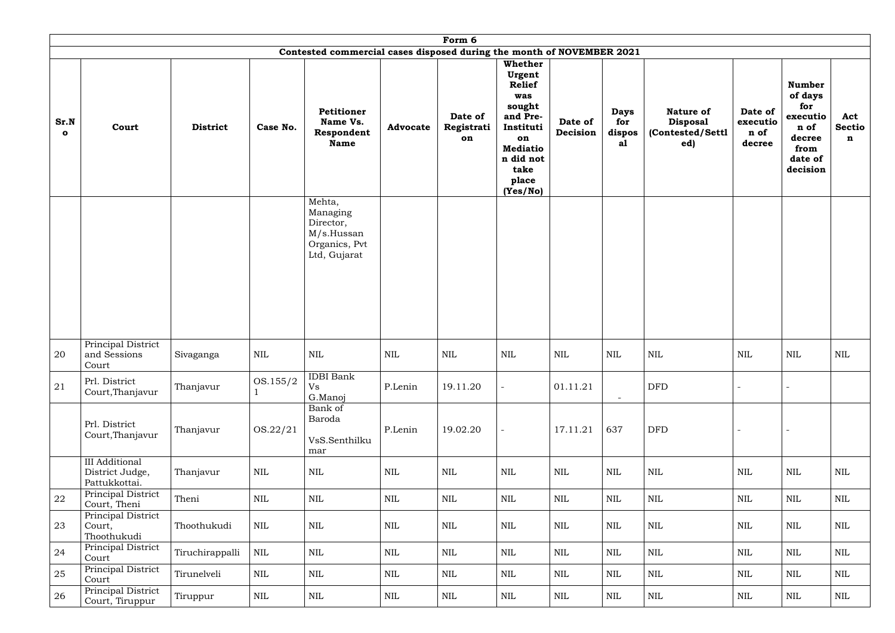|                      | Form 6<br>Contested commercial cases disposed during the month of NOVEMBER 2021 |                 |              |                                                                                |                 |                             |                                                                                                                                      |                     |                                    |                                                                |                                       |                                                                                              |                              |  |  |
|----------------------|---------------------------------------------------------------------------------|-----------------|--------------|--------------------------------------------------------------------------------|-----------------|-----------------------------|--------------------------------------------------------------------------------------------------------------------------------------|---------------------|------------------------------------|----------------------------------------------------------------|---------------------------------------|----------------------------------------------------------------------------------------------|------------------------------|--|--|
|                      |                                                                                 | Whether         |              |                                                                                |                 |                             |                                                                                                                                      |                     |                                    |                                                                |                                       |                                                                                              |                              |  |  |
| Sr.N<br>$\mathbf{o}$ | Court                                                                           | <b>District</b> | Case No.     | Petitioner<br>Name Vs.<br>Respondent<br><b>Name</b>                            | <b>Advocate</b> | Date of<br>Registrati<br>on | Urgent<br><b>Relief</b><br>was<br>sought<br>and Pre-<br>Instituti<br>on<br><b>Mediatio</b><br>n did not<br>take<br>place<br>(Yes/No) | Date of<br>Decision | <b>Days</b><br>for<br>dispos<br>al | <b>Nature of</b><br><b>Disposal</b><br>(Contested/Settl<br>ed) | Date of<br>executio<br>n of<br>decree | <b>Number</b><br>of days<br>for<br>executio<br>n of<br>decree<br>from<br>date of<br>decision | Act<br>Sectio<br>$\mathbf n$ |  |  |
|                      |                                                                                 |                 |              | Mehta,<br>Managing<br>Director,<br>M/s.Hussan<br>Organics, Pvt<br>Ltd, Gujarat |                 |                             |                                                                                                                                      |                     |                                    |                                                                |                                       |                                                                                              |                              |  |  |
| 20                   | Principal District<br>and Sessions<br>Court                                     | Sivaganga       | <b>NIL</b>   | NIL                                                                            | $\mbox{NIL}$    | NIL                         | $\mbox{NIL}$                                                                                                                         | <b>NIL</b>          | <b>NIL</b>                         | $\text{NIL}$                                                   | NIL                                   | <b>NIL</b>                                                                                   | <b>NIL</b>                   |  |  |
| 21                   | Prl. District<br>Court, Thanjavur                                               | Thanjavur       | OS.155/2     | <b>IDBI</b> Bank<br>Vs<br>G.Manoj                                              | P.Lenin         | 19.11.20                    |                                                                                                                                      | 01.11.21            | $\blacksquare$                     | <b>DFD</b>                                                     |                                       |                                                                                              |                              |  |  |
|                      | Prl. District<br>Court, Thanjavur                                               | Thanjavur       | OS.22/21     | Bank of<br>Baroda<br>VsS.Senthilku<br>mar                                      | P.Lenin         | 19.02.20                    | $\sim$                                                                                                                               | 17.11.21            | 637                                | <b>DFD</b>                                                     |                                       |                                                                                              |                              |  |  |
|                      | <b>III</b> Additional<br>District Judge,<br>Pattukkottai.                       | Thanjavur       | $\mbox{NIL}$ | $\mbox{NIL}$                                                                   | $\mbox{NIL}$    | $\mbox{NIL}$                | $\mbox{NIL}$                                                                                                                         | $\mbox{NIL}$        | NIL                                | $\mbox{NIL}$                                                   | <b>NIL</b>                            | $\mbox{NIL}$                                                                                 | $\mbox{NIL}$                 |  |  |
| 22                   | Principal District<br>Court, Theni                                              | Theni           | $\mbox{NIL}$ | NIL                                                                            | $\mbox{NIL}$    | NIL                         | NIL                                                                                                                                  | $\mbox{NIL}$        | NIL                                | $\mbox{NIL}$                                                   | <b>NIL</b>                            | NIL                                                                                          | NIL                          |  |  |
| 23                   | Principal District<br>Court,<br>Thoothukudi                                     | Thoothukudi     | <b>NIL</b>   | NIL                                                                            | $\mbox{NIL}$    | NIL                         | NIL                                                                                                                                  | $\mbox{NIL}$        | NIL                                | $\mbox{NIL}$                                                   | <b>NIL</b>                            | $\mbox{NIL}$                                                                                 | NIL                          |  |  |
| 24                   | Principal District<br>Court                                                     | Tiruchirappalli | $\mbox{NIL}$ | NIL                                                                            | NIL             | NIL                         | NIL                                                                                                                                  | $\mbox{NIL}$        | NIL                                | $\mbox{NIL}$                                                   | <b>NIL</b>                            | $\rm NIL$                                                                                    | NIL                          |  |  |
| 25                   | Principal District<br>Court                                                     | Tirunelveli     | NIL          | $\mbox{NIL}$                                                                   | $\mbox{NIL}$    | $\mbox{NIL}$                | $\mbox{NIL}$                                                                                                                         | $\mbox{NIL}$        | $\mbox{NIL}$                       | $\mbox{NIL}$                                                   | $\mbox{NIL}$                          | $\mbox{NIL}$                                                                                 | $\mbox{NIL}$                 |  |  |
| 26                   | Principal District<br>Court, Tiruppur                                           | Tiruppur        | <b>NIL</b>   | $\mbox{NIL}$                                                                   | $\mbox{NIL}$    | NIL                         | NIL                                                                                                                                  | $\mbox{NIL}$        | NIL                                | $\mbox{NIL}$                                                   | <b>NIL</b>                            | $\rm NIL$                                                                                    | NIL                          |  |  |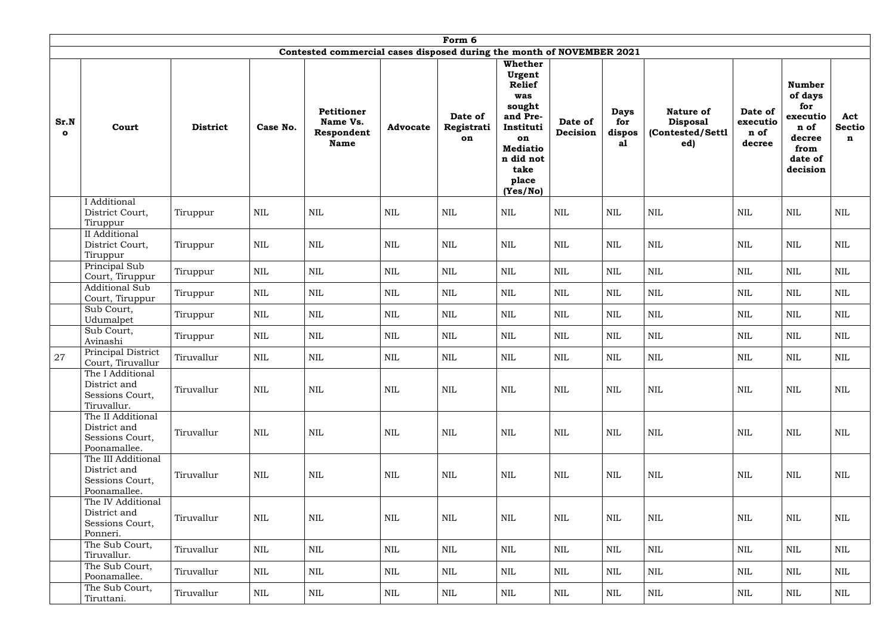|                      |                                                                                            |                 |              |                                                            |                 | Form 6                      |                                                                                                                            |                     |                                    |                                                                |                                       |                                                                                              |                           |  |
|----------------------|--------------------------------------------------------------------------------------------|-----------------|--------------|------------------------------------------------------------|-----------------|-----------------------------|----------------------------------------------------------------------------------------------------------------------------|---------------------|------------------------------------|----------------------------------------------------------------|---------------------------------------|----------------------------------------------------------------------------------------------|---------------------------|--|
|                      | Contested commercial cases disposed during the month of NOVEMBER 2021<br>Whether<br>Urgent |                 |              |                                                            |                 |                             |                                                                                                                            |                     |                                    |                                                                |                                       |                                                                                              |                           |  |
| Sr.N<br>$\mathbf{o}$ | Court                                                                                      | <b>District</b> | Case No.     | <b>Petitioner</b><br>Name Vs.<br>Respondent<br><b>Name</b> | <b>Advocate</b> | Date of<br>Registrati<br>on | <b>Relief</b><br>was<br>sought<br>and Pre-<br>Instituti<br>on<br><b>Mediatio</b><br>n did not<br>take<br>place<br>(Yes/No) | Date of<br>Decision | <b>Days</b><br>for<br>dispos<br>a1 | <b>Nature of</b><br><b>Disposal</b><br>(Contested/Settl<br>ed) | Date of<br>executio<br>n of<br>decree | <b>Number</b><br>of days<br>for<br>executio<br>n of<br>decree<br>from<br>date of<br>decision | Act<br><b>Sectio</b><br>n |  |
|                      | I Additional<br>District Court,<br>Tiruppur                                                | Tiruppur        | $\mbox{NIL}$ | $\mbox{NIL}$                                               | $\mbox{NIL}$    | $\mbox{NIL}$                | <b>NIL</b>                                                                                                                 | <b>NIL</b>          | NIL                                | <b>NIL</b>                                                     | <b>NIL</b>                            | $\mbox{NIL}$                                                                                 | <b>NIL</b>                |  |
|                      | II Additional<br>District Court,<br>Tiruppur                                               | Tiruppur        | $\mbox{NIL}$ | <b>NIL</b>                                                 | <b>NIL</b>      | $\mbox{NIL}$                | <b>NIL</b>                                                                                                                 | <b>NIL</b>          | <b>NIL</b>                         | $\mbox{NIL}$                                                   | <b>NIL</b>                            | $\mbox{NIL}$                                                                                 | <b>NIL</b>                |  |
|                      | Principal Sub<br>Court, Tiruppur                                                           | Tiruppur        | $\mbox{NIL}$ | $\mbox{NIL}$                                               | NIL             | $\mbox{NIL}$                | $\mbox{NIL}$                                                                                                               | <b>NIL</b>          | $\text{NIL}$                       | $\mbox{NIL}$                                                   | $\mbox{NIL}$                          | $\mbox{NIL}$                                                                                 | $\mbox{NIL}$              |  |
|                      | <b>Additional Sub</b><br>Court, Tiruppur                                                   | Tiruppur        | NIL          | $\mbox{NIL}$                                               | NIL             | $\mbox{NIL}$                | NIL                                                                                                                        | $\mbox{NIL}$        | <b>NIL</b>                         | <b>NIL</b>                                                     | NIL                                   | $\mbox{NIL}$                                                                                 | $\mbox{NIL}$              |  |
|                      | Sub Court,<br>Udumalpet                                                                    | Tiruppur        | <b>NIL</b>   | NIL                                                        | <b>NIL</b>      | <b>NIL</b>                  | NIL                                                                                                                        | <b>NIL</b>          | <b>NIL</b>                         | <b>NIL</b>                                                     | NIL                                   | <b>NIL</b>                                                                                   | NIL                       |  |
|                      | Sub Court,<br>Avinashi                                                                     | Tiruppur        | $\mbox{NIL}$ | $\mbox{NIL}$                                               | NIL             | $\mbox{NIL}$                | $\mbox{NIL}$                                                                                                               | <b>NIL</b>          | <b>NIL</b>                         | $\mbox{NIL}$                                                   | $\mbox{NIL}$                          | $\mbox{NIL}$                                                                                 | $\mbox{NIL}$              |  |
| 27                   | Principal District<br>Court, Tiruvallur                                                    | Tiruvallur      | $\mbox{NIL}$ | <b>NIL</b>                                                 | <b>NIL</b>      | $\textsc{nil}$              | <b>NIL</b>                                                                                                                 | <b>NIL</b>          | <b>NIL</b>                         | <b>NIL</b>                                                     | <b>NIL</b>                            | <b>NIL</b>                                                                                   | $\mbox{NIL}$              |  |
|                      | The I Additional<br>District and<br>Sessions Court,<br>Tiruvallur.                         | Tiruvallur      | <b>NIL</b>   | <b>NIL</b>                                                 | <b>NIL</b>      | <b>NIL</b>                  | <b>NIL</b>                                                                                                                 | <b>NIL</b>          | <b>NIL</b>                         | <b>NIL</b>                                                     | <b>NIL</b>                            | $\mbox{NIL}$                                                                                 | $\mbox{NIL}$              |  |
|                      | The II Additional<br>District and<br>Sessions Court,<br>Poonamallee.                       | Tiruvallur      | $\mbox{NIL}$ | <b>NIL</b>                                                 | <b>NIL</b>      | <b>NIL</b>                  | <b>NIL</b>                                                                                                                 | <b>NIL</b>          | <b>NIL</b>                         | <b>NIL</b>                                                     | NIL                                   | $\mbox{NIL}$                                                                                 | <b>NIL</b>                |  |
|                      | The III Additional<br>District and<br>Sessions Court,<br>Poonamallee.                      | Tiruvallur      | <b>NIL</b>   | <b>NIL</b>                                                 | <b>NIL</b>      | <b>NIL</b>                  | <b>NIL</b>                                                                                                                 | <b>NIL</b>          | <b>NIL</b>                         | NIL                                                            | <b>NIL</b>                            | $\mbox{NIL}$                                                                                 | <b>NIL</b>                |  |
|                      | The IV Additional<br>District and<br>Sessions Court,<br>Ponneri.                           | Tiruvallur      | $\mbox{NIL}$ | <b>NIL</b>                                                 | <b>NIL</b>      | <b>NIL</b>                  | NIL                                                                                                                        | <b>NIL</b>          | NIL                                | NIL                                                            | NIL                                   | $\mbox{NIL}$                                                                                 | <b>NIL</b>                |  |
|                      | The Sub Court,<br>Tiruvallur.                                                              | Tiruvallur      | <b>NIL</b>   | <b>NIL</b>                                                 | <b>NIL</b>      | NIL                         | NIL                                                                                                                        | NIL                 | NIL                                | NIL                                                            | NIL                                   | NIL                                                                                          | <b>NIL</b>                |  |
|                      | The Sub Court,<br>Poonamallee.                                                             | Tiruvallur      | NIL          | NIL                                                        | NIL             | NIL                         | NIL                                                                                                                        | NIL                 | $\rm NIL$                          | NIL                                                            | NIL                                   | NIL                                                                                          | <b>NIL</b>                |  |
|                      | The Sub Court,<br>Tiruttani.                                                               | Tiruvallur      | <b>NIL</b>   | NIL                                                        | NIL             | NIL                         | NIL                                                                                                                        | <b>NIL</b>          | NIL                                | NIL                                                            | NIL                                   | <b>NIL</b>                                                                                   | NIL                       |  |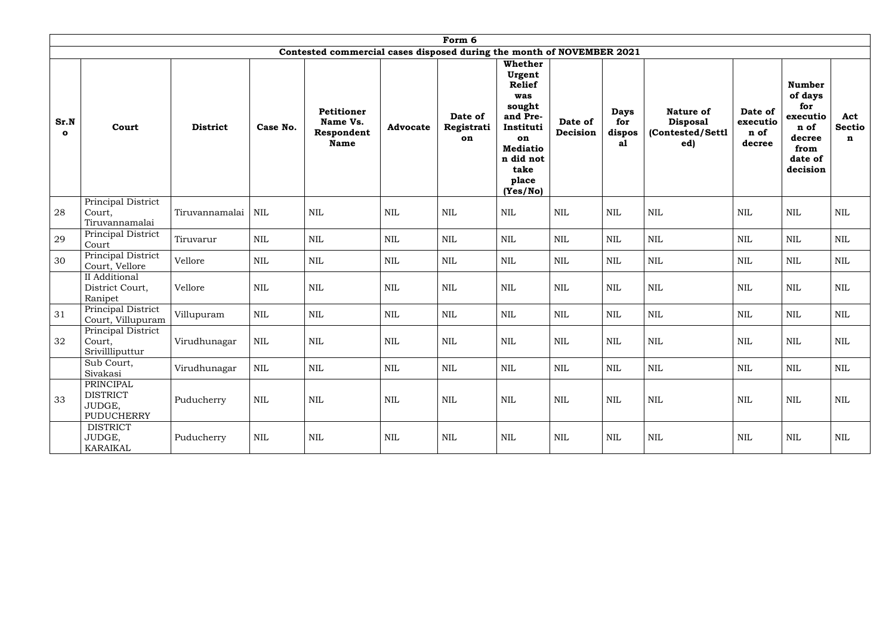|                      |                                                             |                 |            |                                                                       |                 | Form 6                      |                                                                                                                                                        |                     |                                    |                                                                |                                       |                                                                                              |                           |
|----------------------|-------------------------------------------------------------|-----------------|------------|-----------------------------------------------------------------------|-----------------|-----------------------------|--------------------------------------------------------------------------------------------------------------------------------------------------------|---------------------|------------------------------------|----------------------------------------------------------------|---------------------------------------|----------------------------------------------------------------------------------------------|---------------------------|
|                      |                                                             |                 |            | Contested commercial cases disposed during the month of NOVEMBER 2021 |                 |                             |                                                                                                                                                        |                     |                                    |                                                                |                                       |                                                                                              |                           |
| Sr.N<br>$\mathbf{o}$ | Court                                                       | <b>District</b> | Case No.   | <b>Petitioner</b><br>Name Vs.<br>Respondent<br><b>Name</b>            | <b>Advocate</b> | Date of<br>Registrati<br>on | <b>Whether</b><br>Urgent<br><b>Relief</b><br>was<br>sought<br>and Pre-<br>Instituti<br>on<br><b>Mediatio</b><br>n did not<br>take<br>place<br>(Yes/No) | Date of<br>Decision | <b>Days</b><br>for<br>dispos<br>a1 | <b>Nature of</b><br><b>Disposal</b><br>(Contested/Settl<br>ed) | Date of<br>executio<br>n of<br>decree | <b>Number</b><br>of days<br>for<br>executio<br>n of<br>decree<br>from<br>date of<br>decision | Act<br><b>Sectio</b><br>n |
| 28                   | Principal District<br>Court,<br>Tiruvannamalai              | Tiruvannamalai  | <b>NIL</b> | $\mbox{NIL}$                                                          | $\mbox{NIL}$    | <b>NIL</b>                  | <b>NIL</b>                                                                                                                                             | <b>NIL</b>          | $\mbox{NIL}$                       | <b>NIL</b>                                                     | <b>NIL</b>                            | <b>NIL</b>                                                                                   | <b>NIL</b>                |
| 29                   | Principal District<br>Court                                 | Tiruvarur       | <b>NIL</b> | $\mbox{NIL}$                                                          | <b>NIL</b>      | <b>NIL</b>                  | $\mbox{NIL}$                                                                                                                                           | <b>NIL</b>          | <b>NIL</b>                         | $\mbox{NIL}$                                                   | <b>NIL</b>                            | $\mbox{NIL}$                                                                                 | $\mbox{NIL}$              |
| 30                   | Principal District<br>Court, Vellore                        | Vellore         | <b>NIL</b> | $\mbox{NIL}$                                                          | $\mbox{NIL}$    | $\mbox{NIL}$                | $\mbox{NIL}$                                                                                                                                           | <b>NIL</b>          | <b>NIL</b>                         | $\mbox{NIL}$                                                   | NIL                                   | $\mbox{NIL}$                                                                                 | <b>NIL</b>                |
|                      | II Additional<br>District Court,<br>Ranipet                 | Vellore         | NIL        | $\mbox{NIL}$                                                          | $\mbox{NIL}$    | <b>NIL</b>                  | $\mbox{NIL}$                                                                                                                                           | <b>NIL</b>          | <b>NIL</b>                         | <b>NIL</b>                                                     | NIL                                   | $\mbox{NIL}$                                                                                 | <b>NIL</b>                |
| 31                   | Principal District<br>Court, Villupuram                     | Villupuram      | NIL        | $\mbox{NIL}$                                                          | <b>NIL</b>      | <b>NIL</b>                  | $\mbox{NIL}$                                                                                                                                           | NIL                 | <b>NIL</b>                         | $\mbox{NIL}$                                                   | NIL                                   | $\mbox{NIL}$                                                                                 | <b>NIL</b>                |
| 32                   | Principal District<br>Court,<br>Srivillliputtur             | Virudhunagar    | NIL        | $\mbox{NIL}$                                                          | <b>NIL</b>      | <b>NIL</b>                  | $\mbox{NIL}$                                                                                                                                           | <b>NIL</b>          | <b>NIL</b>                         | <b>NIL</b>                                                     | <b>NIL</b>                            | $\text{NIL}$                                                                                 | NIL                       |
|                      | Sub Court,<br>Sivakasi                                      | Virudhunagar    | NIL        | $\mbox{NIL}$                                                          | $\mbox{NIL}$    | NIL                         | $\mbox{NIL}$                                                                                                                                           | $\mbox{NIL}$        | $\mbox{NIL}$                       | NIL                                                            | NIL                                   | NIL                                                                                          | $\mbox{NIL}$              |
| 33                   | PRINCIPAL<br><b>DISTRICT</b><br>JUDGE,<br><b>PUDUCHERRY</b> | Puducherry      | <b>NIL</b> | $\mbox{NIL}$                                                          | NIL             | NIL                         | NIL                                                                                                                                                    | NIL                 | <b>NIL</b>                         | NIL                                                            | NIL                                   | NIL                                                                                          | NIL                       |
|                      | <b>DISTRICT</b><br>JUDGE,<br>KARAIKAL                       | Puducherry      | <b>NIL</b> | <b>NIL</b>                                                            | NIL             | NIL                         | NIL                                                                                                                                                    | NIL                 | <b>NIL</b>                         | NIL                                                            | <b>NIL</b>                            | <b>NIL</b>                                                                                   | NIL                       |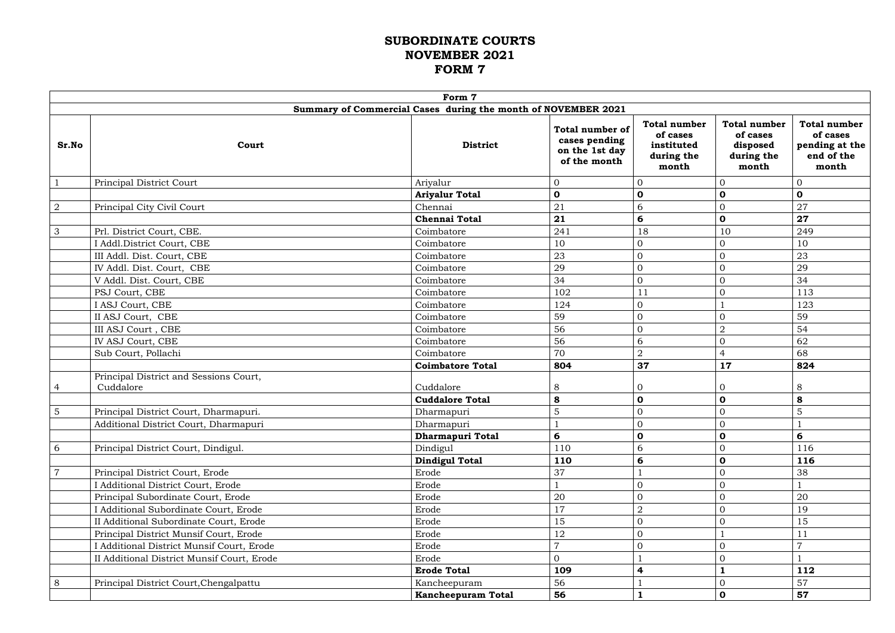## **SUBORDINATE COURTS NOVEMBER 2021 FORM 7**

|                                                               | Form 7                                              |                                     |                                                                           |                                                                      |                                                                    |                                                                          |  |  |
|---------------------------------------------------------------|-----------------------------------------------------|-------------------------------------|---------------------------------------------------------------------------|----------------------------------------------------------------------|--------------------------------------------------------------------|--------------------------------------------------------------------------|--|--|
| Summary of Commercial Cases during the month of NOVEMBER 2021 |                                                     |                                     |                                                                           |                                                                      |                                                                    |                                                                          |  |  |
| Sr.No                                                         | Court                                               | <b>District</b>                     | <b>Total number of</b><br>cases pending<br>on the 1st day<br>of the month | <b>Total number</b><br>of cases<br>instituted<br>during the<br>month | <b>Total number</b><br>of cases<br>disposed<br>during the<br>month | <b>Total number</b><br>of cases<br>pending at the<br>end of the<br>month |  |  |
|                                                               | Principal District Court                            | Ariyalur                            | $\boldsymbol{0}$                                                          | 0                                                                    |                                                                    | $\mathbf{0}$                                                             |  |  |
|                                                               |                                                     | <b>Ariyalur Total</b>               | $\mathbf 0$                                                               | $\mathbf 0$                                                          | $\mathbf 0$                                                        | $\mathbf 0$                                                              |  |  |
| $\overline{2}$                                                | Principal City Civil Court                          | Chennai                             | 21                                                                        | 6                                                                    | 0                                                                  | 27                                                                       |  |  |
|                                                               |                                                     | <b>Chennai Total</b>                | 21                                                                        | 6                                                                    | $\mathbf 0$                                                        | 27                                                                       |  |  |
| 3                                                             | Prl. District Court, CBE.                           | Coimbatore                          | 241                                                                       | 18                                                                   | 10                                                                 | 249                                                                      |  |  |
|                                                               | I Addl.District Court, CBE                          | Coimbatore                          | 10                                                                        | 0                                                                    |                                                                    | 10                                                                       |  |  |
|                                                               | III Addl. Dist. Court, CBE                          | Coimbatore                          | 23                                                                        | $\overline{0}$                                                       | $\Omega$                                                           | 23                                                                       |  |  |
|                                                               | IV Addl. Dist. Court, CBE                           | Coimbatore                          | 29                                                                        | 0                                                                    | $\overline{0}$                                                     | 29                                                                       |  |  |
|                                                               | V Addl. Dist. Court, CBE                            | Coimbatore                          | 34                                                                        | $\overline{0}$                                                       | 0                                                                  | 34                                                                       |  |  |
|                                                               | PSJ Court, CBE                                      | Coimbatore                          | 102                                                                       | 11                                                                   | $\overline{0}$                                                     | 113                                                                      |  |  |
|                                                               | I ASJ Court, CBE                                    | Coimbatore                          | 124                                                                       | 0                                                                    |                                                                    | 123                                                                      |  |  |
|                                                               | II ASJ Court, CBE                                   | Coimbatore                          | 59                                                                        | $\overline{0}$                                                       | 0                                                                  | 59                                                                       |  |  |
|                                                               | III ASJ Court, CBE                                  | Coimbatore                          | 56                                                                        | 0                                                                    | $\overline{2}$                                                     | 54                                                                       |  |  |
|                                                               | IV ASJ Court, CBE                                   | Coimbatore                          | 56                                                                        | 6                                                                    | $\overline{0}$                                                     | 62                                                                       |  |  |
|                                                               | Sub Court, Pollachi                                 | Coimbatore                          | 70                                                                        | $\overline{2}$                                                       | $\overline{4}$                                                     | 68                                                                       |  |  |
|                                                               |                                                     | <b>Coimbatore Total</b>             | 804                                                                       | 37                                                                   | 17                                                                 | 824                                                                      |  |  |
| $\overline{4}$                                                | Principal District and Sessions Court,<br>Cuddalore | Cuddalore<br><b>Cuddalore Total</b> | $8\,$<br>8                                                                | $\overline{0}$<br>$\mathbf 0$                                        | $\overline{0}$<br>$\mathbf 0$                                      | 8<br>8                                                                   |  |  |
| $\sqrt{5}$                                                    | Principal District Court, Dharmapuri.               | Dharmapuri                          | 5                                                                         | $\overline{0}$                                                       | 0                                                                  | 5                                                                        |  |  |
|                                                               | Additional District Court, Dharmapuri               | Dharmapuri                          | $\mathbf{r}$                                                              | $\Omega$                                                             | $\overline{O}$                                                     |                                                                          |  |  |
|                                                               |                                                     | <b>Dharmapuri Total</b>             | 6                                                                         | $\mathbf 0$                                                          | $\mathbf 0$                                                        | 6                                                                        |  |  |
| 6                                                             | Principal District Court, Dindigul.                 | Dindigul                            | 110                                                                       | 6                                                                    | 0                                                                  | 116                                                                      |  |  |
|                                                               |                                                     | <b>Dindigul Total</b>               | 110                                                                       | 6                                                                    | $\mathbf 0$                                                        | 116                                                                      |  |  |
| $\overline{7}$                                                | Principal District Court, Erode                     | Erode                               | 37                                                                        |                                                                      | $\overline{0}$                                                     | 38                                                                       |  |  |
|                                                               | I Additional District Court, Erode                  | Erode                               |                                                                           | $\overline{0}$                                                       | 0                                                                  |                                                                          |  |  |
|                                                               | Principal Subordinate Court, Erode                  | Erode                               | 20                                                                        | $\overline{0}$                                                       | 0                                                                  | 20                                                                       |  |  |
|                                                               | I Additional Subordinate Court, Erode               | Erode                               | 17                                                                        | $\overline{2}$                                                       | 0                                                                  | 19                                                                       |  |  |
|                                                               | II Additional Subordinate Court, Erode              | Erode                               | 15                                                                        | $\overline{0}$                                                       | $\overline{0}$                                                     | 15                                                                       |  |  |
|                                                               | Principal District Munsif Court, Erode              | Erode                               | 12                                                                        | $\overline{0}$                                                       |                                                                    | 11                                                                       |  |  |
|                                                               | I Additional District Munsif Court, Erode           | Erode                               | $\overline{7}$                                                            | $\overline{0}$                                                       | $\overline{0}$                                                     | $\overline{7}$                                                           |  |  |
|                                                               | II Additional District Munsif Court, Erode          | Erode                               | $\overline{0}$                                                            |                                                                      | 0                                                                  |                                                                          |  |  |
|                                                               |                                                     | <b>Erode Total</b>                  | 109                                                                       | 4                                                                    |                                                                    | 112                                                                      |  |  |
| 8                                                             | Principal District Court, Chengalpattu              | Kancheepuram                        | 56                                                                        |                                                                      | 0                                                                  | 57                                                                       |  |  |
|                                                               |                                                     | <b>Kancheepuram Total</b>           | 56                                                                        | 1                                                                    | $\mathbf 0$                                                        | 57                                                                       |  |  |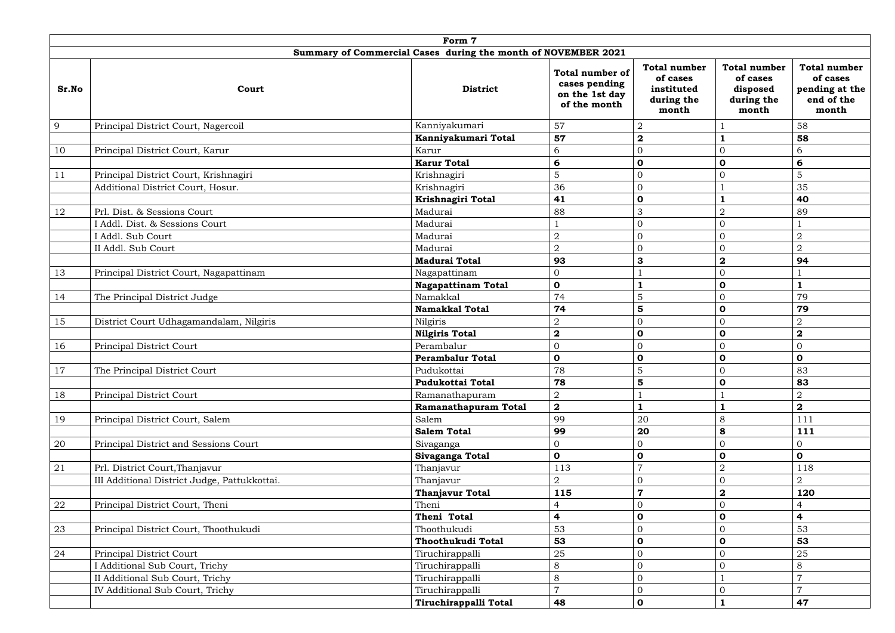| Form 7                                                        |                                              |                           |                                                                           |                                                                      |                                                                    |                                                                          |  |  |
|---------------------------------------------------------------|----------------------------------------------|---------------------------|---------------------------------------------------------------------------|----------------------------------------------------------------------|--------------------------------------------------------------------|--------------------------------------------------------------------------|--|--|
| Summary of Commercial Cases during the month of NOVEMBER 2021 |                                              |                           |                                                                           |                                                                      |                                                                    |                                                                          |  |  |
| Sr.No                                                         | Court                                        | <b>District</b>           | <b>Total number of</b><br>cases pending<br>on the 1st day<br>of the month | <b>Total number</b><br>of cases<br>instituted<br>during the<br>month | <b>Total number</b><br>of cases<br>disposed<br>during the<br>month | <b>Total number</b><br>of cases<br>pending at the<br>end of the<br>month |  |  |
| 9                                                             | Principal District Court, Nagercoil          | Kanniyakumari             | 57                                                                        | $\overline{2}$                                                       |                                                                    | 58                                                                       |  |  |
|                                                               |                                              | Kanniyakumari Total       | 57                                                                        | $\bf{2}$                                                             |                                                                    | 58                                                                       |  |  |
| 10                                                            | Principal District Court, Karur              | Karur                     | 6                                                                         | 0                                                                    | $\overline{0}$                                                     | 6                                                                        |  |  |
|                                                               |                                              | <b>Karur Total</b>        | 6                                                                         | $\mathbf 0$                                                          | $\mathbf 0$                                                        | 6                                                                        |  |  |
| 11                                                            | Principal District Court, Krishnagiri        | Krishnagiri               | 5                                                                         | 0                                                                    | $\Omega$                                                           | 5                                                                        |  |  |
|                                                               | Additional District Court, Hosur.            | Krishnagiri               | 36                                                                        | 0                                                                    |                                                                    | 35                                                                       |  |  |
|                                                               |                                              | Krishnagiri Total         | 41                                                                        | 0                                                                    |                                                                    | 40                                                                       |  |  |
| 12                                                            | Prl. Dist. & Sessions Court                  | Madurai                   | 88                                                                        | 3                                                                    | $\overline{2}$                                                     | 89                                                                       |  |  |
|                                                               | I Addl. Dist. & Sessions Court               | Madurai                   |                                                                           | 0                                                                    | $\overline{0}$                                                     |                                                                          |  |  |
|                                                               | I Addl. Sub Court                            | Madurai                   | $\overline{2}$                                                            | 0                                                                    | $\overline{O}$                                                     | $\overline{2}$                                                           |  |  |
|                                                               | II Addl. Sub Court                           | Madurai                   | $\overline{2}$                                                            | 0                                                                    | $\overline{O}$                                                     | $\overline{2}$                                                           |  |  |
|                                                               |                                              | <b>Madurai Total</b>      | 93                                                                        | 3                                                                    | $\mathbf 2$                                                        | 94                                                                       |  |  |
| 13                                                            | Principal District Court, Nagapattinam       | Nagapattinam              | $\overline{0}$                                                            |                                                                      | $\overline{O}$                                                     |                                                                          |  |  |
|                                                               |                                              | <b>Nagapattinam Total</b> | $\mathbf 0$                                                               |                                                                      | $\mathbf 0$                                                        | $\mathbf{1}$                                                             |  |  |
| 14                                                            | The Principal District Judge                 | Namakkal                  | 74                                                                        | 5                                                                    | $\overline{0}$                                                     | 79                                                                       |  |  |
|                                                               |                                              | <b>Namakkal Total</b>     | 74                                                                        | 5                                                                    | $\mathbf 0$                                                        | 79                                                                       |  |  |
| 15                                                            | District Court Udhagamandalam, Nilgiris      | Nilgiris                  | $\overline{2}$                                                            | 0                                                                    | $\overline{0}$                                                     | $\overline{2}$                                                           |  |  |
|                                                               |                                              | <b>Nilgiris Total</b>     | $\boldsymbol{2}$                                                          | $\mathbf 0$                                                          | $\mathbf 0$                                                        | $\mathbf 2$                                                              |  |  |
| 16                                                            | Principal District Court                     | Perambalur                | $\overline{0}$                                                            | 0                                                                    | $\Omega$                                                           | $\mathbf{0}$                                                             |  |  |
|                                                               |                                              | <b>Perambalur Total</b>   | $\mathbf 0$                                                               | 0                                                                    | $\mathbf 0$                                                        | $\mathbf 0$                                                              |  |  |
| $17$                                                          | The Principal District Court                 | Pudukottai                | 78                                                                        | 5                                                                    | $\overline{0}$                                                     | 83                                                                       |  |  |
|                                                               |                                              | <b>Pudukottai Total</b>   | 78                                                                        | 5                                                                    | $\mathbf 0$                                                        | 83                                                                       |  |  |
| 18                                                            | Principal District Court                     | Ramanathapuram            | $\overline{2}$                                                            |                                                                      |                                                                    | $\overline{2}$                                                           |  |  |
|                                                               |                                              | Ramanathapuram Total      | $\mathbf{2}$                                                              |                                                                      |                                                                    | $\bf{2}$                                                                 |  |  |
| 19                                                            | Principal District Court, Salem              | Salem                     | 99                                                                        | 20                                                                   | 8                                                                  | 111                                                                      |  |  |
|                                                               |                                              | <b>Salem Total</b>        | 99                                                                        | 20                                                                   | 8                                                                  | 111                                                                      |  |  |
| 20                                                            | Principal District and Sessions Court        | Sivaganga                 | $\overline{0}$                                                            | 0                                                                    | $\overline{O}$                                                     | $\overline{0}$                                                           |  |  |
|                                                               |                                              | Sivaganga Total           | $\mathbf 0$                                                               | $\mathbf 0$                                                          | $\mathbf 0$                                                        | $\mathbf 0$                                                              |  |  |
| 21                                                            | Prl. District Court, Thanjavur               | Thanjavur                 | 113                                                                       | 7                                                                    | $\overline{2}$                                                     | 118                                                                      |  |  |
|                                                               | III Additional District Judge, Pattukkottai. | Thanjavur                 | 2                                                                         | 0                                                                    | $\overline{O}$                                                     | $\overline{2}$                                                           |  |  |
|                                                               |                                              | <b>Thanjavur Total</b>    | 115                                                                       | 7                                                                    | $\overline{\mathbf{2}}$                                            | 120                                                                      |  |  |
| 22                                                            | Principal District Court, Theni              | Theni                     |                                                                           | $\overline{0}$                                                       | $\overline{O}$                                                     | 4                                                                        |  |  |
|                                                               |                                              | Theni Total               | $\overline{\mathbf{r}}$                                                   | $\mathbf 0$                                                          | $\mathbf 0$                                                        | $\overline{\mathbf{r}}$                                                  |  |  |
| 23                                                            | Principal District Court, Thoothukudi        | Thoothukudi               | 53                                                                        | 0                                                                    | $\overline{0}$                                                     | 53                                                                       |  |  |
|                                                               |                                              | Thoothukudi Total         | 53                                                                        | $\mathbf 0$                                                          | $\mathbf 0$                                                        | 53                                                                       |  |  |
| 24                                                            | Principal District Court                     | Tiruchirappalli           | 25                                                                        | 0                                                                    | $\Omega$                                                           | 25                                                                       |  |  |
|                                                               | I Additional Sub Court, Trichy               | Tiruchirappalli           | 8                                                                         | 0                                                                    | $\Omega$                                                           | 8                                                                        |  |  |
|                                                               | II Additional Sub Court, Trichy              | Tiruchirappalli           | $8\,$                                                                     | 0                                                                    |                                                                    | $\overline{7}$                                                           |  |  |
|                                                               | IV Additional Sub Court, Trichy              | Tiruchirappalli           | $\overline{7}$                                                            | $\overline{0}$                                                       | $\overline{0}$                                                     | $\overline{7}$                                                           |  |  |
|                                                               |                                              | Tiruchirappalli Total     | 48                                                                        | $\mathbf 0$                                                          | $\mathbf{1}$                                                       | 47                                                                       |  |  |